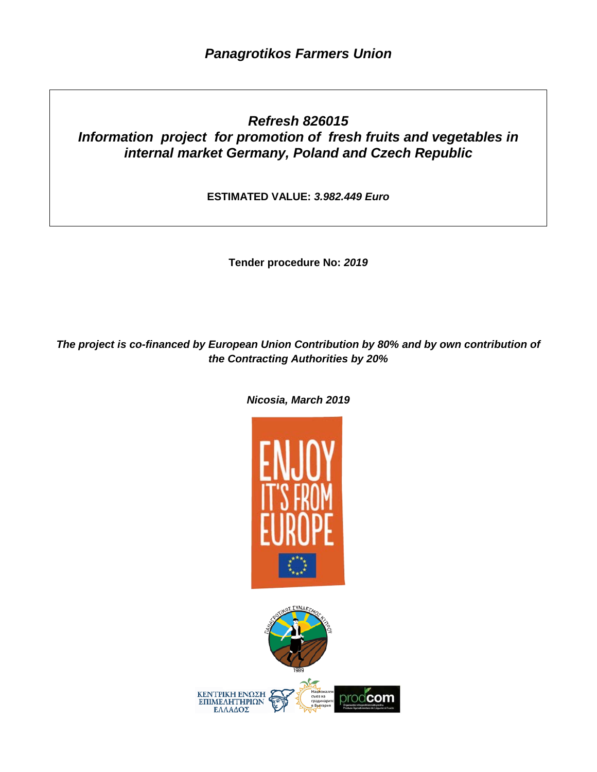## *Refresh 826015 Information project for promotion of fresh fruits and vegetables in internal market Germany, Poland and Czech Republic*

**ESTIMATED VALUE:** *3.982.449 Euro*

**Tender procedure No:** *2019*

*The project is co-financed by European Union Contribution by 80% and by own contribution of the Contracting Authorities by 20%* 



KENTPIKH ΕΝΩΣΗ ΕΠΙΜΕΛΗΤΗΡΙΩΝ orodcom ΕΛΛΑΔΟΣ

*Nicosia, March 2019*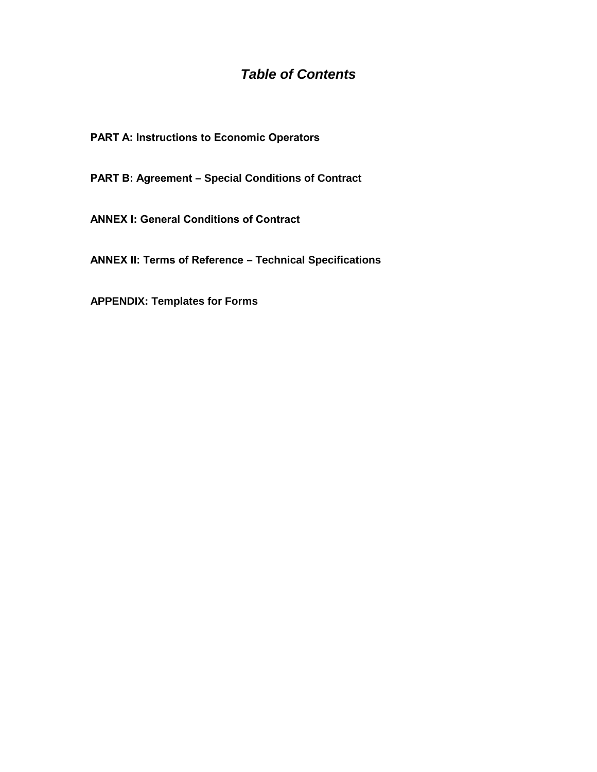## *Table of Contents*

**PART A: Instructions to Economic Operators** 

**PART Β: Agreement – Special Conditions of Contract**

**ANNEX Ι: General Conditions of Contract**

**ANNEX ΙΙ: Terms of Reference – Technical Specifications**

**APPENDIX: Templates for Forms**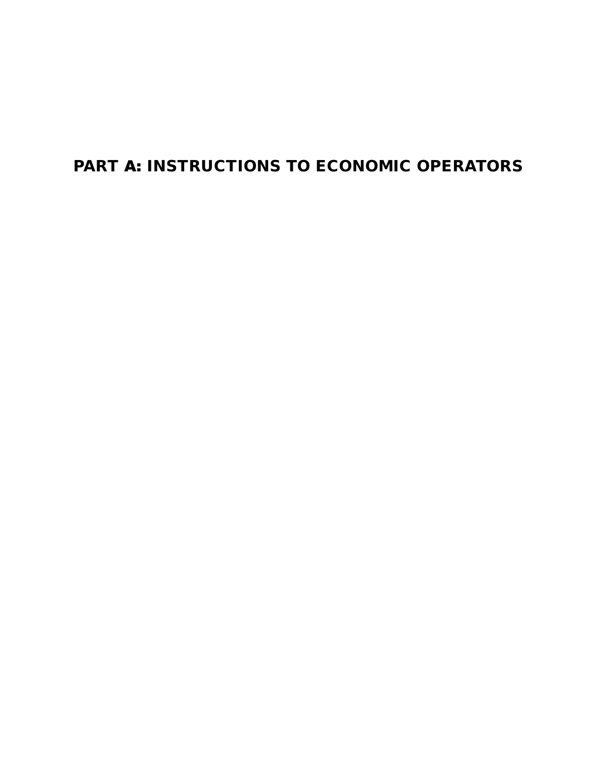# PART Α: INSTRUCTIONS TO ECONOMIC OPERATORS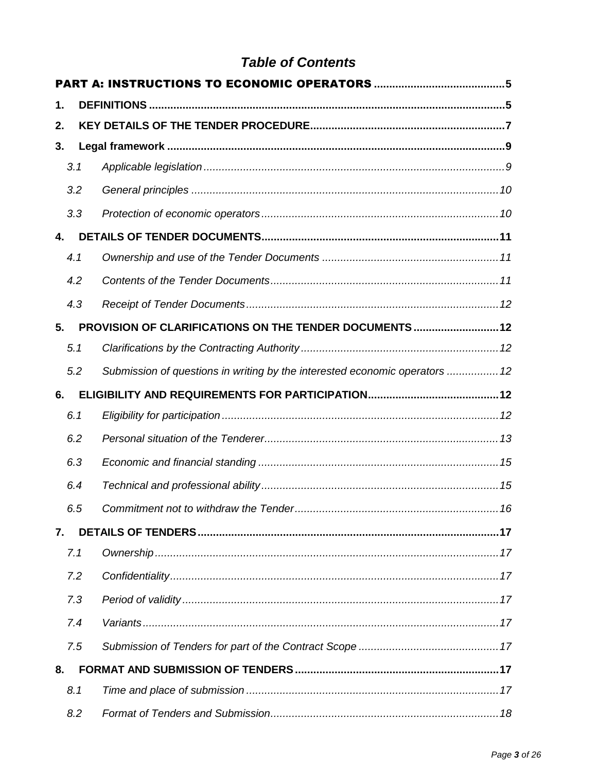## **Table of Contents**

| 1. |     |                                                                             |  |
|----|-----|-----------------------------------------------------------------------------|--|
| 2. |     |                                                                             |  |
| 3. |     |                                                                             |  |
|    | 3.1 |                                                                             |  |
|    | 3.2 |                                                                             |  |
|    | 3.3 |                                                                             |  |
| 4. |     |                                                                             |  |
|    | 4.1 |                                                                             |  |
|    | 4.2 |                                                                             |  |
|    | 4.3 |                                                                             |  |
| 5. |     | PROVISION OF CLARIFICATIONS ON THE TENDER DOCUMENTS 12                      |  |
|    | 5.1 |                                                                             |  |
|    | 5.2 | Submission of questions in writing by the interested economic operators  12 |  |
| 6. |     |                                                                             |  |
|    | 6.1 |                                                                             |  |
|    | 6.2 |                                                                             |  |
|    | 6.3 |                                                                             |  |
|    | 6.4 |                                                                             |  |
|    | 6.5 |                                                                             |  |
| 7. |     |                                                                             |  |
|    | 7.1 |                                                                             |  |
|    | 7.2 |                                                                             |  |
|    | 7.3 |                                                                             |  |
|    | 7.4 |                                                                             |  |
|    | 7.5 |                                                                             |  |
| 8. |     |                                                                             |  |
|    | 8.1 |                                                                             |  |
|    | 8.2 |                                                                             |  |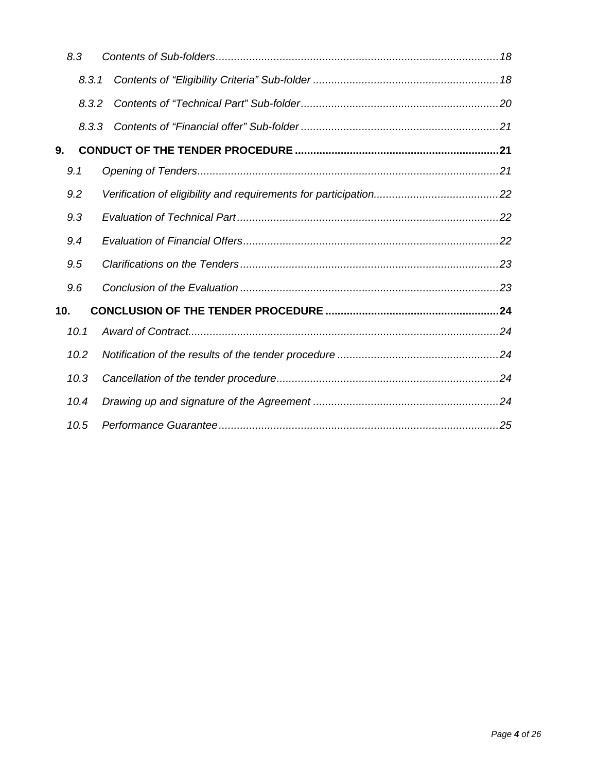|     | 8.3   |  |
|-----|-------|--|
|     | 8.3.1 |  |
|     | 8.3.2 |  |
|     | 8.3.3 |  |
| 9.  |       |  |
|     | 9.1   |  |
|     | 9.2   |  |
|     | 9.3   |  |
|     | 9.4   |  |
|     | 9.5   |  |
|     | 9.6   |  |
| 10. |       |  |
|     | 10.1  |  |
|     | 10.2  |  |
|     | 10.3  |  |
|     | 10.4  |  |
|     | 10.5  |  |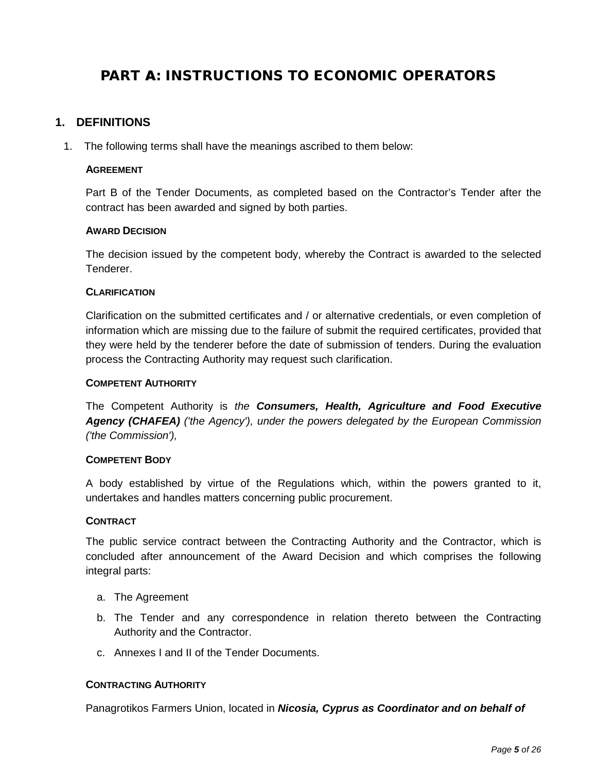## <span id="page-5-0"></span>PART Α: INSTRUCTIONS TO ECONOMIC OPERATORS

## <span id="page-5-1"></span>**1. DEFINITIONS**

1. The following terms shall have the meanings ascribed to them below:

#### **AGREEMENT**

Part B of the Tender Documents, as completed based on the Contractor's Tender after the contract has been awarded and signed by both parties.

#### **AWARD DECISION**

The decision issued by the competent body, whereby the Contract is awarded to the selected Tenderer.

#### **CLARIFICATION**

Clarification on the submitted certificates and / or alternative credentials, or even completion of information which are missing due to the failure of submit the required certificates, provided that they were held by the tenderer before the date of submission of tenders. During the evaluation process the Contracting Authority may request such clarification.

#### **COMPETENT AUTHORITY**

The Competent Authority is *the Consumers, Health, Agriculture and Food Executive Agency (CHAFEA) ('the Agency'), under the powers delegated by the European Commission ('the Commission'),*

#### **COMPETENT BODY**

A body established by virtue of the Regulations which, within the powers granted to it, undertakes and handles matters concerning public procurement.

#### **CONTRACT**

The public service contract between the Contracting Authority and the Contractor, which is concluded after announcement of the Award Decision and which comprises the following integral parts:

- a. The Agreement
- b. The Tender and any correspondence in relation thereto between the Contracting Authority and the Contractor.
- c. Annexes I and II of the Tender Documents.

#### **CONTRACTING AUTHORITY**

Panagrotikos Farmers Union, located in *Nicosia, Cyprus as Coordinator and on behalf of*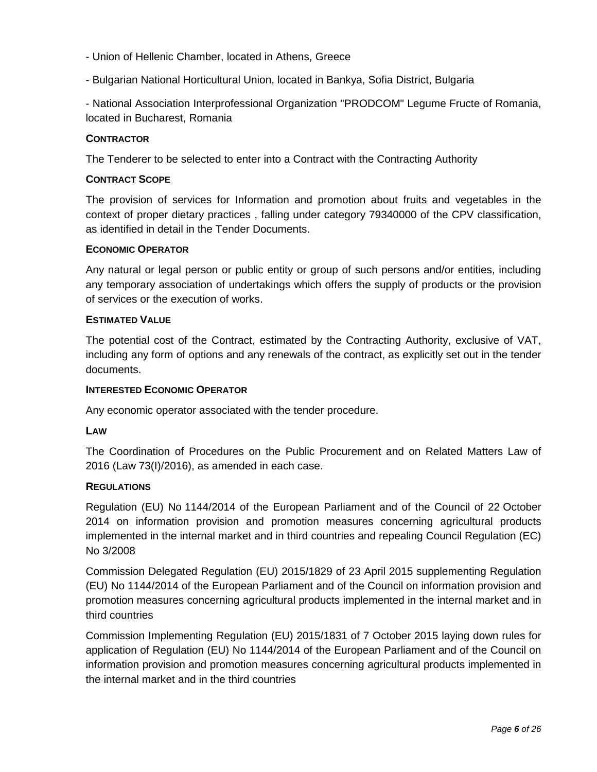- Union of Hellenic Chamber, located in Athens, Greece
- Bulgarian National Horticultural Union, located in Bankya, Sofia District, Bulgaria

- National Association Interprofessional Organization "PRODCOM" Legume Fructe of Romania, located in Bucharest, Romania

## **CONTRACTOR**

The Tenderer to be selected to enter into a Contract with the Contracting Authority

## **CONTRACT SCOPE**

The provision of services for Information and promotion about fruits and vegetables in the context of proper dietary practices , falling under category 79340000 of the CPV classification, as identified in detail in the Tender Documents.

#### **ECONOMIC OPERATOR**

Any natural or legal person or public entity or group of such persons and/or entities, including any temporary association of undertakings which offers the supply of products or the provision of services or the execution of works.

#### **ESTIMATED VALUE**

The potential cost of the Contract, estimated by the Contracting Authority, exclusive of VAT, including any form of options and any renewals of the contract, as explicitly set out in the tender documents.

#### **INTERESTED ECONOMIC OPERATOR**

Any economic operator associated with the tender procedure.

#### **LAW**

The Coordination of Procedures on the Public Procurement and on Related Matters Law of 2016 (Law 73(I)/2016), as amended in each case.

## **REGULATIONS**

Regulation (EU) No 1144/2014 of the European Parliament and of the Council of 22 October 2014 on information provision and promotion measures concerning agricultural products implemented in the internal market and in third countries and repealing Council Regulation (EC) No 3/2008

Commission Delegated Regulation (EU) 2015/1829 of 23 April 2015 supplementing Regulation (EU) No 1144/2014 of the European Parliament and of the Council on information provision and promotion measures concerning agricultural products implemented in the internal market and in third countries

Commission Implementing Regulation (EU) 2015/1831 of 7 October 2015 laying down rules for application of Regulation (EU) No 1144/2014 of the European Parliament and of the Council on information provision and promotion measures concerning agricultural products implemented in the internal market and in the third countries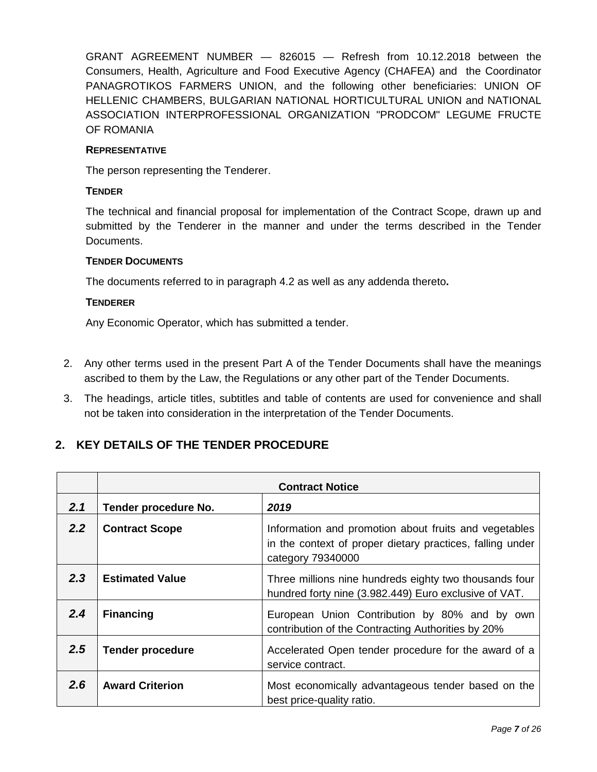GRANT AGREEMENT NUMBER — 826015 — Refresh from 10.12.2018 between the Consumers, Health, Agriculture and Food Executive Agency (CHAFEA) and the Coordinator PANAGROTIKOS FARMERS UNION, and the following other beneficiaries: UNION OF HELLENIC CHAMBERS, BULGARIAN NATIONAL HORTICULTURAL UNION and NATIONAL ASSOCIATION INTERPROFESSIONAL ORGANIZATION "PRODCOM" LEGUME FRUCTE OF ROMANIA

#### **REPRESENTATIVE**

The person representing the Tenderer.

#### **TENDER**

The technical and financial proposal for implementation of the Contract Scope, drawn up and submitted by the Tenderer in the manner and under the terms described in the Tender Documents.

#### **TENDER DOCUMENTS**

The documents referred to in paragraph 4.2 as well as any addenda thereto**.**

#### **TENDERER**

Any Economic Operator, which has submitted a tender.

- 2. Any other terms used in the present Part A of the Tender Documents shall have the meanings ascribed to them by the Law, the Regulations or any other part of the Tender Documents.
- 3. The headings, article titles, subtitles and table of contents are used for convenience and shall not be taken into consideration in the interpretation of the Tender Documents.

## <span id="page-7-0"></span>**2. KEY DETAILS OF THE TENDER PROCEDURE**

|               |                         | <b>Contract Notice</b>                                                                                                                  |
|---------------|-------------------------|-----------------------------------------------------------------------------------------------------------------------------------------|
| 2.1           | Tender procedure No.    | 2019                                                                                                                                    |
| 2.2           | <b>Contract Scope</b>   | Information and promotion about fruits and vegetables<br>in the context of proper dietary practices, falling under<br>category 79340000 |
| 2.3           | <b>Estimated Value</b>  | Three millions nine hundreds eighty two thousands four<br>hundred forty nine (3.982.449) Euro exclusive of VAT.                         |
| 2.4           | <b>Financing</b>        | European Union Contribution by 80% and by own<br>contribution of the Contracting Authorities by 20%                                     |
| 2.5           | <b>Tender procedure</b> | Accelerated Open tender procedure for the award of a<br>service contract.                                                               |
| $2.6^{\circ}$ | <b>Award Criterion</b>  | Most economically advantageous tender based on the<br>best price-quality ratio.                                                         |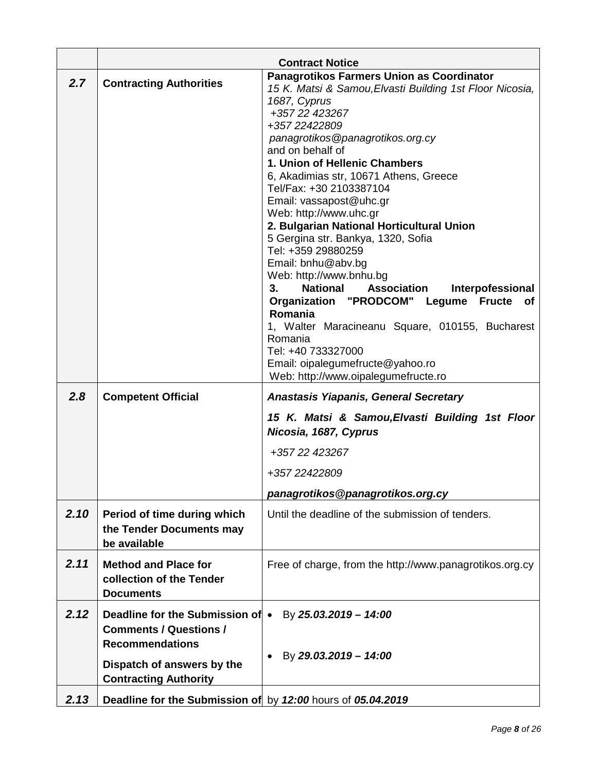|      |                                                                                             | <b>Contract Notice</b>                                                                                                                                                                                                                                                                                                                                                                                                                                                                                                                                                                                                                                                                                                                                                                 |
|------|---------------------------------------------------------------------------------------------|----------------------------------------------------------------------------------------------------------------------------------------------------------------------------------------------------------------------------------------------------------------------------------------------------------------------------------------------------------------------------------------------------------------------------------------------------------------------------------------------------------------------------------------------------------------------------------------------------------------------------------------------------------------------------------------------------------------------------------------------------------------------------------------|
| 2.7  | <b>Contracting Authorities</b>                                                              | Panagrotikos Farmers Union as Coordinator<br>15 K. Matsi & Samou, Elvasti Building 1st Floor Nicosia,<br>1687, Cyprus<br>+357 22 423267<br>+357 22422809<br>panagrotikos@panagrotikos.org.cy<br>and on behalf of<br>1. Union of Hellenic Chambers<br>6, Akadimias str, 10671 Athens, Greece<br>Tel/Fax: +30 2103387104<br>Email: vassapost@uhc.gr<br>Web: http://www.uhc.gr<br>2. Bulgarian National Horticultural Union<br>5 Gergina str. Bankya, 1320, Sofia<br>Tel: +359 29880259<br>Email: bnhu@abv.bg<br>Web: http://www.bnhu.bg<br><b>National</b><br><b>Association</b><br>Interpofessional<br>3.<br>Organization "PRODCOM" Legume Fructe of<br>Romania<br>1, Walter Maracineanu Square, 010155, Bucharest<br>Romania<br>Tel: +40 733327000<br>Email: oipalegumefructe@yahoo.ro |
| 2.8  | <b>Competent Official</b>                                                                   | Web: http://www.oipalegumefructe.ro<br><b>Anastasis Yiapanis, General Secretary</b>                                                                                                                                                                                                                                                                                                                                                                                                                                                                                                                                                                                                                                                                                                    |
|      |                                                                                             | 15 K. Matsi & Samou, Elvasti Building 1st Floor<br>Nicosia, 1687, Cyprus                                                                                                                                                                                                                                                                                                                                                                                                                                                                                                                                                                                                                                                                                                               |
|      |                                                                                             | +357 22 423267                                                                                                                                                                                                                                                                                                                                                                                                                                                                                                                                                                                                                                                                                                                                                                         |
|      |                                                                                             | +357 22422809                                                                                                                                                                                                                                                                                                                                                                                                                                                                                                                                                                                                                                                                                                                                                                          |
|      |                                                                                             | panagrotikos@panagrotikos.org.cy                                                                                                                                                                                                                                                                                                                                                                                                                                                                                                                                                                                                                                                                                                                                                       |
| 2.10 | Period of time during which<br>the Tender Documents may<br>be available                     | Until the deadline of the submission of tenders.                                                                                                                                                                                                                                                                                                                                                                                                                                                                                                                                                                                                                                                                                                                                       |
| 2.11 | <b>Method and Place for</b><br>collection of the Tender<br><b>Documents</b>                 | Free of charge, from the http://www.panagrotikos.org.cy                                                                                                                                                                                                                                                                                                                                                                                                                                                                                                                                                                                                                                                                                                                                |
| 2.12 | Deadline for the Submission of •<br><b>Comments / Questions /</b><br><b>Recommendations</b> | By 25.03.2019 - 14:00                                                                                                                                                                                                                                                                                                                                                                                                                                                                                                                                                                                                                                                                                                                                                                  |
|      | Dispatch of answers by the<br><b>Contracting Authority</b>                                  | By 29.03.2019 - 14:00                                                                                                                                                                                                                                                                                                                                                                                                                                                                                                                                                                                                                                                                                                                                                                  |
| 2.13 | Deadline for the Submission of by 12:00 hours of 05.04.2019                                 |                                                                                                                                                                                                                                                                                                                                                                                                                                                                                                                                                                                                                                                                                                                                                                                        |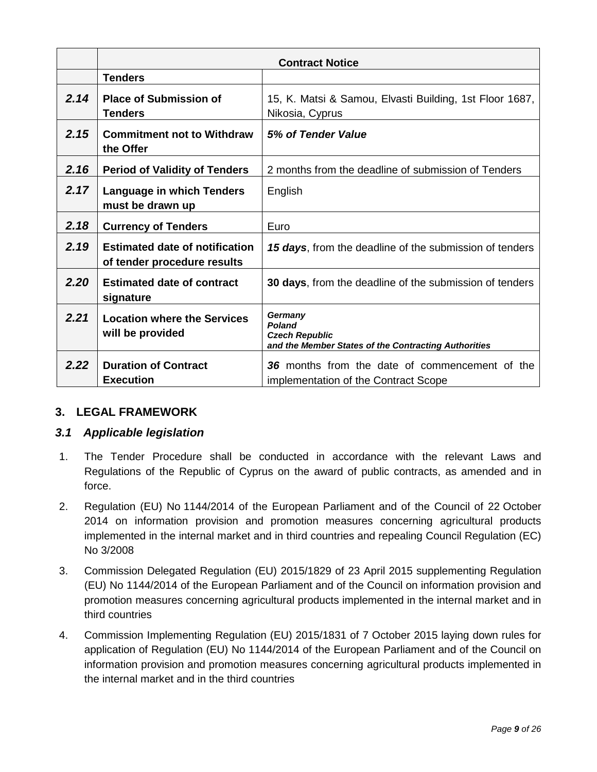|      |                                                                      | <b>Contract Notice</b>                                                                                    |
|------|----------------------------------------------------------------------|-----------------------------------------------------------------------------------------------------------|
|      | <b>Tenders</b>                                                       |                                                                                                           |
| 2.14 | <b>Place of Submission of</b><br><b>Tenders</b>                      | 15, K. Matsi & Samou, Elvasti Building, 1st Floor 1687,<br>Nikosia, Cyprus                                |
| 2.15 | <b>Commitment not to Withdraw</b><br>the Offer                       | 5% of Tender Value                                                                                        |
| 2.16 | <b>Period of Validity of Tenders</b>                                 | 2 months from the deadline of submission of Tenders                                                       |
| 2.17 | <b>Language in which Tenders</b><br>must be drawn up                 | English                                                                                                   |
| 2.18 | <b>Currency of Tenders</b>                                           | Euro                                                                                                      |
| 2.19 | <b>Estimated date of notification</b><br>of tender procedure results | 15 days, from the deadline of the submission of tenders                                                   |
| 2.20 | <b>Estimated date of contract</b><br>signature                       | 30 days, from the deadline of the submission of tenders                                                   |
| 2.21 | <b>Location where the Services</b><br>will be provided               | Germany<br><b>Poland</b><br><b>Czech Republic</b><br>and the Member States of the Contracting Authorities |
| 2.22 | <b>Duration of Contract</b><br><b>Execution</b>                      | 36 months from the date of commencement of the<br>implementation of the Contract Scope                    |

## <span id="page-9-0"></span>**3. LEGAL FRAMEWORK**

## <span id="page-9-1"></span>*3.1 Applicable legislation*

- 1. The Tender Procedure shall be conducted in accordance with the relevant Laws and Regulations of the Republic of Cyprus on the award of public contracts, as amended and in force.
- 2. Regulation (EU) No 1144/2014 of the European Parliament and of the Council of 22 October 2014 on information provision and promotion measures concerning agricultural products implemented in the internal market and in third countries and repealing Council Regulation (EC) No 3/2008
- 3. Commission Delegated Regulation (EU) 2015/1829 of 23 April 2015 supplementing Regulation (EU) No 1144/2014 of the European Parliament and of the Council on information provision and promotion measures concerning agricultural products implemented in the internal market and in third countries
- 4. Commission Implementing Regulation (EU) 2015/1831 of 7 October 2015 laying down rules for application of Regulation (EU) No 1144/2014 of the European Parliament and of the Council on information provision and promotion measures concerning agricultural products implemented in the internal market and in the third countries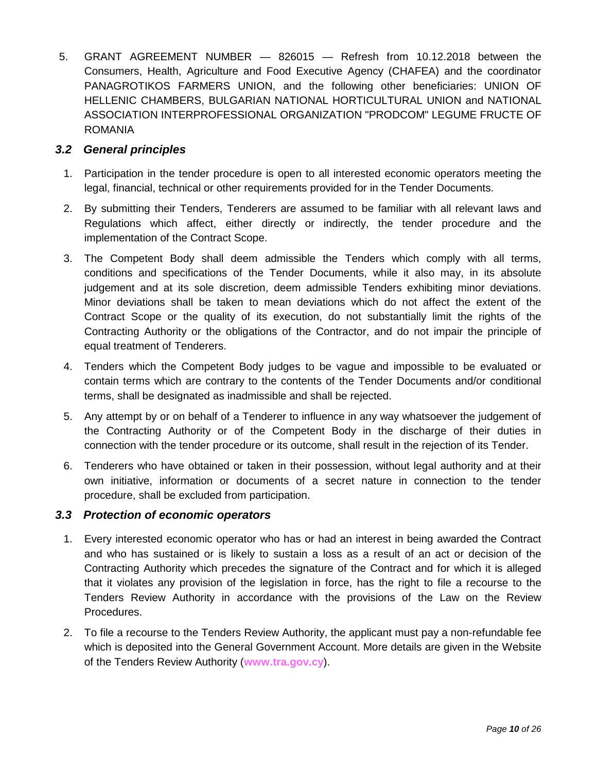5. GRANT AGREEMENT NUMBER — 826015 — Refresh from 10.12.2018 between the Consumers, Health, Agriculture and Food Executive Agency (CHAFEA) and the coordinator PANAGROTIKOS FARMERS UNION, and the following other beneficiaries: UNION OF HELLENIC CHAMBERS, BULGARIAN NATIONAL HORTICULTURAL UNION and NATIONAL ASSOCIATION INTERPROFESSIONAL ORGANIZATION "PRODCOM" LEGUME FRUCTE OF ROMANIA

## <span id="page-10-0"></span>*3.2 General principles*

- 1. Participation in the tender procedure is open to all interested economic operators meeting the legal, financial, technical or other requirements provided for in the Tender Documents.
- 2. By submitting their Tenders, Tenderers are assumed to be familiar with all relevant laws and Regulations which affect, either directly or indirectly, the tender procedure and the implementation of the Contract Scope.
- 3. The Competent Body shall deem admissible the Tenders which comply with all terms, conditions and specifications of the Tender Documents, while it also may, in its absolute judgement and at its sole discretion, deem admissible Tenders exhibiting minor deviations. Minor deviations shall be taken to mean deviations which do not affect the extent of the Contract Scope or the quality of its execution, do not substantially limit the rights of the Contracting Authority or the obligations of the Contractor, and do not impair the principle of equal treatment of Tenderers.
- 4. Tenders which the Competent Body judges to be vague and impossible to be evaluated or contain terms which are contrary to the contents of the Tender Documents and/or conditional terms, shall be designated as inadmissible and shall be rejected.
- 5. Any attempt by or on behalf of a Tenderer to influence in any way whatsoever the judgement of the Contracting Authority or of the Competent Body in the discharge of their duties in connection with the tender procedure or its outcome, shall result in the rejection of its Tender.
- 6. Tenderers who have obtained or taken in their possession, without legal authority and at their own initiative, information or documents of a secret nature in connection to the tender procedure, shall be excluded from participation.

## <span id="page-10-1"></span>*3.3 Protection of economic operators*

- 1. Every interested economic operator who has or had an interest in being awarded the Contract and who has sustained or is likely to sustain a loss as a result of an act or decision of the Contracting Authority which precedes the signature of the Contract and for which it is alleged that it violates any provision of the legislation in force, has the right to file a recourse to the Tenders Review Authority in accordance with the provisions of the Law on the Review Procedures.
- 2. To file a recourse to the Tenders Review Authority, the applicant must pay a non-refundable fee which is deposited into the General Government Account. More details are given in the Website of the Tenders Review Authority (**[www.tra.gov.cy](http://www.tra.gov.cy/)**).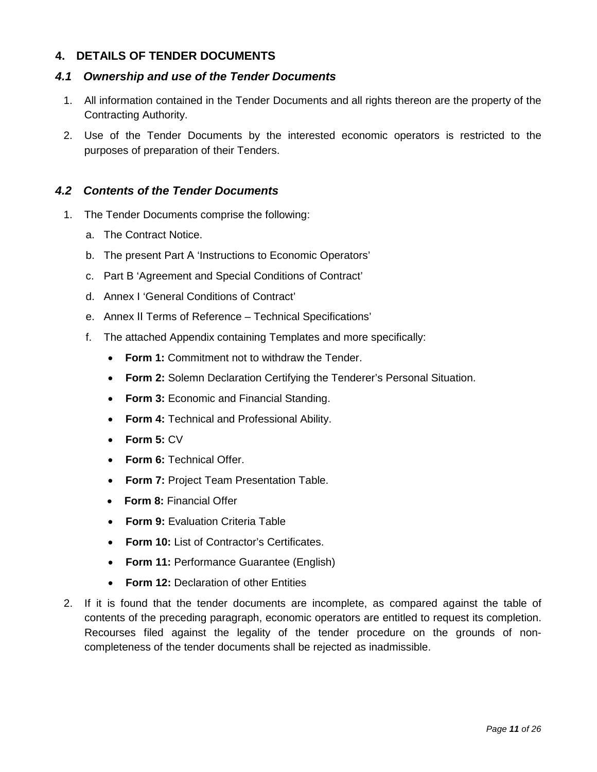## <span id="page-11-0"></span>**4. DETAILS OF TENDER DOCUMENTS**

## <span id="page-11-1"></span>*4.1 Ownership and use of the Tender Documents*

- 1. All information contained in the Tender Documents and all rights thereon are the property of the Contracting Authority.
- 2. Use of the Tender Documents by the interested economic operators is restricted to the purposes of preparation of their Tenders.

## <span id="page-11-2"></span>*4.2 Contents of the Tender Documents*

- 1. The Tender Documents comprise the following:
	- a. The Contract Notice.
	- b. The present Part Α 'Instructions to Economic Operators'
	- c. Part B 'Agreement and Special Conditions of Contract'
	- d. Annex I 'General Conditions of Contract'
	- e. Annex ΙΙ Terms of Reference Technical Specifications'
	- f. The attached Appendix containing Templates and more specifically:
		- **Form 1:** Commitment not to withdraw the Tender.
		- **Form 2:** Solemn Declaration Certifying the Tenderer's Personal Situation.
		- **Form 3:** Economic and Financial Standing.
		- **Form 4:** Technical and Professional Ability.
		- **Form 5:** CV
		- **Form 6:** Technical Offer.
		- **Form 7:** Project Team Presentation Table.
		- **Form 8:** Financial Offer
		- **Form 9:** Evaluation Criteria Table
		- **Form 10:** List of Contractor's Certificates.
		- **Form 11:** Performance Guarantee (English)
		- **Form 12:** Declaration of other Entities
- 2. If it is found that the tender documents are incomplete, as compared against the table of contents of the preceding paragraph, economic operators are entitled to request its completion. Recourses filed against the legality of the tender procedure on the grounds of noncompleteness of the tender documents shall be rejected as inadmissible.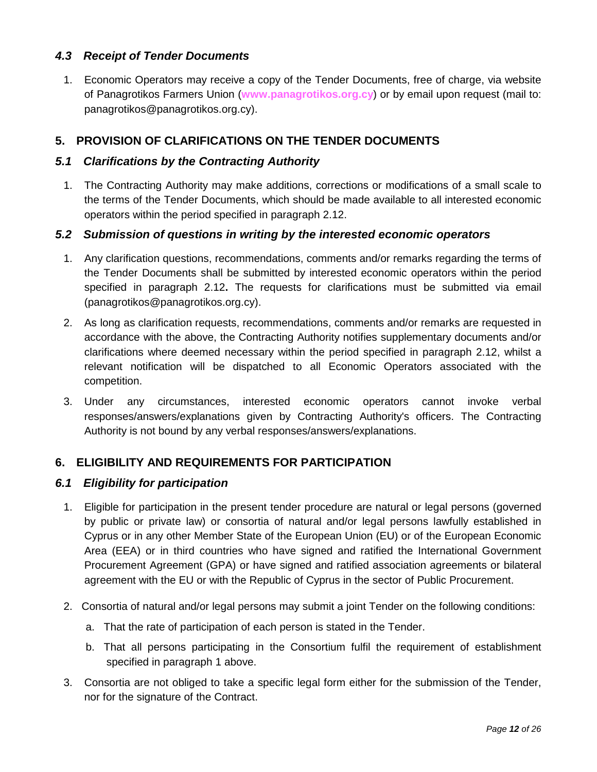## <span id="page-12-0"></span>*4.3 Receipt of Tender Documents*

1. Economic Operators may receive a copy of the Tender Documents, free of charge, via website of Panagrotikos Farmers Union (**[www.panagrotikos.org.cy](http://www.eprocurement.gov.cy/)**) or by email upon request (mail to: panagrotikos@panagrotikos.org.cy).

## <span id="page-12-1"></span>**5. PROVISION OF CLARIFICATIONS ON THE TENDER DOCUMENTS**

## <span id="page-12-2"></span>*5.1 Clarifications by the Contracting Authority*

1. The Contracting Authority may make additions, corrections or modifications of a small scale to the terms of the Tender Documents, which should be made available to all interested economic operators within the period specified in paragraph 2.12.

## <span id="page-12-3"></span>*5.2 Submission of questions in writing by the interested economic operators*

- 1. Any clarification questions, recommendations, comments and/or remarks regarding the terms of the Tender Documents shall be submitted by interested economic operators within the period specified in paragraph 2.12**.** The requests for clarifications must be submitted via email (panagrotikos@panagrotikos.org.cy).
- 2. As long as clarification requests, recommendations, comments and/or remarks are requested in accordance with the above, the Contracting Authority notifies supplementary documents and/or clarifications where deemed necessary within the period specified in paragraph 2.12, whilst a relevant notification will be dispatched to all Economic Operators associated with the competition.
- 3. Under any circumstances, interested economic operators cannot invoke verbal responses/answers/explanations given by Contracting Authority's officers. The Contracting Authority is not bound by any verbal responses/answers/explanations.

## <span id="page-12-4"></span>**6. ELIGIBILITY AND REQUIREMENTS FOR PARTICIPATION**

#### <span id="page-12-5"></span>*6.1 Eligibility for participation*

- 1. Eligible for participation in the present tender procedure are natural or legal persons (governed by public or private law) or consortia of natural and/or legal persons lawfully established in Cyprus or in any other Member State of the European Union (EU) or of the European Economic Area (EEA) or in third countries who have signed and ratified the International Government Procurement Agreement (GPA) or have signed and ratified association agreements or bilateral agreement with the EU or with the Republic of Cyprus in the sector of Public Procurement.
- 2. Consortia of natural and/or legal persons may submit a joint Tender on the following conditions:
	- a. That the rate of participation of each person is stated in the Tender.
	- b. That all persons participating in the Consortium fulfil the requirement of establishment specified in paragraph 1 above.
- 3. Consortia are not obliged to take a specific legal form either for the submission of the Tender, nor for the signature of the Contract.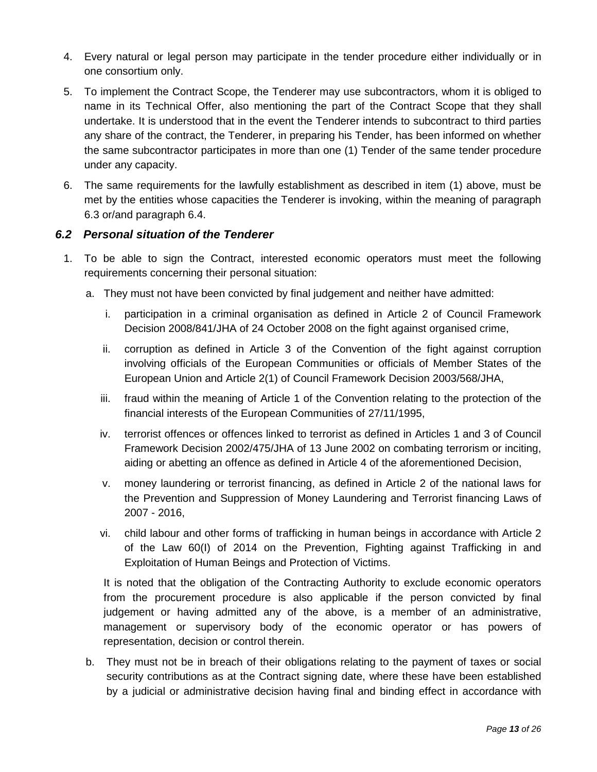- 4. Every natural or legal person may participate in the tender procedure either individually or in one consortium only.
- 5. To implement the Contract Scope, the Tenderer may use subcontractors, whom it is obliged to name in its Technical Offer, also mentioning the part of the Contract Scope that they shall undertake. It is understood that in the event the Tenderer intends to subcontract to third parties any share of the contract, the Tenderer, in preparing his Tender, has been informed on whether the same subcontractor participates in more than one (1) Tender of the same tender procedure under any capacity.
- 6. The same requirements for the lawfully establishment as described in item (1) above, must be met by the entities whose capacities the Tenderer is invoking, within the meaning of paragraph 6.3 or/and paragraph 6.4.

## <span id="page-13-0"></span>*6.2 Personal situation of the Tenderer*

- 1. To be able to sign the Contract, interested economic operators must meet the following requirements concerning their personal situation:
	- a. They must not have been convicted by final judgement and neither have admitted:
		- i. participation in a criminal organisation as defined in Article 2 of Council Framework Decision 2008/841/JHA of 24 October 2008 on the fight against organised crime,
		- ii. corruption as defined in Article 3 of the Convention of the fight against corruption involving officials of the European Communities or officials of Member States of the European Union and Article 2(1) of Council Framework Decision 2003/568/JHA,
		- iii. fraud within the meaning of Article 1 of the Convention relating to the protection of the financial interests of the European Communities of 27/11/1995,
		- iv. terrorist offences or offences linked to terrorist as defined in Articles 1 and 3 of Council Framework Decision 2002/475/JHA of 13 June 2002 on combating terrorism or inciting, aiding or abetting an offence as defined in Article 4 of the aforementioned Decision,
		- v. money laundering or terrorist financing, as defined in Article 2 of the national laws for the Prevention and Suppression of Money Laundering and Terrorist financing Laws of 2007 - 2016,
		- vi. child labour and other forms of trafficking in human beings in accordance with Article 2 of the Law 60(I) of 2014 on the Prevention, Fighting against Trafficking in and Exploitation of Human Beings and Protection of Victims.

It is noted that the obligation of the Contracting Authority to exclude economic operators from the procurement procedure is also applicable if the person convicted by final judgement or having admitted any of the above, is a member of an administrative, management or supervisory body of the economic operator or has powers of representation, decision or control therein.

b. They must not be in breach of their obligations relating to the payment of taxes or social security contributions as at the Contract signing date, where these have been established by a judicial or administrative decision having final and binding effect in accordance with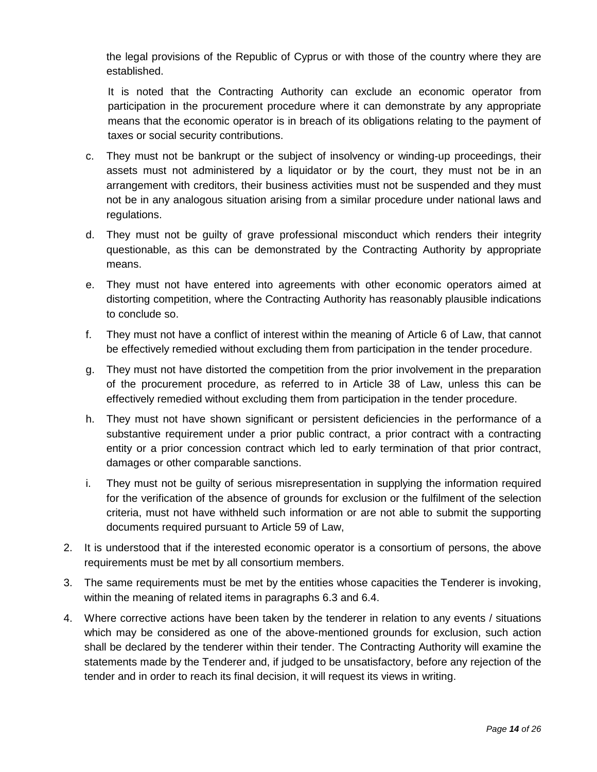the legal provisions of the Republic of Cyprus or with those of the country where they are established.

It is noted that the Contracting Authority can exclude an economic operator from participation in the procurement procedure where it can demonstrate by any appropriate means that the economic operator is in breach of its obligations relating to the payment of taxes or social security contributions.

- c. They must not be bankrupt or the subject of insolvency or winding-up proceedings, their assets must not administered by a liquidator or by the court, they must not be in an arrangement with creditors, their business activities must not be suspended and they must not be in any analogous situation arising from a similar procedure under national laws and regulations.
- d. They must not be guilty of grave professional misconduct which renders their integrity questionable, as this can be demonstrated by the Contracting Authority by appropriate means.
- e. They must not have entered into agreements with other economic operators aimed at distorting competition, where the Contracting Authority has reasonably plausible indications to conclude so.
- f. They must not have a conflict of interest within the meaning of Article 6 of Law, that cannot be effectively remedied without excluding them from participation in the tender procedure.
- g. They must not have distorted the competition from the prior involvement in the preparation of the procurement procedure, as referred to in Article 38 of Law, unless this can be effectively remedied without excluding them from participation in the tender procedure.
- h. They must not have shown significant or persistent deficiencies in the performance of a substantive requirement under a prior public contract, a prior contract with a contracting entity or a prior concession contract which led to early termination of that prior contract, damages or other comparable sanctions.
- i. They must not be guilty of serious misrepresentation in supplying the information required for the verification of the absence of grounds for exclusion or the fulfilment of the selection criteria, must not have withheld such information or are not able to submit the supporting documents required pursuant to Article 59 of Law,
- 2. It is understood that if the interested economic operator is a consortium of persons, the above requirements must be met by all consortium members.
- 3. The same requirements must be met by the entities whose capacities the Tenderer is invoking, within the meaning of related items in paragraphs 6.3 and 6.4.
- 4. Where corrective actions have been taken by the tenderer in relation to any events / situations which may be considered as one of the above-mentioned grounds for exclusion, such action shall be declared by the tenderer within their tender. The Contracting Authority will examine the statements made by the Tenderer and, if judged to be unsatisfactory, before any rejection of the tender and in order to reach its final decision, it will request its views in writing.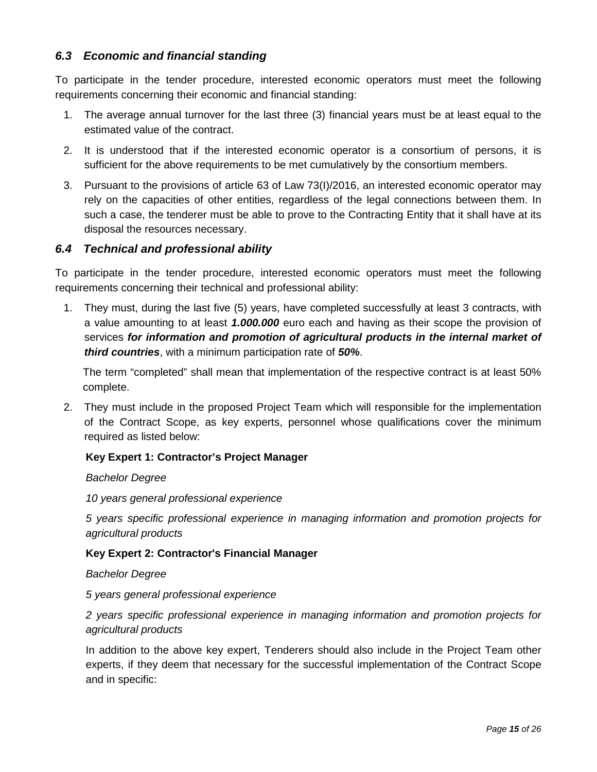## <span id="page-15-0"></span>*6.3 Economic and financial standing*

To participate in the tender procedure, interested economic operators must meet the following requirements concerning their economic and financial standing:

- 1. The average annual turnover for the last three (3) financial years must be at least equal to the estimated value of the contract.
- 2. It is understood that if the interested economic operator is a consortium of persons, it is sufficient for the above requirements to be met cumulatively by the consortium members.
- 3. Pursuant to the provisions of article 63 of Law 73(I)/2016, an interested economic operator may rely on the capacities of other entities, regardless of the legal connections between them. In such a case, the tenderer must be able to prove to the Contracting Entity that it shall have at its disposal the resources necessary.

## <span id="page-15-1"></span>*6.4 Technical and professional ability*

To participate in the tender procedure, interested economic operators must meet the following requirements concerning their technical and professional ability:

1. They must, during the last five (5) years, have completed successfully at least 3 contracts, with a value amounting to at least *1.000.000* euro each and having as their scope the provision of services *for information and promotion of agricultural products in the internal market of third countries*, with a minimum participation rate of *50%*.

The term "completed" shall mean that implementation of the respective contract is at least 50% complete.

2. They must include in the proposed Project Team which will responsible for the implementation of the Contract Scope, as key experts, personnel whose qualifications cover the minimum required as listed below:

## **Key Expert 1: Contractor's Project Manager**

#### *Bachelor Degree*

*10 years general professional experience*

*5 years specific professional experience in managing information and promotion projects for agricultural products*

#### **Key Expert 2: Contractor's Financial Manager**

#### *Bachelor Degree*

*5 years general professional experience*

*2 years specific professional experience in managing information and promotion projects for agricultural products*

In addition to the above key expert, Tenderers should also include in the Project Team other experts, if they deem that necessary for the successful implementation of the Contract Scope and in specific: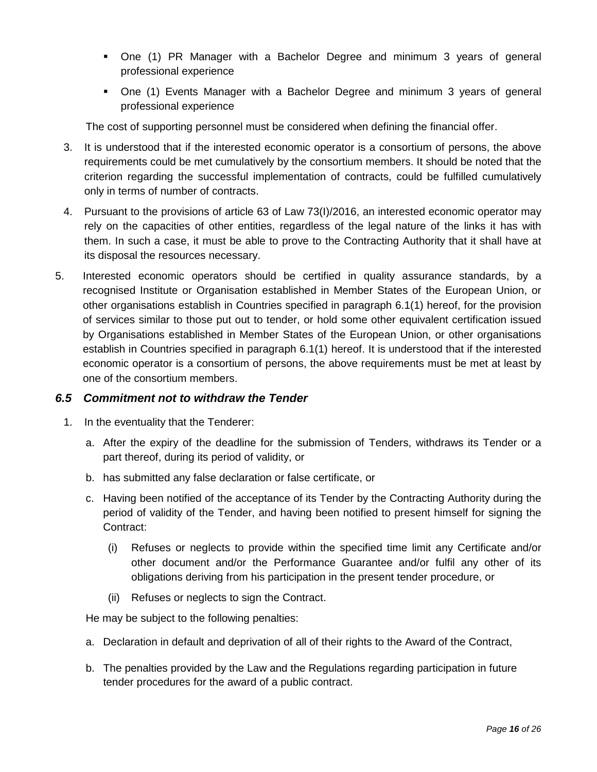- One (1) PR Manager with a Bachelor Degree and minimum 3 years of general professional experience
- One (1) Events Manager with a Bachelor Degree and minimum 3 years of general professional experience

The cost of supporting personnel must be considered when defining the financial offer.

- 3. It is understood that if the interested economic operator is a consortium of persons, the above requirements could be met cumulatively by the consortium members. It should be noted that the criterion regarding the successful implementation of contracts, could be fulfilled cumulatively only in terms of number of contracts.
- 4. Pursuant to the provisions of article 63 of Law 73(I)/2016, an interested economic operator may rely on the capacities of other entities, regardless of the legal nature of the links it has with them. In such a case, it must be able to prove to the Contracting Authority that it shall have at its disposal the resources necessary.
- 5. Interested economic operators should be certified in quality assurance standards, by a recognised Institute or Organisation established in Member States of the European Union, or other organisations establish in Countries specified in paragraph 6.1(1) hereof, for the provision of services similar to those put out to tender, or hold some other equivalent certification issued by Organisations established in Member States of the European Union, or other organisations establish in Countries specified in paragraph 6.1(1) hereof. It is understood that if the interested economic operator is a consortium of persons, the above requirements must be met at least by one of the consortium members.

## <span id="page-16-0"></span>*6.5 Commitment not to withdraw the Tender*

- 1. In the eventuality that the Tenderer:
	- a. After the expiry of the deadline for the submission of Tenders, withdraws its Tender or a part thereof, during its period of validity, or
	- b. has submitted any false declaration or false certificate, or
	- c. Having been notified of the acceptance of its Tender by the Contracting Authority during the period of validity of the Tender, and having been notified to present himself for signing the Contract:
		- (i) Refuses or neglects to provide within the specified time limit any Certificate and/or other document and/or the Performance Guarantee and/or fulfil any other of its obligations deriving from his participation in the present tender procedure, or
		- (ii) Refuses or neglects to sign the Contract.

He may be subject to the following penalties:

- a. Declaration in default and deprivation of all of their rights to the Award of the Contract,
- b. The penalties provided by the Law and the Regulations regarding participation in future tender procedures for the award of a public contract.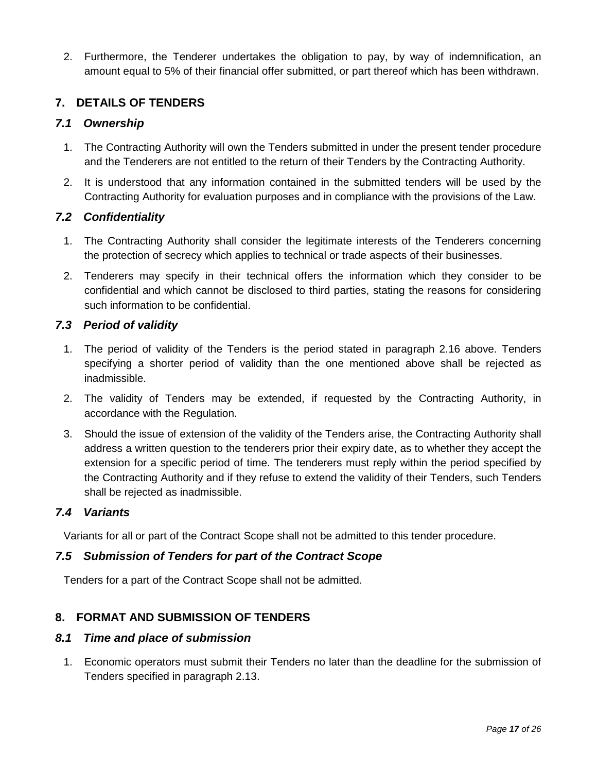2. Furthermore, the Tenderer undertakes the obligation to pay, by way of indemnification, an amount equal to 5% of their financial offer submitted, or part thereof which has been withdrawn.

## <span id="page-17-0"></span>**7. DETAILS OF TENDERS**

## <span id="page-17-1"></span>*7.1 Ownership*

- 1. The Contracting Authority will own the Tenders submitted in under the present tender procedure and the Tenderers are not entitled to the return of their Tenders by the Contracting Authority.
- 2. It is understood that any information contained in the submitted tenders will be used by the Contracting Authority for evaluation purposes and in compliance with the provisions of the Law.

## <span id="page-17-2"></span>*7.2 Confidentiality*

- 1. The Contracting Authority shall consider the legitimate interests of the Tenderers concerning the protection of secrecy which applies to technical or trade aspects of their businesses.
- 2. Tenderers may specify in their technical offers the information which they consider to be confidential and which cannot be disclosed to third parties, stating the reasons for considering such information to be confidential.

## <span id="page-17-3"></span>*7.3 Period of validity*

- 1. The period of validity of the Tenders is the period stated in paragraph 2.16 above. Tenders specifying a shorter period of validity than the one mentioned above shall be rejected as inadmissible.
- 2. The validity of Tenders may be extended, if requested by the Contracting Authority, in accordance with the Regulation.
- 3. Should the issue of extension of the validity of the Tenders arise, the Contracting Authority shall address a written question to the tenderers prior their expiry date, as to whether they accept the extension for a specific period of time. The tenderers must reply within the period specified by the Contracting Authority and if they refuse to extend the validity of their Tenders, such Tenders shall be rejected as inadmissible.

## <span id="page-17-4"></span>*7.4 Variants*

Variants for all or part of the Contract Scope shall not be admitted to this tender procedure.

## <span id="page-17-5"></span>*7.5 Submission of Tenders for part of the Contract Scope*

Tenders for a part of the Contract Scope shall not be admitted.

## <span id="page-17-6"></span>**8. FORMAT AND SUBMISSION OF TENDERS**

## <span id="page-17-7"></span>*8.1 Time and place of submission*

1. Economic operators must submit their Tenders no later than the deadline for the submission of Tenders specified in paragraph 2.13.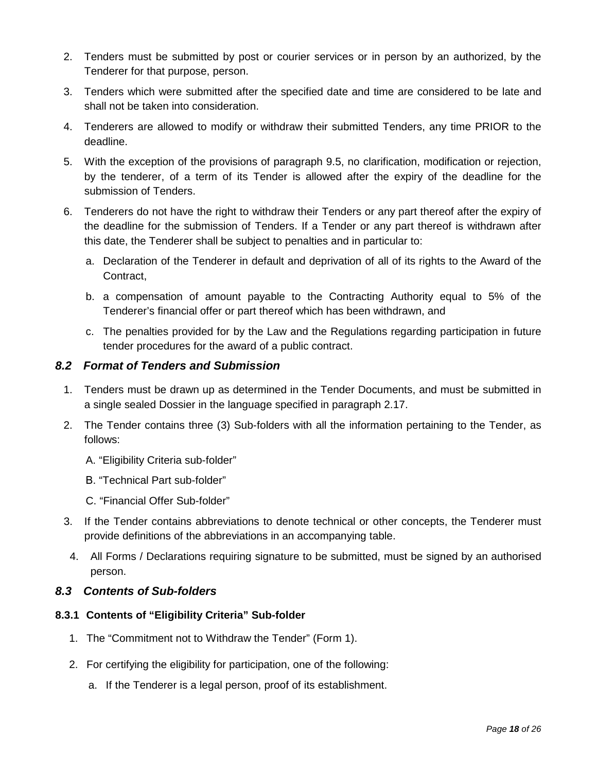- 2. Tenders must be submitted by post or courier services or in person by an authorized, by the Tenderer for that purpose, person.
- 3. Tenders which were submitted after the specified date and time are considered to be late and shall not be taken into consideration.
- 4. Tenderers are allowed to modify or withdraw their submitted Tenders, any time PRIOR to the deadline.
- 5. With the exception of the provisions of paragraph 9.5, no clarification, modification or rejection, by the tenderer, of a term of its Tender is allowed after the expiry of the deadline for the submission of Tenders.
- 6. Tenderers do not have the right to withdraw their Tenders or any part thereof after the expiry of the deadline for the submission of Tenders. If a Tender or any part thereof is withdrawn after this date, the Tenderer shall be subject to penalties and in particular to:
	- a. Declaration of the Tenderer in default and deprivation of all of its rights to the Award of the Contract,
	- b. a compensation of amount payable to the Contracting Authority equal to 5% of the Tenderer's financial offer or part thereof which has been withdrawn, and
	- c. The penalties provided for by the Law and the Regulations regarding participation in future tender procedures for the award of a public contract.

## <span id="page-18-0"></span>*8.2 Format of Tenders and Submission*

- 1. Tenders must be drawn up as determined in the Tender Documents, and must be submitted in a single sealed Dossier in the language specified in paragraph 2.17.
- 2. The Tender contains three (3) Sub-folders with all the information pertaining to the Tender, as follows:
	- A. "Eligibility Criteria sub-folder"
	- Β. "Technical Part sub-folder"
	- C. "Financial Offer Sub-folder"
- 3. If the Tender contains abbreviations to denote technical or other concepts, the Tenderer must provide definitions of the abbreviations in an accompanying table.
- 4. All Forms / Declarations requiring signature to be submitted, must be signed by an authorised person.

## <span id="page-18-1"></span>*8.3 Contents of Sub-folders*

## <span id="page-18-2"></span>**8.3.1 Contents of "Eligibility Criteria" Sub-folder**

- 1. The "Commitment not to Withdraw the Tender" (Form 1).
- 2. For certifying the eligibility for participation, one of the following:
	- a. If the Tenderer is a legal person, proof of its establishment.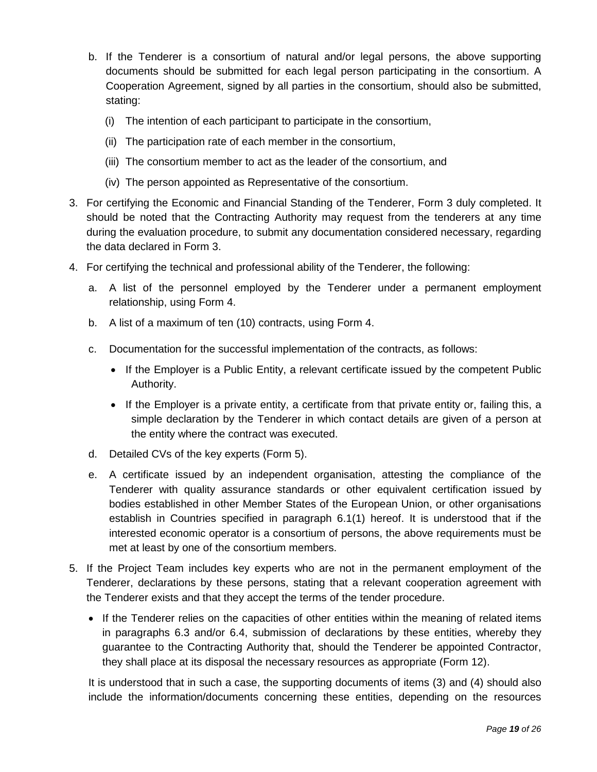- b. If the Tenderer is a consortium of natural and/or legal persons, the above supporting documents should be submitted for each legal person participating in the consortium. A Cooperation Agreement, signed by all parties in the consortium, should also be submitted, stating:
	- (i) The intention of each participant to participate in the consortium,
	- (ii) The participation rate of each member in the consortium,
	- (iii) The consortium member to act as the leader of the consortium, and
	- (iv) The person appointed as Representative of the consortium.
- 3. For certifying the Economic and Financial Standing of the Tenderer, Form 3 duly completed. It should be noted that the Contracting Authority may request from the tenderers at any time during the evaluation procedure, to submit any documentation considered necessary, regarding the data declared in Form 3.
- 4. For certifying the technical and professional ability of the Tenderer, the following:
	- a. A list of the personnel employed by the Tenderer under a permanent employment relationship, using Form 4.
	- b. A list of a maximum of ten (10) contracts, using Form 4.
	- c. Documentation for the successful implementation of the contracts, as follows:
		- If the Employer is a Public Entity, a relevant certificate issued by the competent Public Authority.
		- If the Employer is a private entity, a certificate from that private entity or, failing this, a simple declaration by the Tenderer in which contact details are given of a person at the entity where the contract was executed.
	- d. Detailed CVs of the key experts (Form 5).
	- e. A certificate issued by an independent organisation, attesting the compliance of the Tenderer with quality assurance standards or other equivalent certification issued by bodies established in other Member States of the European Union, or other organisations establish in Countries specified in paragraph 6.1(1) hereof. It is understood that if the interested economic operator is a consortium of persons, the above requirements must be met at least by one of the consortium members.
- 5. If the Project Team includes key experts who are not in the permanent employment of the Tenderer, declarations by these persons, stating that a relevant cooperation agreement with the Tenderer exists and that they accept the terms of the tender procedure.
	- If the Tenderer relies on the capacities of other entities within the meaning of related items in paragraphs 6.3 and/or 6.4, submission of declarations by these entities, whereby they guarantee to the Contracting Authority that, should the Tenderer be appointed Contractor, they shall place at its disposal the necessary resources as appropriate (Form 12).

It is understood that in such a case, the supporting documents of items (3) and (4) should also include the information/documents concerning these entities, depending on the resources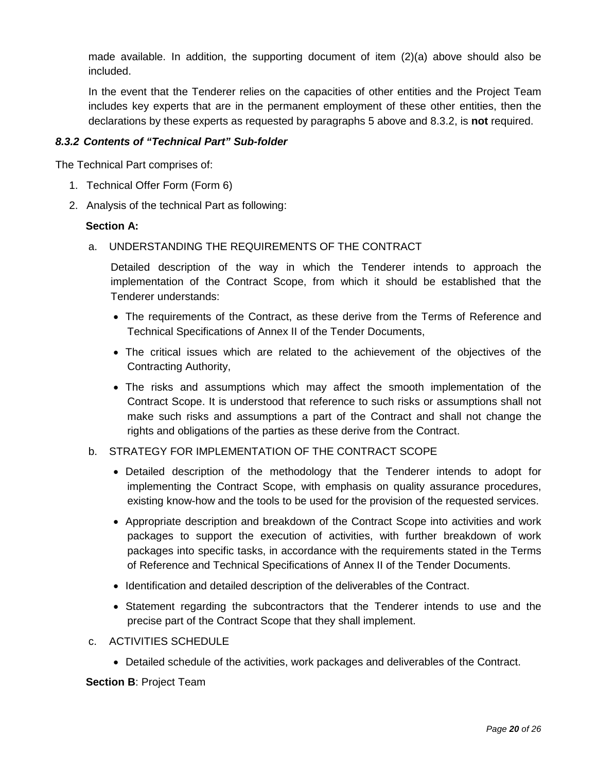made available. In addition, the supporting document of item (2)(a) above should also be included.

In the event that the Tenderer relies on the capacities of other entities and the Project Team includes key experts that are in the permanent employment of these other entities, then the declarations by these experts as requested by paragraphs 5 above and 8.3.2, is **not** required.

## <span id="page-20-0"></span>*8.3.2 Contents of "Technical Part" Sub-folder*

The Technical Part comprises of:

- 1. Technical Offer Form (Form 6)
- 2. Analysis of the technical Part as following:

#### **Section A:**

a. UNDERSTANDING THE REQUIREMENTS OF THE CONTRACT

Detailed description of the way in which the Tenderer intends to approach the implementation of the Contract Scope, from which it should be established that the Tenderer understands:

- The requirements of the Contract, as these derive from the Terms of Reference and Technical Specifications of Annex II of the Tender Documents,
- The critical issues which are related to the achievement of the objectives of the Contracting Authority,
- The risks and assumptions which may affect the smooth implementation of the Contract Scope. It is understood that reference to such risks or assumptions shall not make such risks and assumptions a part of the Contract and shall not change the rights and obligations of the parties as these derive from the Contract.

#### b. STRATEGY FOR IMPLEMENTATION OF THE CONTRACT SCOPE

- Detailed description of the methodology that the Tenderer intends to adopt for implementing the Contract Scope, with emphasis on quality assurance procedures, existing know-how and the tools to be used for the provision of the requested services.
- Appropriate description and breakdown of the Contract Scope into activities and work packages to support the execution of activities, with further breakdown of work packages into specific tasks, in accordance with the requirements stated in the Terms of Reference and Technical Specifications of Annex II of the Tender Documents.
- Identification and detailed description of the deliverables of the Contract.
- Statement regarding the subcontractors that the Tenderer intends to use and the precise part of the Contract Scope that they shall implement.
- c. ACTIVITIES SCHEDULE
	- Detailed schedule of the activities, work packages and deliverables of the Contract.

**Section B**: Project Team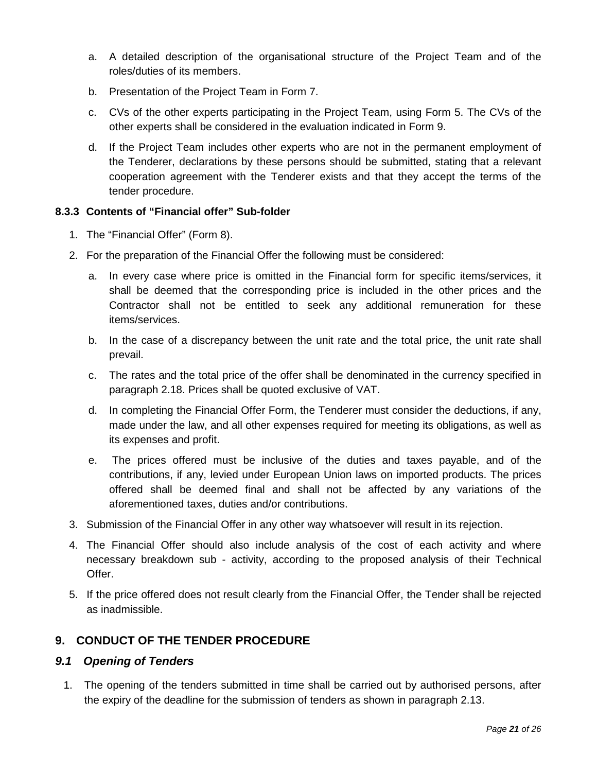- a. A detailed description of the organisational structure of the Project Team and of the roles/duties of its members.
- b. Presentation of the Project Team in Form 7.
- c. CVs of the other experts participating in the Project Team, using Form 5. The CVs of the other experts shall be considered in the evaluation indicated in Form 9.
- d. If the Project Team includes other experts who are not in the permanent employment of the Tenderer, declarations by these persons should be submitted, stating that a relevant cooperation agreement with the Tenderer exists and that they accept the terms of the tender procedure.

## <span id="page-21-0"></span>**8.3.3 Contents of "Financial offer" Sub-folder**

- 1. The "Financial Offer" (Form 8).
- 2. For the preparation of the Financial Offer the following must be considered:
	- a. In every case where price is omitted in the Financial form for specific items/services, it shall be deemed that the corresponding price is included in the other prices and the Contractor shall not be entitled to seek any additional remuneration for these items/services.
	- b. In the case of a discrepancy between the unit rate and the total price, the unit rate shall prevail.
	- c. The rates and the total price of the offer shall be denominated in the currency specified in paragraph 2.18. Prices shall be quoted exclusive of VAT.
	- d. In completing the Financial Offer Form, the Tenderer must consider the deductions, if any, made under the law, and all other expenses required for meeting its obligations, as well as its expenses and profit.
	- e. The prices offered must be inclusive of the duties and taxes payable, and of the contributions, if any, levied under European Union laws on imported products. The prices offered shall be deemed final and shall not be affected by any variations of the aforementioned taxes, duties and/or contributions.
- 3. Submission of the Financial Offer in any other way whatsoever will result in its rejection.
- 4. The Financial Offer should also include analysis of the cost of each activity and where necessary breakdown sub - activity, according to the proposed analysis of their Technical Offer.
- 5. If the price offered does not result clearly from the Financial Offer, the Tender shall be rejected as inadmissible.

## <span id="page-21-1"></span>**9. CONDUCT OF THE TENDER PROCEDURE**

## <span id="page-21-2"></span>*9.1 Opening of Tenders*

1. The opening of the tenders submitted in time shall be carried out by authorised persons, after the expiry of the deadline for the submission of tenders as shown in paragraph 2.13.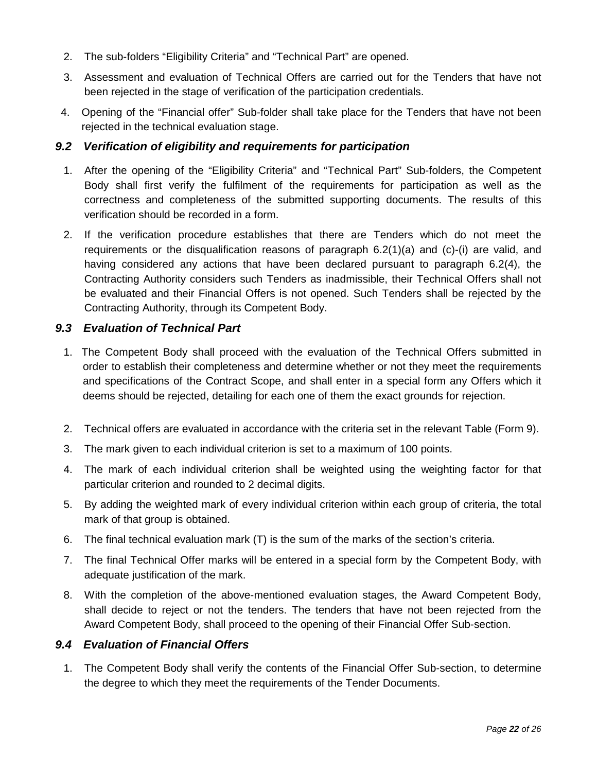- 2. The sub-folders "Eligibility Criteria" and "Technical Part" are opened.
- 3. Assessment and evaluation of Technical Offers are carried out for the Tenders that have not been rejected in the stage of verification of the participation credentials.
- 4. Opening of the "Financial offer" Sub-folder shall take place for the Tenders that have not been rejected in the technical evaluation stage.

## <span id="page-22-0"></span>*9.2 Verification of eligibility and requirements for participation*

- 1. After the opening of the "Eligibility Criteria" and "Technical Part" Sub-folders, the Competent Body shall first verify the fulfilment of the requirements for participation as well as the correctness and completeness of the submitted supporting documents. The results of this verification should be recorded in a form.
- 2. If the verification procedure establishes that there are Tenders which do not meet the requirements or the disqualification reasons of paragraph 6.2(1)(a) and (c)-(i) are valid, and having considered any actions that have been declared pursuant to paragraph 6.2(4), the Contracting Authority considers such Tenders as inadmissible, their Technical Offers shall not be evaluated and their Financial Offers is not opened. Such Tenders shall be rejected by the Contracting Authority, through its Competent Body.

## <span id="page-22-1"></span>*9.3 Evaluation of Technical Part*

- 1. The Competent Body shall proceed with the evaluation of the Technical Offers submitted in order to establish their completeness and determine whether or not they meet the requirements and specifications of the Contract Scope, and shall enter in a special form any Offers which it deems should be rejected, detailing for each one of them the exact grounds for rejection.
- 2. Technical offers are evaluated in accordance with the criteria set in the relevant Table (Form 9).
- 3. The mark given to each individual criterion is set to a maximum of 100 points.
- 4. The mark of each individual criterion shall be weighted using the weighting factor for that particular criterion and rounded to 2 decimal digits.
- 5. By adding the weighted mark of every individual criterion within each group of criteria, the total mark of that group is obtained.
- 6. The final technical evaluation mark (T) is the sum of the marks of the section's criteria.
- 7. The final Technical Offer marks will be entered in a special form by the Competent Body, with adequate justification of the mark.
- 8. With the completion of the above-mentioned evaluation stages, the Award Competent Body, shall decide to reject or not the tenders. The tenders that have not been rejected from the Award Competent Body, shall proceed to the opening of their Financial Offer Sub-section.

## <span id="page-22-2"></span>*9.4 Evaluation of Financial Offers*

1. The Competent Body shall verify the contents of the Financial Offer Sub-section, to determine the degree to which they meet the requirements of the Tender Documents.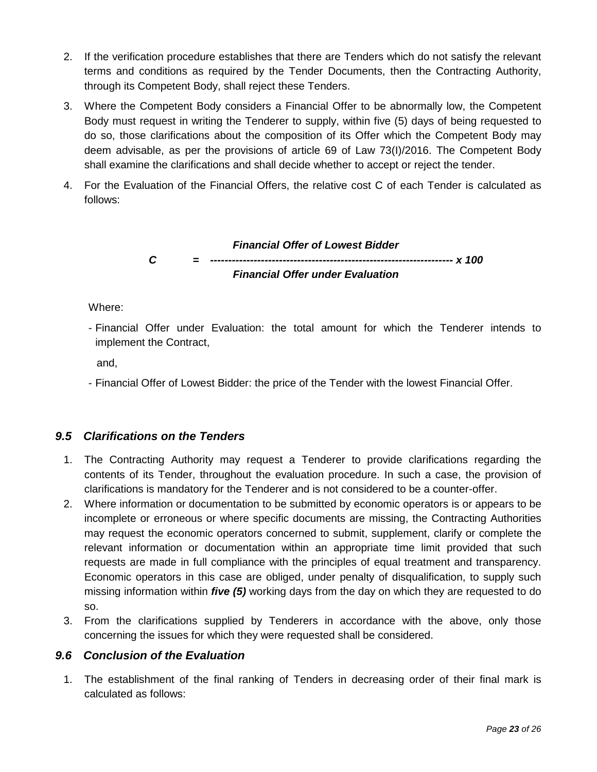- 2. If the verification procedure establishes that there are Tenders which do not satisfy the relevant terms and conditions as required by the Tender Documents, then the Contracting Authority, through its Competent Body, shall reject these Tenders.
- 3. Where the Competent Body considers a Financial Offer to be abnormally low, the Competent Body must request in writing the Tenderer to supply, within five (5) days of being requested to do so, those clarifications about the composition of its Offer which the Competent Body may deem advisable, as per the provisions of article 69 of Law 73(I)/2016. The Competent Body shall examine the clarifications and shall decide whether to accept or reject the tender.
- 4. For the Evaluation of the Financial Offers, the relative cost C of each Tender is calculated as follows:

*Financial Offer of Lowest Bidder C = ------------------------------------------------------------------- x 100 Financial Offer under Evaluation*

Where:

- Financial Offer under Evaluation: the total amount for which the Tenderer intends to implement the Contract,

and,

- Financial Offer of Lowest Bidder: the price of the Tender with the lowest Financial Offer.

## <span id="page-23-0"></span>*9.5 Clarifications on the Tenders*

- 1. The Contracting Authority may request a Tenderer to provide clarifications regarding the contents of its Tender, throughout the evaluation procedure. In such a case, the provision of clarifications is mandatory for the Tenderer and is not considered to be a counter-offer.
- 2. Where information or documentation to be submitted by economic operators is or appears to be incomplete or erroneous or where specific documents are missing, the Contracting Authorities may request the economic operators concerned to submit, supplement, clarify or complete the relevant information or documentation within an appropriate time limit provided that such requests are made in full compliance with the principles of equal treatment and transparency. Economic operators in this case are obliged, under penalty of disqualification, to supply such missing information within *five (5)* working days from the day on which they are requested to do so.
- 3. From the clarifications supplied by Tenderers in accordance with the above, only those concerning the issues for which they were requested shall be considered.

## <span id="page-23-1"></span>*9.6 Conclusion of the Evaluation*

1. The establishment of the final ranking of Tenders in decreasing order of their final mark is calculated as follows: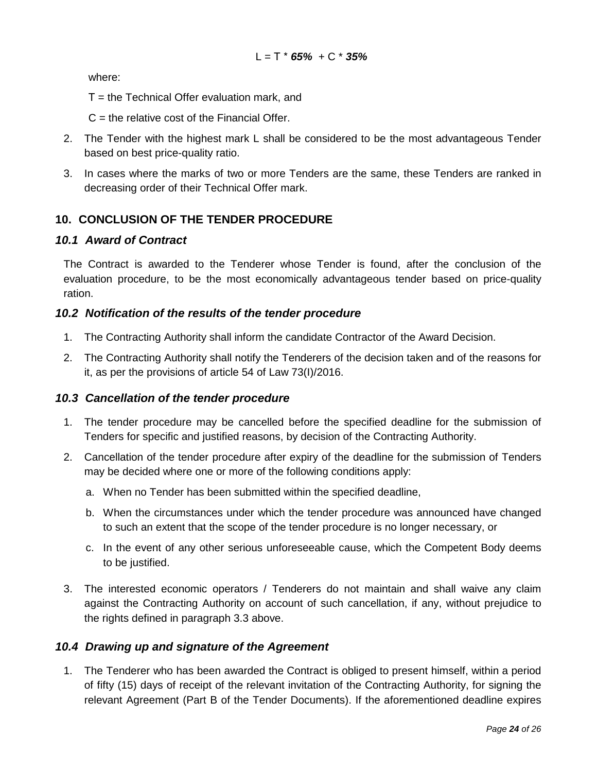where:

- Τ = the Technical Offer evaluation mark, and
- $C =$  the relative cost of the Financial Offer.
- 2. The Tender with the highest mark L shall be considered to be the most advantageous Tender based on best price-quality ratio.
- 3. In cases where the marks of two or more Tenders are the same, these Tenders are ranked in decreasing order of their Technical Offer mark.

## <span id="page-24-0"></span>**10. CONCLUSION OF THE TENDER PROCEDURE**

#### <span id="page-24-1"></span>*10.1 Award of Contract*

The Contract is awarded to the Tenderer whose Tender is found, after the conclusion of the evaluation procedure, to be the most economically advantageous tender based on price-quality ration.

#### <span id="page-24-2"></span>*10.2 Notification of the results of the tender procedure*

- 1. The Contracting Authority shall inform the candidate Contractor of the Award Decision.
- 2. The Contracting Authority shall notify the Tenderers of the decision taken and of the reasons for it, as per the provisions of article 54 of Law 73(I)/2016.

#### <span id="page-24-3"></span>*10.3 Cancellation of the tender procedure*

- 1. The tender procedure may be cancelled before the specified deadline for the submission of Tenders for specific and justified reasons, by decision of the Contracting Authority.
- 2. Cancellation of the tender procedure after expiry of the deadline for the submission of Tenders may be decided where one or more of the following conditions apply:
	- a. When no Tender has been submitted within the specified deadline,
	- b. When the circumstances under which the tender procedure was announced have changed to such an extent that the scope of the tender procedure is no longer necessary, or
	- c. In the event of any other serious unforeseeable cause, which the Competent Body deems to be justified.
- 3. The interested economic operators / Tenderers do not maintain and shall waive any claim against the Contracting Authority on account of such cancellation, if any, without prejudice to the rights defined in paragraph 3.3 above.

#### <span id="page-24-4"></span>*10.4 Drawing up and signature of the Agreement*

1. The Tenderer who has been awarded the Contract is obliged to present himself, within a period of fifty (15) days of receipt of the relevant invitation of the Contracting Authority, for signing the relevant Agreement (Part B of the Tender Documents). If the aforementioned deadline expires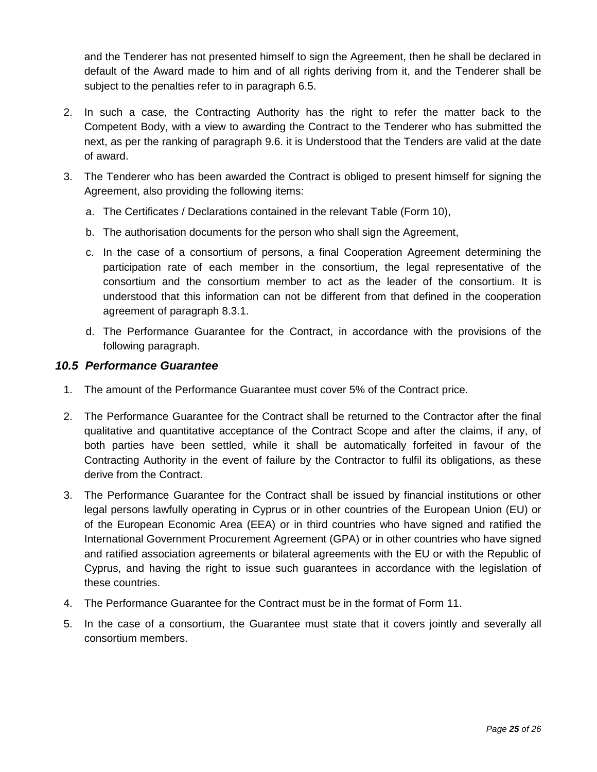and the Tenderer has not presented himself to sign the Agreement, then he shall be declared in default of the Award made to him and of all rights deriving from it, and the Tenderer shall be subject to the penalties refer to in paragraph 6.5.

- 2. In such a case, the Contracting Authority has the right to refer the matter back to the Competent Body, with a view to awarding the Contract to the Tenderer who has submitted the next, as per the ranking of paragraph 9.6. it is Understood that the Tenders are valid at the date of award.
- 3. The Tenderer who has been awarded the Contract is obliged to present himself for signing the Agreement, also providing the following items:
	- a. The Certificates / Declarations contained in the relevant Table (Form 10),
	- b. The authorisation documents for the person who shall sign the Agreement,
	- c. In the case of a consortium of persons, a final Cooperation Agreement determining the participation rate of each member in the consortium, the legal representative of the consortium and the consortium member to act as the leader of the consortium. It is understood that this information can not be different from that defined in the cooperation agreement of paragraph 8.3.1.
	- d. The Performance Guarantee for the Contract, in accordance with the provisions of the following paragraph.

## <span id="page-25-0"></span>*10.5 Performance Guarantee*

- 1. The amount of the Performance Guarantee must cover 5% of the Contract price.
- 2. The Performance Guarantee for the Contract shall be returned to the Contractor after the final qualitative and quantitative acceptance of the Contract Scope and after the claims, if any, of both parties have been settled, while it shall be automatically forfeited in favour of the Contracting Authority in the event of failure by the Contractor to fulfil its obligations, as these derive from the Contract.
- 3. The Performance Guarantee for the Contract shall be issued by financial institutions or other legal persons lawfully operating in Cyprus or in other countries of the European Union (EU) or of the European Economic Area (EEA) or in third countries who have signed and ratified the International Government Procurement Agreement (GPA) or in other countries who have signed and ratified association agreements or bilateral agreements with the EU or with the Republic of Cyprus, and having the right to issue such guarantees in accordance with the legislation of these countries.
- 4. The Performance Guarantee for the Contract must be in the format of Form 11.
- 5. In the case of a consortium, the Guarantee must state that it covers jointly and severally all consortium members.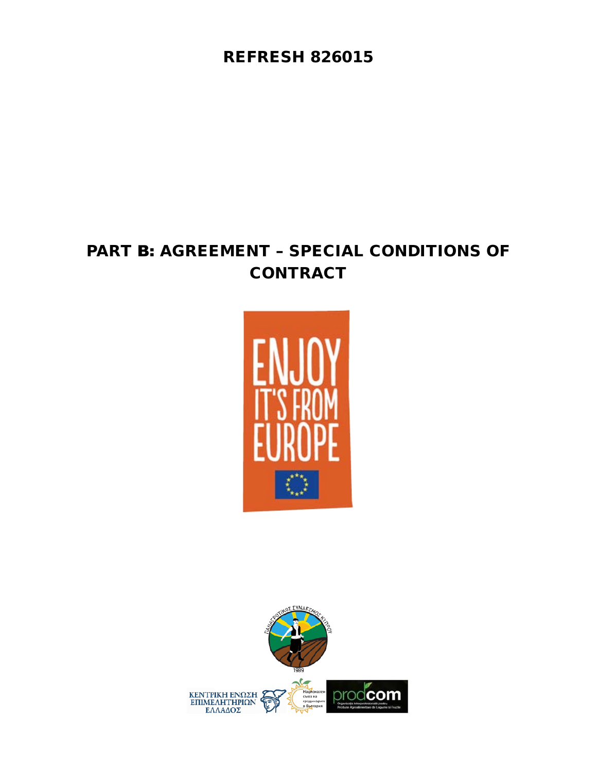REFRESH 826015

# PART Β: AGREEMENT – SPECIAL CONDITIONS OF **CONTRACT**



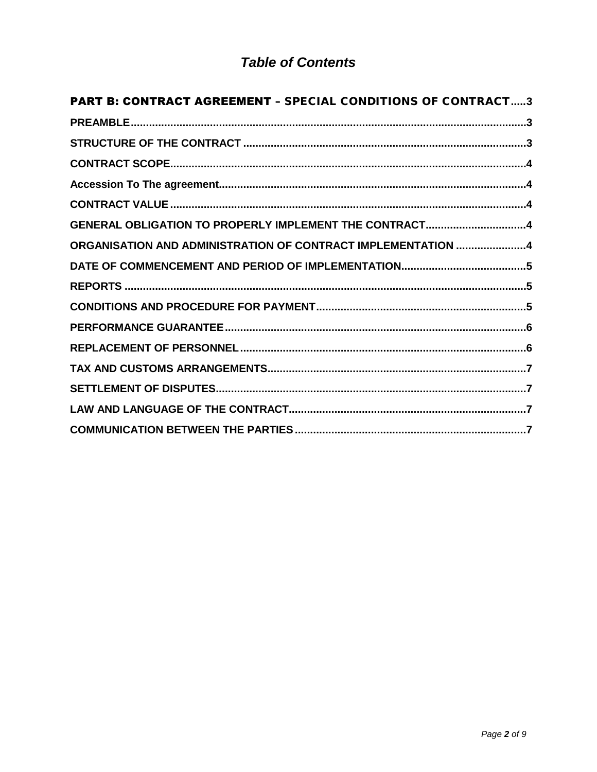## **Table of Contents**

| <b>PART B: CONTRACT AGREEMENT - SPECIAL CONDITIONS OF CONTRACT3</b> |  |
|---------------------------------------------------------------------|--|
|                                                                     |  |
|                                                                     |  |
|                                                                     |  |
|                                                                     |  |
|                                                                     |  |
| GENERAL OBLIGATION TO PROPERLY IMPLEMENT THE CONTRACT4              |  |
| ORGANISATION AND ADMINISTRATION OF CONTRACT IMPLEMENTATION 4        |  |
|                                                                     |  |
|                                                                     |  |
|                                                                     |  |
|                                                                     |  |
|                                                                     |  |
|                                                                     |  |
|                                                                     |  |
|                                                                     |  |
|                                                                     |  |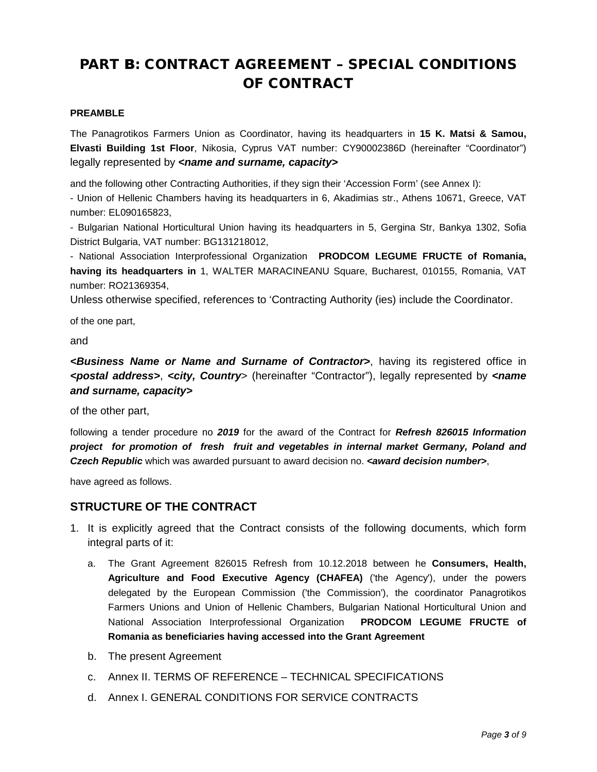## <span id="page-28-0"></span>PART Β: CONTRACT AGREEMENT – SPECIAL CONDITIONS OF CONTRACT

#### <span id="page-28-1"></span>**PREAMBLE**

The Panagrotikos Farmers Union as Coordinator, having its headquarters in **15 K. Matsi & Samou, Elvasti Building 1st Floor**, Nikosia, Cyprus VAT number: CY90002386D (hereinafter "Coordinator") legally represented by *<name and surname, capacity>*

and the following other Contracting Authorities, if they sign their 'Accession Form' (see Annex I):

- Union of Hellenic Chambers having its headquarters in 6, Akadimias str., Athens 10671, Greece, VAT number: EL090165823,

- Bulgarian National Horticultural Union having its headquarters in 5, Gergina Str, Bankya 1302, Sofia District Bulgaria, VAT number: BG131218012,

- National Association Interprofessional Organization **PRODCOM LEGUME FRUCTE of Romania, having its headquarters in** 1, WALTER MARACINEANU Square, Bucharest, 010155, Romania, VAT number: RO21369354,

Unless otherwise specified, references to 'Contracting Authority (ies) include the Coordinator.

of the one part,

and

*<Business Name or Name and Surname of Contractor>*, having its registered office in *<postal address>*, *<city, Country*> (hereinafter "Contractor"), legally represented by *<name and surname, capacity>*

of the other part,

following a tender procedure no *2019* for the award of the Contract for *Refresh 826015 Information project for promotion of fresh fruit and vegetables in internal market Germany, Poland and*  **Czech Republic** which was awarded pursuant to award decision no. *<award decision number>*,

<span id="page-28-2"></span>have agreed as follows.

## **STRUCTURE OF THE CONTRACT**

- 1. It is explicitly agreed that the Contract consists of the following documents, which form integral parts of it:
	- a. The Grant Agreement 826015 Refresh from 10.12.2018 between he **Consumers, Health, Agriculture and Food Executive Agency (CHAFEA)** ('the Agency'), under the powers delegated by the European Commission ('the Commission'), the coordinator Panagrotikos Farmers Unions and Union of Hellenic Chambers, Bulgarian National Horticultural Union and National Association Interprofessional Organization **PRODCOM LEGUME FRUCTE of Romania as beneficiaries having accessed into the Grant Agreement**
	- b. The present Agreement
	- c. Annex II. TERMS OF REFERENCE TECHNICAL SPECIFICATIONS
	- d. Annex I. GENERAL CONDITIONS FOR SERVICE CONTRACTS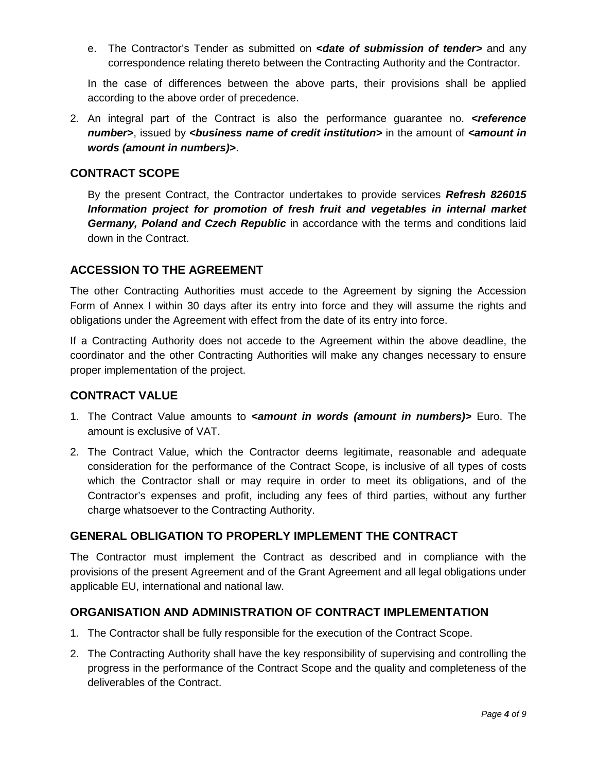e. The Contractor's Tender as submitted on *<date of submission of tender>* and any correspondence relating thereto between the Contracting Authority and the Contractor.

In the case of differences between the above parts, their provisions shall be applied according to the above order of precedence.

2. An integral part of the Contract is also the performance guarantee no. *<reference number>*, issued by *<business name of credit institution>* in the amount of *<amount in words (amount in numbers)>*.

## <span id="page-29-0"></span>**CONTRACT SCOPE**

By the present Contract, the Contractor undertakes to provide services *Refresh 826015 Information project for promotion of fresh fruit and vegetables in internal market Germany, Poland and Czech Republic* in accordance with the terms and conditions laid down in the Contract.

## <span id="page-29-1"></span>**ACCESSION TO THE AGREEMENT**

The other Contracting Authorities must accede to the Agreement by signing the Accession Form of Annex I within 30 days after its entry into force and they will assume the rights and obligations under the Agreement with effect from the date of its entry into force.

If a Contracting Authority does not accede to the Agreement within the above deadline, the coordinator and the other Contracting Authorities will make any changes necessary to ensure proper implementation of the project.

## <span id="page-29-2"></span>**CONTRACT VALUE**

- 1. The Contract Value amounts to *<amount in words (amount in numbers)>* Euro. The amount is exclusive of VAT.
- 2. The Contract Value, which the Contractor deems legitimate, reasonable and adequate consideration for the performance of the Contract Scope, is inclusive of all types of costs which the Contractor shall or may require in order to meet its obligations, and of the Contractor's expenses and profit, including any fees of third parties, without any further charge whatsoever to the Contracting Authority.

## <span id="page-29-3"></span>**GENERAL OBLIGATION TO PROPERLY IMPLEMENT THE CONTRACT**

The Contractor must implement the Contract as described and in compliance with the provisions of the present Agreement and of the Grant Agreement and all legal obligations under applicable EU, international and national law.

## <span id="page-29-4"></span>**ORGANISATION AND ADMINISTRATION OF CONTRACT IMPLEMENTATION**

- 1. The Contractor shall be fully responsible for the execution of the Contract Scope.
- 2. The Contracting Authority shall have the key responsibility of supervising and controlling the progress in the performance of the Contract Scope and the quality and completeness of the deliverables of the Contract.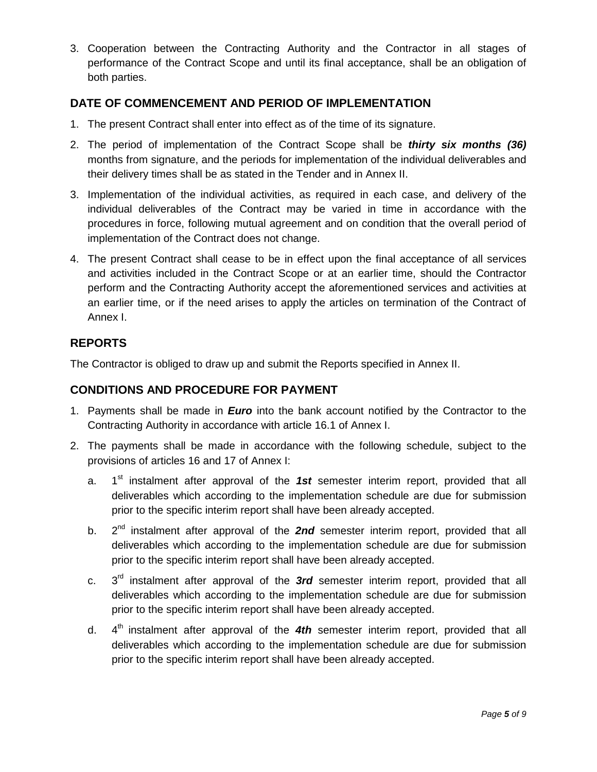3. Cooperation between the Contracting Authority and the Contractor in all stages of performance of the Contract Scope and until its final acceptance, shall be an obligation of both parties.

## <span id="page-30-0"></span>**DATE OF COMMENCEMENT AND PERIOD OF IMPLEMENTATION**

- 1. The present Contract shall enter into effect as of the time of its signature.
- 2. The period of implementation of the Contract Scope shall be *thirty six months (36)*  months from signature, and the periods for implementation of the individual deliverables and their delivery times shall be as stated in the Tender and in Annex II.
- 3. Implementation of the individual activities, as required in each case, and delivery of the individual deliverables of the Contract may be varied in time in accordance with the procedures in force, following mutual agreement and on condition that the overall period of implementation of the Contract does not change.
- 4. The present Contract shall cease to be in effect upon the final acceptance of all services and activities included in the Contract Scope or at an earlier time, should the Contractor perform and the Contracting Authority accept the aforementioned services and activities at an earlier time, or if the need arises to apply the articles on termination of the Contract of Annex I.

## <span id="page-30-1"></span>**REPORTS**

<span id="page-30-2"></span>The Contractor is obliged to draw up and submit the Reports specified in Annex II.

## **CONDITIONS AND PROCEDURE FOR PAYMENT**

- 1. Payments shall be made in *Euro* into the bank account notified by the Contractor to the Contracting Authority in accordance with article 16.1 of Annex I.
- 2. The payments shall be made in accordance with the following schedule, subject to the provisions of articles 16 and 17 of Annex I:
	- a. 1<sup>st</sup> instalment after approval of the 1st semester interim report, provided that all deliverables which according to the implementation schedule are due for submission prior to the specific interim report shall have been already accepted.
	- b. 2<sup>nd</sup> instalment after approval of the **2nd** semester interim report, provided that all deliverables which according to the implementation schedule are due for submission prior to the specific interim report shall have been already accepted.
	- c. 3rd instalment after approval of the *3rd* semester interim report, provided that all deliverables which according to the implementation schedule are due for submission prior to the specific interim report shall have been already accepted.
	- d. 4<sup>th</sup> instalment after approval of the 4th semester interim report, provided that all deliverables which according to the implementation schedule are due for submission prior to the specific interim report shall have been already accepted.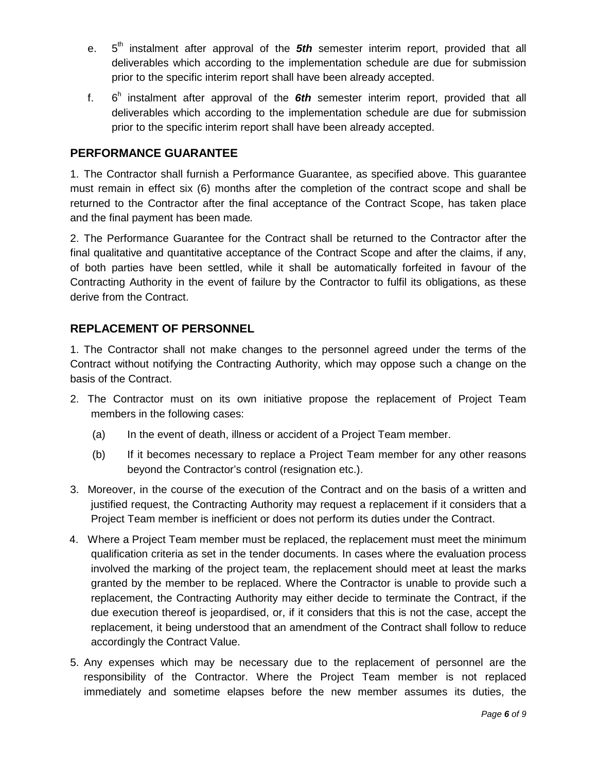- e. 5<sup>th</sup> instalment after approval of the **5th** semester interim report, provided that all deliverables which according to the implementation schedule are due for submission prior to the specific interim report shall have been already accepted.
- f. 6h instalment after approval of the *6th* semester interim report, provided that all deliverables which according to the implementation schedule are due for submission prior to the specific interim report shall have been already accepted.

## <span id="page-31-0"></span>**PERFORMANCE GUARANTEE**

1. The Contractor shall furnish a Performance Guarantee, as specified above. This guarantee must remain in effect six (6) months after the completion of the contract scope and shall be returned to the Contractor after the final acceptance of the Contract Scope, has taken place and the final payment has been made*.*

2. The Performance Guarantee for the Contract shall be returned to the Contractor after the final qualitative and quantitative acceptance of the Contract Scope and after the claims, if any, of both parties have been settled, while it shall be automatically forfeited in favour of the Contracting Authority in the event of failure by the Contractor to fulfil its obligations, as these derive from the Contract.

## <span id="page-31-1"></span>**REPLACEMENT OF PERSONNEL**

1. The Contractor shall not make changes to the personnel agreed under the terms of the Contract without notifying the Contracting Authority, which may oppose such a change on the basis of the Contract.

- 2. The Contractor must on its own initiative propose the replacement of Project Team members in the following cases:
	- (a) In the event of death, illness or accident of a Project Team member.
	- (b) If it becomes necessary to replace a Project Team member for any other reasons beyond the Contractor's control (resignation etc.).
- 3. Moreover, in the course of the execution of the Contract and on the basis of a written and justified request, the Contracting Authority may request a replacement if it considers that a Project Team member is inefficient or does not perform its duties under the Contract.
- 4. Where a Project Team member must be replaced, the replacement must meet the minimum qualification criteria as set in the tender documents. In cases where the evaluation process involved the marking of the project team, the replacement should meet at least the marks granted by the member to be replaced. Where the Contractor is unable to provide such a replacement, the Contracting Authority may either decide to terminate the Contract, if the due execution thereof is jeopardised, or, if it considers that this is not the case, accept the replacement, it being understood that an amendment of the Contract shall follow to reduce accordingly the Contract Value.
- 5. Any expenses which may be necessary due to the replacement of personnel are the responsibility of the Contractor. Where the Project Team member is not replaced immediately and sometime elapses before the new member assumes its duties, the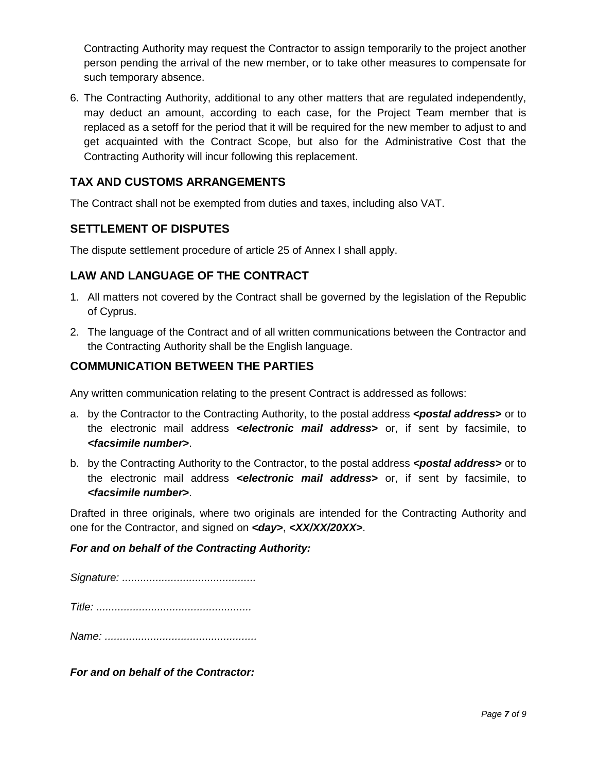Contracting Authority may request the Contractor to assign temporarily to the project another person pending the arrival of the new member, or to take other measures to compensate for such temporary absence.

6. The Contracting Authority, additional to any other matters that are regulated independently, may deduct an amount, according to each case, for the Project Team member that is replaced as a setoff for the period that it will be required for the new member to adjust to and get acquainted with the Contract Scope, but also for the Administrative Cost that the Contracting Authority will incur following this replacement.

## <span id="page-32-0"></span>**TAX AND CUSTOMS ARRANGEMENTS**

The Contract shall not be exempted from duties and taxes, including also VAT.

## <span id="page-32-1"></span>**SETTLEMENT OF DISPUTES**

The dispute settlement procedure of article 25 of Annex I shall apply.

## <span id="page-32-2"></span>**LAW AND LANGUAGE OF THE CONTRACT**

- 1. All matters not covered by the Contract shall be governed by the legislation of the Republic of Cyprus.
- 2. The language of the Contract and of all written communications between the Contractor and the Contracting Authority shall be the English language.

## <span id="page-32-3"></span>**COMMUNICATION BETWEEN THE PARTIES**

Any written communication relating to the present Contract is addressed as follows:

- a. by the Contractor to the Contracting Authority, to the postal address *<postal address>* or to the electronic mail address *<electronic mail address>* or, if sent by facsimile, to *<facsimile number>*.
- b. by the Contracting Authority to the Contractor, to the postal address *<postal address>* or to the electronic mail address *<electronic mail address>* or, if sent by facsimile, to *<facsimile number>*.

Drafted in three originals, where two originals are intended for the Contracting Authority and one for the Contractor, and signed on *<day>*, *<XX/XX/20XX>*.

## *For and on behalf of the Contracting Authority:*

*Signature: ............................................ Title: ...................................................*

*Name: ..................................................*

*For and on behalf of the Contractor:*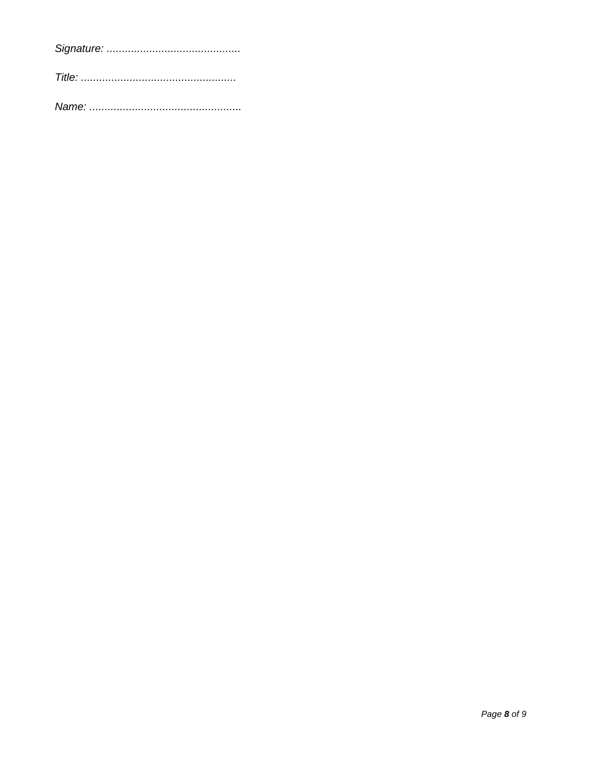Page 8 of 9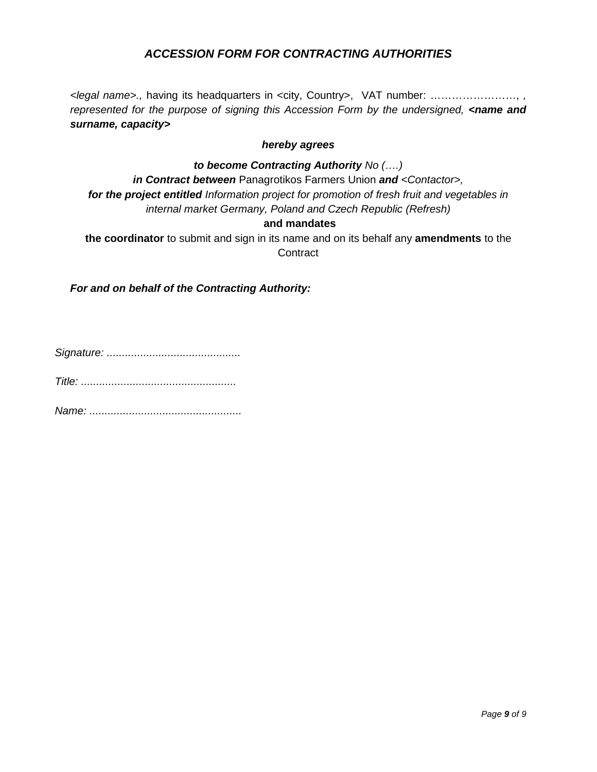## *ACCESSION FORM FOR CONTRACTING AUTHORITIES*

*<legal name>.,* having its headquarters in <city, Country>, VAT number: ……………………, *, represented for the purpose of signing this Accession Form by the undersigned, <name and surname, capacity>*

#### *hereby agrees*

#### *to become Contracting Authority No (….)*

*in Contract between* Panagrotikos Farmers Union *and <Contactor>, for the project entitled Information project for promotion of fresh fruit and vegetables in internal market Germany, Poland and Czech Republic (Refresh)*

## **and mandates**

**the coordinator** to submit and sign in its name and on its behalf any **amendments** to the **Contract** 

*For and on behalf of the Contracting Authority:*

*Signature: ............................................*

*Title: ...................................................*

*Name: ..................................................*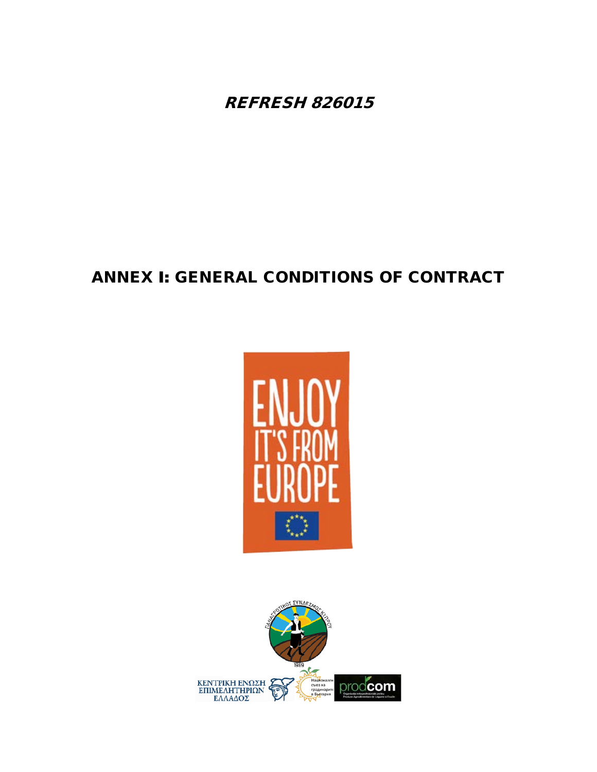REFRESH 826015

# ANNEX Ι: GENERAL CONDITIONS OF CONTRACT



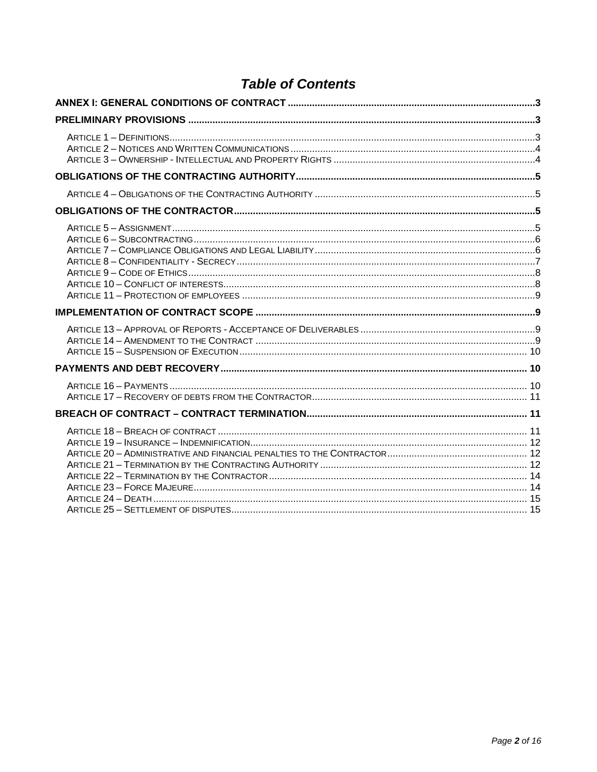# **Table of Contents**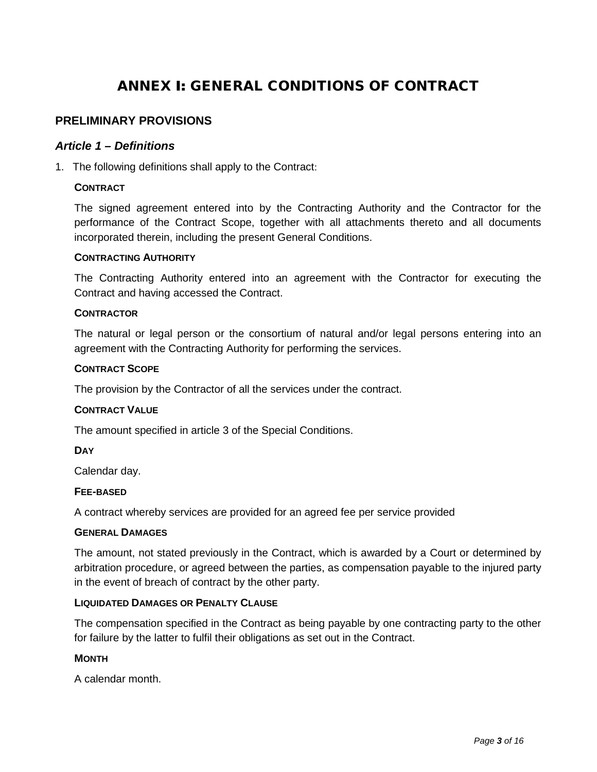# ANNEX Ι: GENERAL CONDITIONS OF CONTRACT

### <span id="page-37-2"></span><span id="page-37-1"></span><span id="page-37-0"></span>**PRELIMINARY PROVISIONS**

#### *Article 1 – Definitions*

1. The following definitions shall apply to the Contract:

#### **CONTRACT**

The signed agreement entered into by the Contracting Authority and the Contractor for the performance of the Contract Scope, together with all attachments thereto and all documents incorporated therein, including the present General Conditions.

#### **CONTRACTING AUTHORITY**

The Contracting Authority entered into an agreement with the Contractor for executing the Contract and having accessed the Contract.

#### **CONTRACTOR**

The natural or legal person or the consortium of natural and/or legal persons entering into an agreement with the Contracting Authority for performing the services.

#### **CONTRACT SCOPE**

The provision by the Contractor of all the services under the contract.

#### **CONTRACT VALUE**

The amount specified in article 3 of the Special Conditions.

#### **DAY**

Calendar day.

#### **FEE-BASED**

A contract whereby services are provided for an agreed fee per service provided

#### **GENERAL DAMAGES**

The amount, not stated previously in the Contract, which is awarded by a Court or determined by arbitration procedure, or agreed between the parties, as compensation payable to the injured party in the event of breach of contract by the other party.

#### **LIQUIDATED DAMAGES OR PENALTY CLAUSE**

The compensation specified in the Contract as being payable by one contracting party to the other for failure by the latter to fulfil their obligations as set out in the Contract.

#### **MONTH**

A calendar month.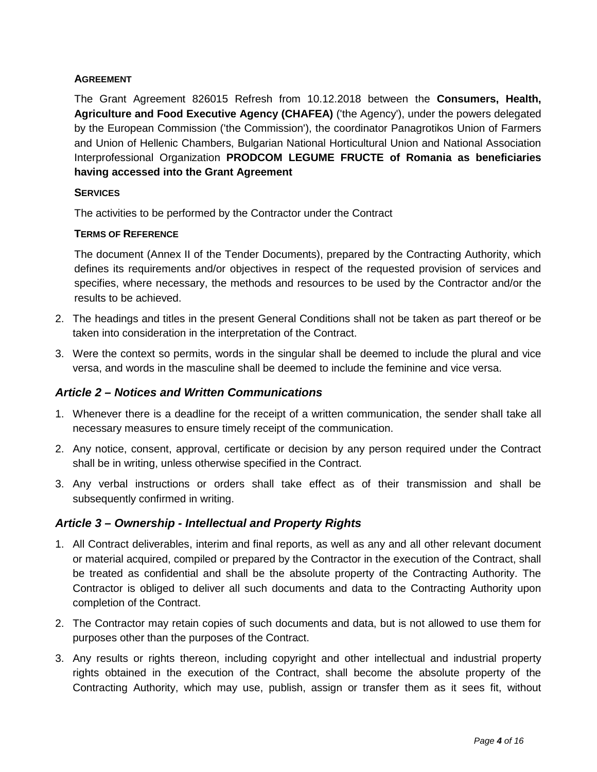#### **AGREEMENT**

The Grant Agreement 826015 Refresh from 10.12.2018 between the **Consumers, Health, Agriculture and Food Executive Agency (CHAFEA)** ('the Agency'), under the powers delegated by the European Commission ('the Commission'), the coordinator Panagrotikos Union of Farmers and Union of Hellenic Chambers, Bulgarian National Horticultural Union and National Association Interprofessional Organization **PRODCOM LEGUME FRUCTE of Romania as beneficiaries having accessed into the Grant Agreement** 

#### **SERVICES**

The activities to be performed by the Contractor under the Contract

#### **TERMS OF REFERENCE**

The document (Annex II of the Tender Documents), prepared by the Contracting Authority, which defines its requirements and/or objectives in respect of the requested provision of services and specifies, where necessary, the methods and resources to be used by the Contractor and/or the results to be achieved.

- 2. The headings and titles in the present General Conditions shall not be taken as part thereof or be taken into consideration in the interpretation of the Contract.
- 3. Were the context so permits, words in the singular shall be deemed to include the plural and vice versa, and words in the masculine shall be deemed to include the feminine and vice versa.

# <span id="page-38-0"></span>*Article 2 – Notices and Written Communications*

- 1. Whenever there is a deadline for the receipt of a written communication, the sender shall take all necessary measures to ensure timely receipt of the communication.
- 2. Any notice, consent, approval, certificate or decision by any person required under the Contract shall be in writing, unless otherwise specified in the Contract.
- 3. Any verbal instructions or orders shall take effect as of their transmission and shall be subsequently confirmed in writing.

#### <span id="page-38-1"></span>*Article 3 – Ownership - Intellectual and Property Rights*

- 1. All Contract deliverables, interim and final reports, as well as any and all other relevant document or material acquired, compiled or prepared by the Contractor in the execution of the Contract, shall be treated as confidential and shall be the absolute property of the Contracting Authority. The Contractor is obliged to deliver all such documents and data to the Contracting Authority upon completion of the Contract.
- 2. The Contractor may retain copies of such documents and data, but is not allowed to use them for purposes other than the purposes of the Contract.
- 3. Any results or rights thereon, including copyright and other intellectual and industrial property rights obtained in the execution of the Contract, shall become the absolute property of the Contracting Authority, which may use, publish, assign or transfer them as it sees fit, without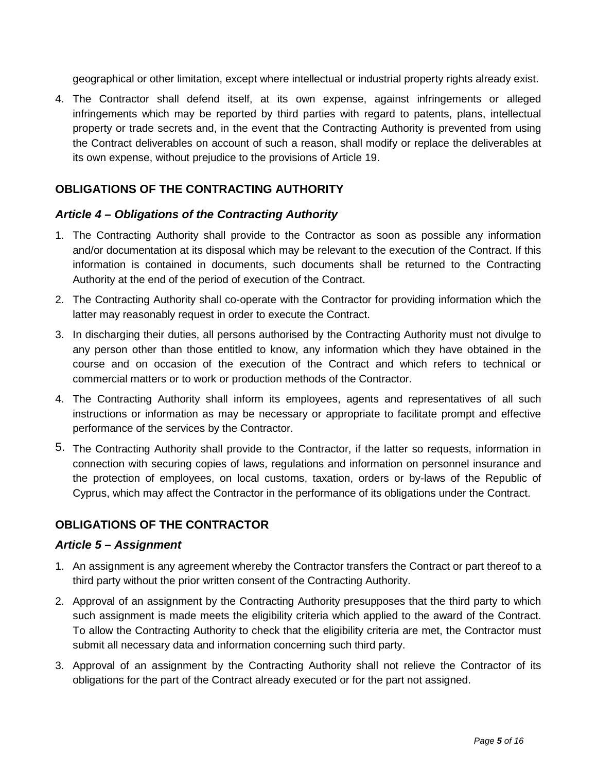geographical or other limitation, except where intellectual or industrial property rights already exist.

4. The Contractor shall defend itself, at its own expense, against infringements or alleged infringements which may be reported by third parties with regard to patents, plans, intellectual property or trade secrets and, in the event that the Contracting Authority is prevented from using the Contract deliverables on account of such a reason, shall modify or replace the deliverables at its own expense, without prejudice to the provisions of Article 19.

# <span id="page-39-0"></span>**OBLIGATIONS OF THE CONTRACTING AUTHORITY**

## <span id="page-39-1"></span>*Article 4 – Obligations of the Contracting Authority*

- 1. The Contracting Authority shall provide to the Contractor as soon as possible any information and/or documentation at its disposal which may be relevant to the execution of the Contract. If this information is contained in documents, such documents shall be returned to the Contracting Authority at the end of the period of execution of the Contract.
- 2. The Contracting Authority shall co-operate with the Contractor for providing information which the latter may reasonably request in order to execute the Contract.
- 3. In discharging their duties, all persons authorised by the Contracting Authority must not divulge to any person other than those entitled to know, any information which they have obtained in the course and on occasion of the execution of the Contract and which refers to technical or commercial matters or to work or production methods of the Contractor.
- 4. The Contracting Authority shall inform its employees, agents and representatives of all such instructions or information as may be necessary or appropriate to facilitate prompt and effective performance of the services by the Contractor.
- 5. The Contracting Authority shall provide to the Contractor, if the latter so requests, information in connection with securing copies of laws, regulations and information on personnel insurance and the protection of employees, on local customs, taxation, orders or by-laws of the Republic of Cyprus, which may affect the Contractor in the performance of its obligations under the Contract.

# <span id="page-39-2"></span>**OBLIGATIONS OF THE CONTRACTOR**

#### <span id="page-39-3"></span>*Article 5 – Assignment*

- 1. An assignment is any agreement whereby the Contractor transfers the Contract or part thereof to a third party without the prior written consent of the Contracting Authority.
- 2. Approval of an assignment by the Contracting Authority presupposes that the third party to which such assignment is made meets the eligibility criteria which applied to the award of the Contract. To allow the Contracting Authority to check that the eligibility criteria are met, the Contractor must submit all necessary data and information concerning such third party.
- 3. Approval of an assignment by the Contracting Authority shall not relieve the Contractor of its obligations for the part of the Contract already executed or for the part not assigned.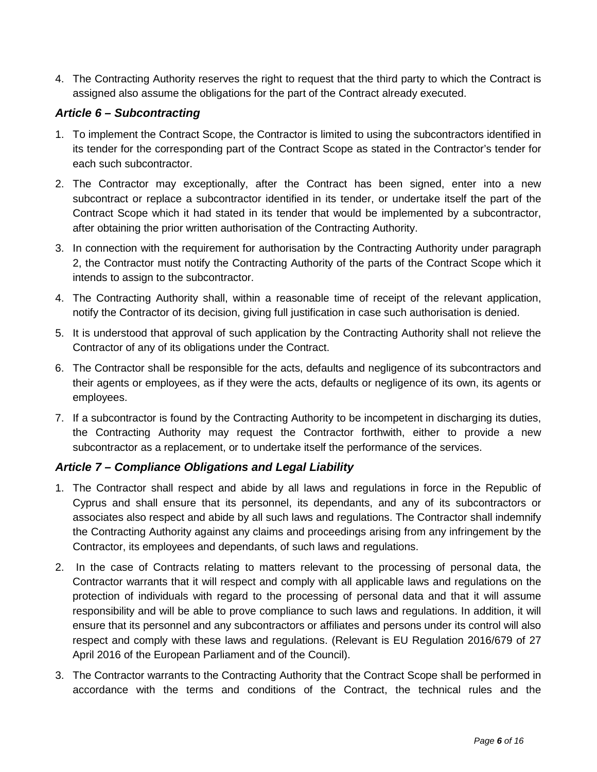4. The Contracting Authority reserves the right to request that the third party to which the Contract is assigned also assume the obligations for the part of the Contract already executed.

# <span id="page-40-0"></span>*Article 6 – Subcontracting*

- 1. To implement the Contract Scope, the Contractor is limited to using the subcontractors identified in its tender for the corresponding part of the Contract Scope as stated in the Contractor's tender for each such subcontractor.
- 2. The Contractor may exceptionally, after the Contract has been signed, enter into a new subcontract or replace a subcontractor identified in its tender, or undertake itself the part of the Contract Scope which it had stated in its tender that would be implemented by a subcontractor, after obtaining the prior written authorisation of the Contracting Authority.
- 3. In connection with the requirement for authorisation by the Contracting Authority under paragraph 2, the Contractor must notify the Contracting Authority of the parts of the Contract Scope which it intends to assign to the subcontractor.
- 4. The Contracting Authority shall, within a reasonable time of receipt of the relevant application, notify the Contractor of its decision, giving full justification in case such authorisation is denied.
- 5. It is understood that approval of such application by the Contracting Authority shall not relieve the Contractor of any of its obligations under the Contract.
- 6. The Contractor shall be responsible for the acts, defaults and negligence of its subcontractors and their agents or employees, as if they were the acts, defaults or negligence of its own, its agents or employees.
- 7. If a subcontractor is found by the Contracting Authority to be incompetent in discharging its duties, the Contracting Authority may request the Contractor forthwith, either to provide a new subcontractor as a replacement, or to undertake itself the performance of the services.

# <span id="page-40-1"></span>*Article 7 – Compliance Obligations and Legal Liability*

- 1. The Contractor shall respect and abide by all laws and regulations in force in the Republic of Cyprus and shall ensure that its personnel, its dependants, and any of its subcontractors or associates also respect and abide by all such laws and regulations. The Contractor shall indemnify the Contracting Authority against any claims and proceedings arising from any infringement by the Contractor, its employees and dependants, of such laws and regulations.
- 2. In the case of Contracts relating to matters relevant to the processing of personal data, the Contractor warrants that it will respect and comply with all applicable laws and regulations on the protection of individuals with regard to the processing of personal data and that it will assume responsibility and will be able to prove compliance to such laws and regulations. In addition, it will ensure that its personnel and any subcontractors or affiliates and persons under its control will also respect and comply with these laws and regulations. (Relevant is EU Regulation 2016/679 of 27 April 2016 of the European Parliament and of the Council).
- 3. The Contractor warrants to the Contracting Authority that the Contract Scope shall be performed in accordance with the terms and conditions of the Contract, the technical rules and the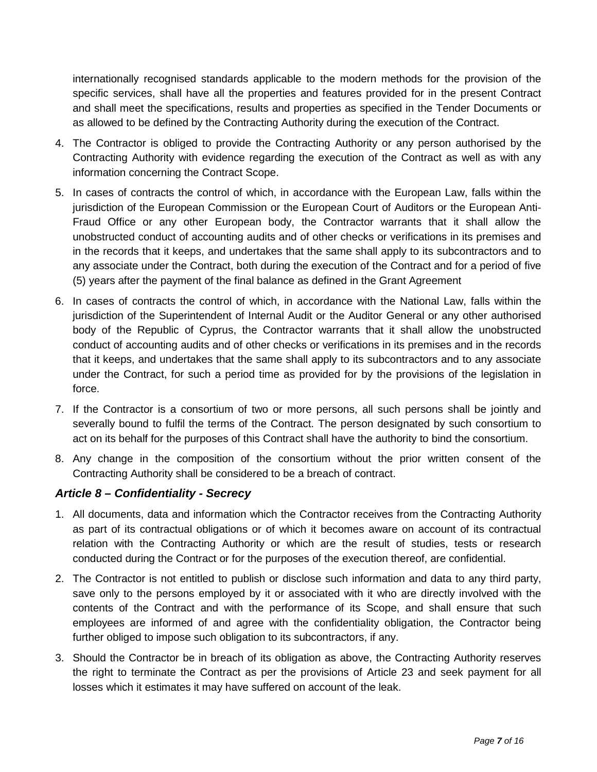internationally recognised standards applicable to the modern methods for the provision of the specific services, shall have all the properties and features provided for in the present Contract and shall meet the specifications, results and properties as specified in the Tender Documents or as allowed to be defined by the Contracting Authority during the execution of the Contract.

- 4. The Contractor is obliged to provide the Contracting Authority or any person authorised by the Contracting Authority with evidence regarding the execution of the Contract as well as with any information concerning the Contract Scope.
- 5. In cases of contracts the control of which, in accordance with the European Law, falls within the jurisdiction of the European Commission or the European Court of Auditors or the European Anti-Fraud Office or any other European body, the Contractor warrants that it shall allow the unobstructed conduct of accounting audits and of other checks or verifications in its premises and in the records that it keeps, and undertakes that the same shall apply to its subcontractors and to any associate under the Contract, both during the execution of the Contract and for a period of five (5) years after the payment of the final balance as defined in the Grant Agreement
- 6. In cases of contracts the control of which, in accordance with the National Law, falls within the jurisdiction of the Superintendent of Internal Audit or the Auditor General or any other authorised body of the Republic of Cyprus, the Contractor warrants that it shall allow the unobstructed conduct of accounting audits and of other checks or verifications in its premises and in the records that it keeps, and undertakes that the same shall apply to its subcontractors and to any associate under the Contract, for such a period time as provided for by the provisions of the legislation in force.
- 7. If the Contractor is a consortium of two or more persons, all such persons shall be jointly and severally bound to fulfil the terms of the Contract. The person designated by such consortium to act on its behalf for the purposes of this Contract shall have the authority to bind the consortium.
- 8. Any change in the composition of the consortium without the prior written consent of the Contracting Authority shall be considered to be a breach of contract.

# <span id="page-41-0"></span>*Article 8 – Confidentiality - Secrecy*

- 1. All documents, data and information which the Contractor receives from the Contracting Authority as part of its contractual obligations or of which it becomes aware on account of its contractual relation with the Contracting Authority or which are the result of studies, tests or research conducted during the Contract or for the purposes of the execution thereof, are confidential.
- 2. The Contractor is not entitled to publish or disclose such information and data to any third party, save only to the persons employed by it or associated with it who are directly involved with the contents of the Contract and with the performance of its Scope, and shall ensure that such employees are informed of and agree with the confidentiality obligation, the Contractor being further obliged to impose such obligation to its subcontractors, if any.
- 3. Should the Contractor be in breach of its obligation as above, the Contracting Authority reserves the right to terminate the Contract as per the provisions of Article 23 and seek payment for all losses which it estimates it may have suffered on account of the leak.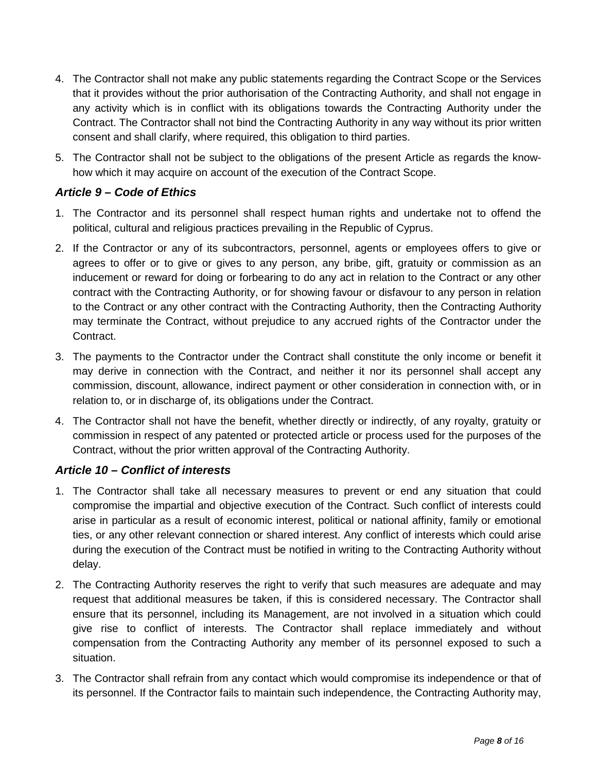- 4. The Contractor shall not make any public statements regarding the Contract Scope or the Services that it provides without the prior authorisation of the Contracting Authority, and shall not engage in any activity which is in conflict with its obligations towards the Contracting Authority under the Contract. The Contractor shall not bind the Contracting Authority in any way without its prior written consent and shall clarify, where required, this obligation to third parties.
- 5. The Contractor shall not be subject to the obligations of the present Article as regards the knowhow which it may acquire on account of the execution of the Contract Scope.

# <span id="page-42-0"></span>*Article 9 – Code of Ethics*

- 1. The Contractor and its personnel shall respect human rights and undertake not to offend the political, cultural and religious practices prevailing in the Republic of Cyprus.
- 2. If the Contractor or any of its subcontractors, personnel, agents or employees offers to give or agrees to offer or to give or gives to any person, any bribe, gift, gratuity or commission as an inducement or reward for doing or forbearing to do any act in relation to the Contract or any other contract with the Contracting Authority, or for showing favour or disfavour to any person in relation to the Contract or any other contract with the Contracting Authority, then the Contracting Authority may terminate the Contract, without prejudice to any accrued rights of the Contractor under the Contract.
- 3. The payments to the Contractor under the Contract shall constitute the only income or benefit it may derive in connection with the Contract, and neither it nor its personnel shall accept any commission, discount, allowance, indirect payment or other consideration in connection with, or in relation to, or in discharge of, its obligations under the Contract.
- 4. The Contractor shall not have the benefit, whether directly or indirectly, of any royalty, gratuity or commission in respect of any patented or protected article or process used for the purposes of the Contract, without the prior written approval of the Contracting Authority.

# <span id="page-42-1"></span>*Article 10 – Conflict of interests*

- 1. The Contractor shall take all necessary measures to prevent or end any situation that could compromise the impartial and objective execution of the Contract. Such conflict of interests could arise in particular as a result of economic interest, political or national affinity, family or emotional ties, or any other relevant connection or shared interest. Any conflict of interests which could arise during the execution of the Contract must be notified in writing to the Contracting Authority without delay.
- 2. The Contracting Authority reserves the right to verify that such measures are adequate and may request that additional measures be taken, if this is considered necessary. The Contractor shall ensure that its personnel, including its Management, are not involved in a situation which could give rise to conflict of interests. The Contractor shall replace immediately and without compensation from the Contracting Authority any member of its personnel exposed to such a situation.
- 3. The Contractor shall refrain from any contact which would compromise its independence or that of its personnel. If the Contractor fails to maintain such independence, the Contracting Authority may,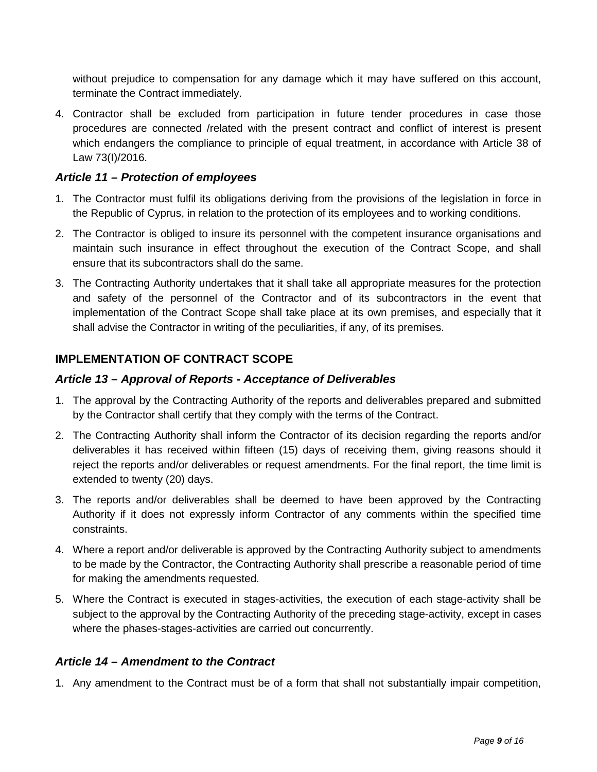without prejudice to compensation for any damage which it may have suffered on this account, terminate the Contract immediately.

4. Contractor shall be excluded from participation in future tender procedures in case those procedures are connected /related with the present contract and conflict of interest is present which endangers the compliance to principle of equal treatment, in accordance with Article 38 of Law 73(I)/2016.

#### <span id="page-43-0"></span>*Article 11 – Protection of employees*

- 1. The Contractor must fulfil its obligations deriving from the provisions of the legislation in force in the Republic of Cyprus, in relation to the protection of its employees and to working conditions.
- 2. The Contractor is obliged to insure its personnel with the competent insurance organisations and maintain such insurance in effect throughout the execution of the Contract Scope, and shall ensure that its subcontractors shall do the same.
- 3. The Contracting Authority undertakes that it shall take all appropriate measures for the protection and safety of the personnel of the Contractor and of its subcontractors in the event that implementation of the Contract Scope shall take place at its own premises, and especially that it shall advise the Contractor in writing of the peculiarities, if any, of its premises.

#### <span id="page-43-1"></span>**IMPLEMENTATION OF CONTRACT SCOPE**

#### <span id="page-43-2"></span>*Article 13 – Approval of Reports - Acceptance of Deliverables*

- 1. The approval by the Contracting Authority of the reports and deliverables prepared and submitted by the Contractor shall certify that they comply with the terms of the Contract.
- 2. The Contracting Authority shall inform the Contractor of its decision regarding the reports and/or deliverables it has received within fifteen (15) days of receiving them, giving reasons should it reject the reports and/or deliverables or request amendments. For the final report, the time limit is extended to twenty (20) days.
- 3. The reports and/or deliverables shall be deemed to have been approved by the Contracting Authority if it does not expressly inform Contractor of any comments within the specified time constraints.
- 4. Where a report and/or deliverable is approved by the Contracting Authority subject to amendments to be made by the Contractor, the Contracting Authority shall prescribe a reasonable period of time for making the amendments requested.
- 5. Where the Contract is executed in stages-activities, the execution of each stage-activity shall be subject to the approval by the Contracting Authority of the preceding stage-activity, except in cases where the phases-stages-activities are carried out concurrently.

#### <span id="page-43-3"></span>*Article 14 – Amendment to the Contract*

1. Any amendment to the Contract must be of a form that shall not substantially impair competition,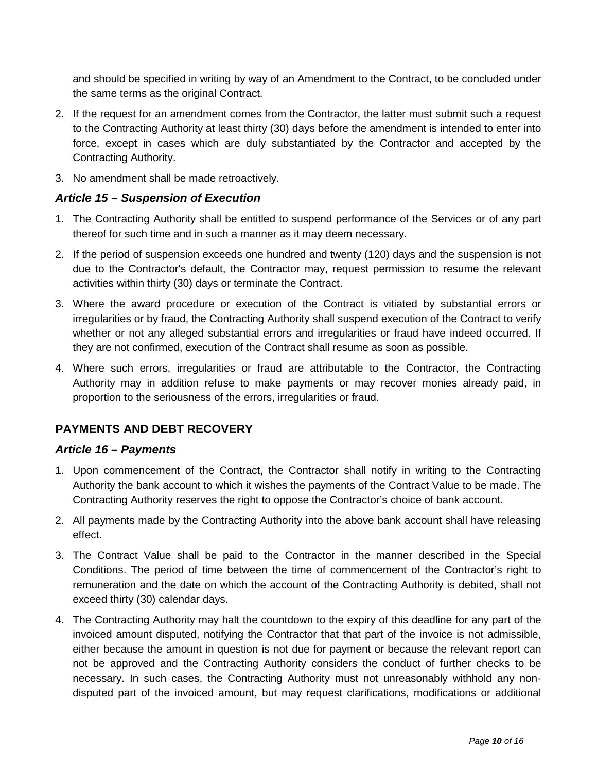and should be specified in writing by way of an Amendment to the Contract, to be concluded under the same terms as the original Contract.

- 2. If the request for an amendment comes from the Contractor, the latter must submit such a request to the Contracting Authority at least thirty (30) days before the amendment is intended to enter into force, except in cases which are duly substantiated by the Contractor and accepted by the Contracting Authority.
- 3. No amendment shall be made retroactively.

# <span id="page-44-0"></span>*Article 15 – Suspension of Execution*

- 1. The Contracting Authority shall be entitled to suspend performance of the Services or of any part thereof for such time and in such a manner as it may deem necessary.
- 2. If the period of suspension exceeds one hundred and twenty (120) days and the suspension is not due to the Contractor's default, the Contractor may, request permission to resume the relevant activities within thirty (30) days or terminate the Contract.
- 3. Where the award procedure or execution of the Contract is vitiated by substantial errors or irregularities or by fraud, the Contracting Authority shall suspend execution of the Contract to verify whether or not any alleged substantial errors and irregularities or fraud have indeed occurred. If they are not confirmed, execution of the Contract shall resume as soon as possible.
- 4. Where such errors, irregularities or fraud are attributable to the Contractor, the Contracting Authority may in addition refuse to make payments or may recover monies already paid, in proportion to the seriousness of the errors, irregularities or fraud.

# <span id="page-44-1"></span>**PAYMENTS AND DEBT RECOVERY**

# <span id="page-44-2"></span>*Article 16 – Payments*

- 1. Upon commencement of the Contract, the Contractor shall notify in writing to the Contracting Authority the bank account to which it wishes the payments of the Contract Value to be made. The Contracting Authority reserves the right to oppose the Contractor's choice of bank account.
- 2. All payments made by the Contracting Authority into the above bank account shall have releasing effect.
- 3. The Contract Value shall be paid to the Contractor in the manner described in the Special Conditions. The period of time between the time of commencement of the Contractor's right to remuneration and the date on which the account of the Contracting Authority is debited, shall not exceed thirty (30) calendar days.
- 4. The Contracting Authority may halt the countdown to the expiry of this deadline for any part of the invoiced amount disputed, notifying the Contractor that that part of the invoice is not admissible, either because the amount in question is not due for payment or because the relevant report can not be approved and the Contracting Authority considers the conduct of further checks to be necessary. In such cases, the Contracting Authority must not unreasonably withhold any nondisputed part of the invoiced amount, but may request clarifications, modifications or additional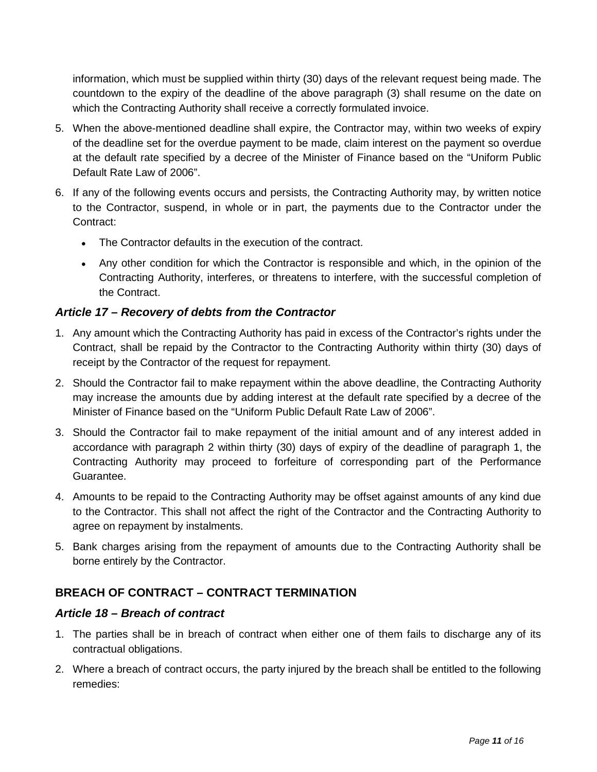information, which must be supplied within thirty (30) days of the relevant request being made. The countdown to the expiry of the deadline of the above paragraph (3) shall resume on the date on which the Contracting Authority shall receive a correctly formulated invoice.

- 5. When the above-mentioned deadline shall expire, the Contractor may, within two weeks of expiry of the deadline set for the overdue payment to be made, claim interest on the payment so overdue at the default rate specified by a decree of the Minister of Finance based on the "Uniform Public Default Rate Law of 2006".
- 6. If any of the following events occurs and persists, the Contracting Authority may, by written notice to the Contractor, suspend, in whole or in part, the payments due to the Contractor under the Contract:
	- The Contractor defaults in the execution of the contract.
	- Any other condition for which the Contractor is responsible and which, in the opinion of the Contracting Authority, interferes, or threatens to interfere, with the successful completion of the Contract.

# <span id="page-45-0"></span>*Article 17 – Recovery of debts from the Contractor*

- 1. Any amount which the Contracting Authority has paid in excess of the Contractor's rights under the Contract, shall be repaid by the Contractor to the Contracting Authority within thirty (30) days of receipt by the Contractor of the request for repayment.
- 2. Should the Contractor fail to make repayment within the above deadline, the Contracting Authority may increase the amounts due by adding interest at the default rate specified by a decree of the Minister of Finance based on the "Uniform Public Default Rate Law of 2006".
- 3. Should the Contractor fail to make repayment of the initial amount and of any interest added in accordance with paragraph 2 within thirty (30) days of expiry of the deadline of paragraph 1, the Contracting Authority may proceed to forfeiture of corresponding part of the Performance Guarantee.
- 4. Amounts to be repaid to the Contracting Authority may be offset against amounts of any kind due to the Contractor. This shall not affect the right of the Contractor and the Contracting Authority to agree on repayment by instalments.
- 5. Bank charges arising from the repayment of amounts due to the Contracting Authority shall be borne entirely by the Contractor.

# <span id="page-45-1"></span>**BREACH OF CONTRACT – CONTRACT TERMINATION**

#### <span id="page-45-2"></span>*Article 18 – Breach of contract*

- 1. The parties shall be in breach of contract when either one of them fails to discharge any of its contractual obligations.
- 2. Where a breach of contract occurs, the party injured by the breach shall be entitled to the following remedies: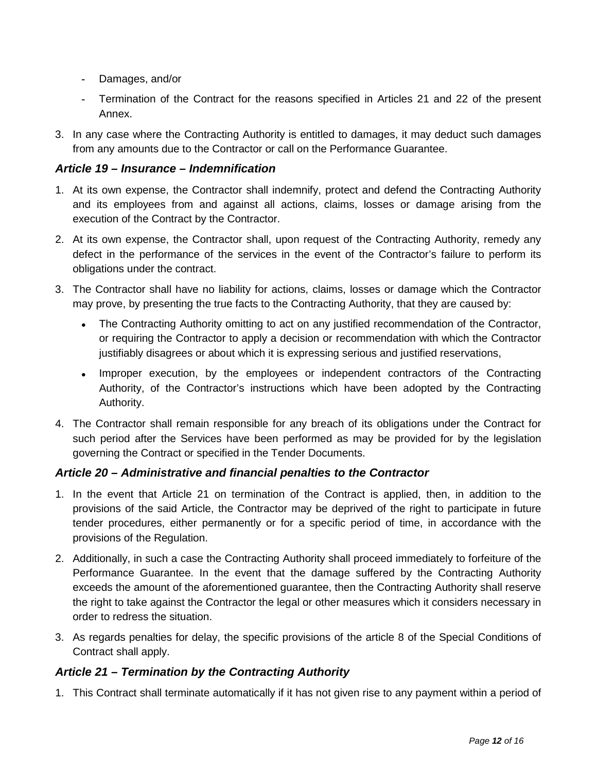- **-** Damages, and/or
- **-** Termination of the Contract for the reasons specified in Articles 21 and 22 of the present Annex.
- 3. In any case where the Contracting Authority is entitled to damages, it may deduct such damages from any amounts due to the Contractor or call on the Performance Guarantee.

# <span id="page-46-0"></span>*Article 19 – Insurance – Indemnification*

- 1. At its own expense, the Contractor shall indemnify, protect and defend the Contracting Authority and its employees from and against all actions, claims, losses or damage arising from the execution of the Contract by the Contractor.
- 2. At its own expense, the Contractor shall, upon request of the Contracting Authority, remedy any defect in the performance of the services in the event of the Contractor's failure to perform its obligations under the contract.
- 3. The Contractor shall have no liability for actions, claims, losses or damage which the Contractor may prove, by presenting the true facts to the Contracting Authority, that they are caused by:
	- The Contracting Authority omitting to act on any justified recommendation of the Contractor, or requiring the Contractor to apply a decision or recommendation with which the Contractor justifiably disagrees or about which it is expressing serious and justified reservations,
	- Improper execution, by the employees or independent contractors of the Contracting Authority, of the Contractor's instructions which have been adopted by the Contracting Authority.
- 4. The Contractor shall remain responsible for any breach of its obligations under the Contract for such period after the Services have been performed as may be provided for by the legislation governing the Contract or specified in the Tender Documents.

# <span id="page-46-1"></span>*Article 20 – Administrative and financial penalties to the Contractor*

- 1. In the event that Article 21 on termination of the Contract is applied, then, in addition to the provisions of the said Article, the Contractor may be deprived of the right to participate in future tender procedures, either permanently or for a specific period of time, in accordance with the provisions of the Regulation.
- 2. Additionally, in such a case the Contracting Authority shall proceed immediately to forfeiture of the Performance Guarantee. In the event that the damage suffered by the Contracting Authority exceeds the amount of the aforementioned guarantee, then the Contracting Authority shall reserve the right to take against the Contractor the legal or other measures which it considers necessary in order to redress the situation.
- 3. As regards penalties for delay, the specific provisions of the article 8 of the Special Conditions of Contract shall apply.

# <span id="page-46-2"></span>*Article 21 – Termination by the Contracting Authority*

1. This Contract shall terminate automatically if it has not given rise to any payment within a period of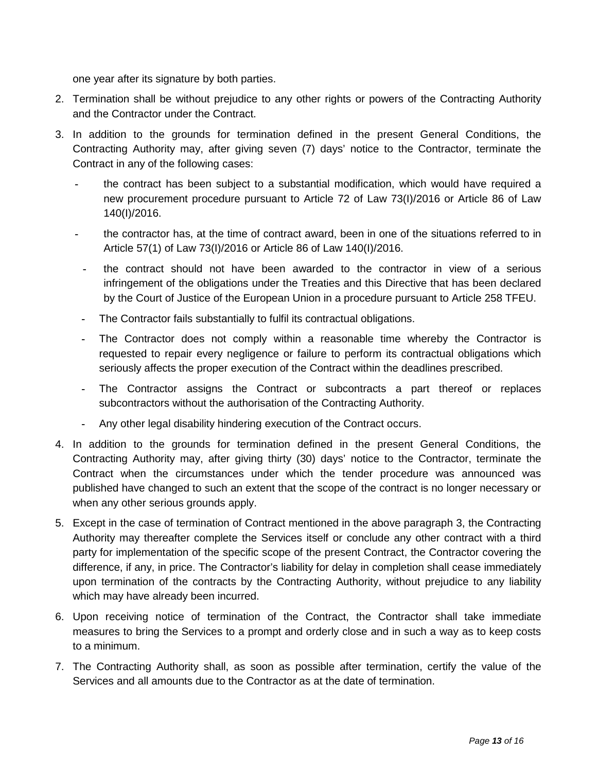one year after its signature by both parties.

- 2. Termination shall be without prejudice to any other rights or powers of the Contracting Authority and the Contractor under the Contract.
- 3. In addition to the grounds for termination defined in the present General Conditions, the Contracting Authority may, after giving seven (7) days' notice to the Contractor, terminate the Contract in any of the following cases:
	- **-** the contract has been subject to a substantial modification, which would have required a new procurement procedure pursuant to Article 72 of Law 73(I)/2016 or Article 86 of Law 140(I)/2016.
	- **-** the contractor has, at the time of contract award, been in one of the situations referred to in Article 57(1) of Law 73(I)/2016 or Article 86 of Law 140(I)/2016.
	- **-** the contract should not have been awarded to the contractor in view of a serious infringement of the obligations under the Treaties and this Directive that has been declared by the Court of Justice of the European Union in a procedure pursuant to Article 258 TFEU.
	- **-** The Contractor fails substantially to fulfil its contractual obligations.
	- **-** The Contractor does not comply within a reasonable time whereby the Contractor is requested to repair every negligence or failure to perform its contractual obligations which seriously affects the proper execution of the Contract within the deadlines prescribed.
	- **-** The Contractor assigns the Contract or subcontracts a part thereof or replaces subcontractors without the authorisation of the Contracting Authority.
	- **-** Any other legal disability hindering execution of the Contract occurs.
- 4. In addition to the grounds for termination defined in the present General Conditions, the Contracting Authority may, after giving thirty (30) days' notice to the Contractor, terminate the Contract when the circumstances under which the tender procedure was announced was published have changed to such an extent that the scope of the contract is no longer necessary or when any other serious grounds apply.
- 5. Except in the case of termination of Contract mentioned in the above paragraph 3, the Contracting Authority may thereafter complete the Services itself or conclude any other contract with a third party for implementation of the specific scope of the present Contract, the Contractor covering the difference, if any, in price. The Contractor's liability for delay in completion shall cease immediately upon termination of the contracts by the Contracting Authority, without prejudice to any liability which may have already been incurred.
- 6. Upon receiving notice of termination of the Contract, the Contractor shall take immediate measures to bring the Services to a prompt and orderly close and in such a way as to keep costs to a minimum.
- 7. The Contracting Authority shall, as soon as possible after termination, certify the value of the Services and all amounts due to the Contractor as at the date of termination.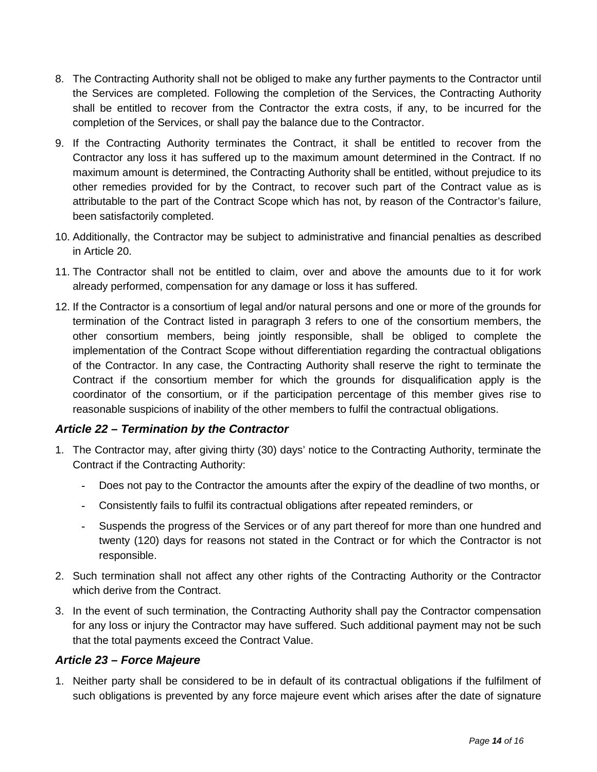- 8. The Contracting Authority shall not be obliged to make any further payments to the Contractor until the Services are completed. Following the completion of the Services, the Contracting Authority shall be entitled to recover from the Contractor the extra costs, if any, to be incurred for the completion of the Services, or shall pay the balance due to the Contractor.
- 9. If the Contracting Authority terminates the Contract, it shall be entitled to recover from the Contractor any loss it has suffered up to the maximum amount determined in the Contract. If no maximum amount is determined, the Contracting Authority shall be entitled, without prejudice to its other remedies provided for by the Contract, to recover such part of the Contract value as is attributable to the part of the Contract Scope which has not, by reason of the Contractor's failure, been satisfactorily completed.
- 10. Additionally, the Contractor may be subject to administrative and financial penalties as described in Article 20.
- 11. The Contractor shall not be entitled to claim, over and above the amounts due to it for work already performed, compensation for any damage or loss it has suffered.
- 12. If the Contractor is a consortium of legal and/or natural persons and one or more of the grounds for termination of the Contract listed in paragraph 3 refers to one of the consortium members, the other consortium members, being jointly responsible, shall be obliged to complete the implementation of the Contract Scope without differentiation regarding the contractual obligations of the Contractor. In any case, the Contracting Authority shall reserve the right to terminate the Contract if the consortium member for which the grounds for disqualification apply is the coordinator of the consortium, or if the participation percentage of this member gives rise to reasonable suspicions of inability of the other members to fulfil the contractual obligations.

# <span id="page-48-0"></span>*Article 22 – Termination by the Contractor*

- 1. The Contractor may, after giving thirty (30) days' notice to the Contracting Authority, terminate the Contract if the Contracting Authority:
	- **-** Does not pay to the Contractor the amounts after the expiry of the deadline of two months, or
	- **-** Consistently fails to fulfil its contractual obligations after repeated reminders, or
	- **-** Suspends the progress of the Services or of any part thereof for more than one hundred and twenty (120) days for reasons not stated in the Contract or for which the Contractor is not responsible.
- 2. Such termination shall not affect any other rights of the Contracting Authority or the Contractor which derive from the Contract.
- 3. In the event of such termination, the Contracting Authority shall pay the Contractor compensation for any loss or injury the Contractor may have suffered. Such additional payment may not be such that the total payments exceed the Contract Value.

# <span id="page-48-1"></span>*Article 23 – Force Majeure*

1. Neither party shall be considered to be in default of its contractual obligations if the fulfilment of such obligations is prevented by any force majeure event which arises after the date of signature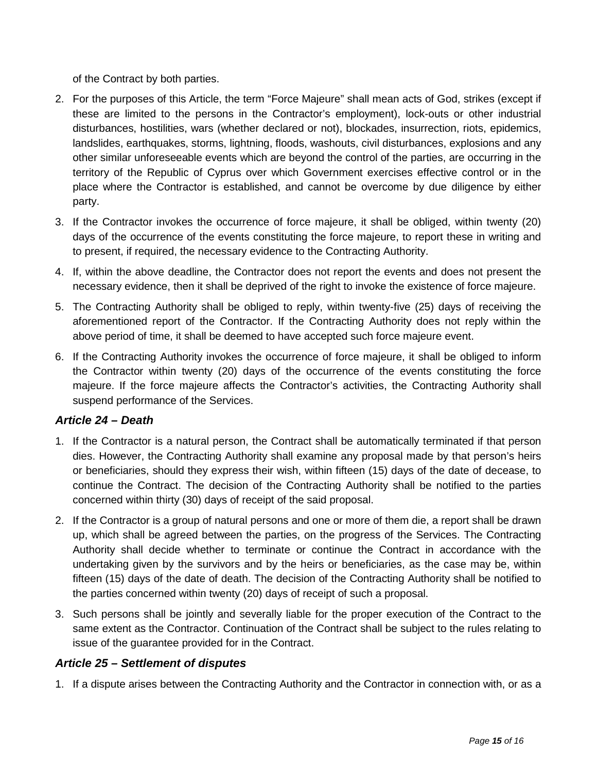of the Contract by both parties.

- 2. For the purposes of this Article, the term "Force Majeure" shall mean acts of God, strikes (except if these are limited to the persons in the Contractor's employment), lock-outs or other industrial disturbances, hostilities, wars (whether declared or not), blockades, insurrection, riots, epidemics, landslides, earthquakes, storms, lightning, floods, washouts, civil disturbances, explosions and any other similar unforeseeable events which are beyond the control of the parties, are occurring in the territory of the Republic of Cyprus over which Government exercises effective control or in the place where the Contractor is established, and cannot be overcome by due diligence by either party.
- 3. If the Contractor invokes the occurrence of force majeure, it shall be obliged, within twenty (20) days of the occurrence of the events constituting the force majeure, to report these in writing and to present, if required, the necessary evidence to the Contracting Authority.
- 4. If, within the above deadline, the Contractor does not report the events and does not present the necessary evidence, then it shall be deprived of the right to invoke the existence of force majeure.
- 5. The Contracting Authority shall be obliged to reply, within twenty-five (25) days of receiving the aforementioned report of the Contractor. If the Contracting Authority does not reply within the above period of time, it shall be deemed to have accepted such force majeure event.
- 6. If the Contracting Authority invokes the occurrence of force majeure, it shall be obliged to inform the Contractor within twenty (20) days of the occurrence of the events constituting the force majeure. If the force majeure affects the Contractor's activities, the Contracting Authority shall suspend performance of the Services.

# <span id="page-49-0"></span>*Article 24 – Death*

- 1. If the Contractor is a natural person, the Contract shall be automatically terminated if that person dies. However, the Contracting Authority shall examine any proposal made by that person's heirs or beneficiaries, should they express their wish, within fifteen (15) days of the date of decease, to continue the Contract. The decision of the Contracting Authority shall be notified to the parties concerned within thirty (30) days of receipt of the said proposal.
- 2. If the Contractor is a group of natural persons and one or more of them die, a report shall be drawn up, which shall be agreed between the parties, on the progress of the Services. The Contracting Authority shall decide whether to terminate or continue the Contract in accordance with the undertaking given by the survivors and by the heirs or beneficiaries, as the case may be, within fifteen (15) days of the date of death. The decision of the Contracting Authority shall be notified to the parties concerned within twenty (20) days of receipt of such a proposal.
- 3. Such persons shall be jointly and severally liable for the proper execution of the Contract to the same extent as the Contractor. Continuation of the Contract shall be subject to the rules relating to issue of the guarantee provided for in the Contract.

# <span id="page-49-1"></span>*Article 25 – Settlement of disputes*

1. If a dispute arises between the Contracting Authority and the Contractor in connection with, or as a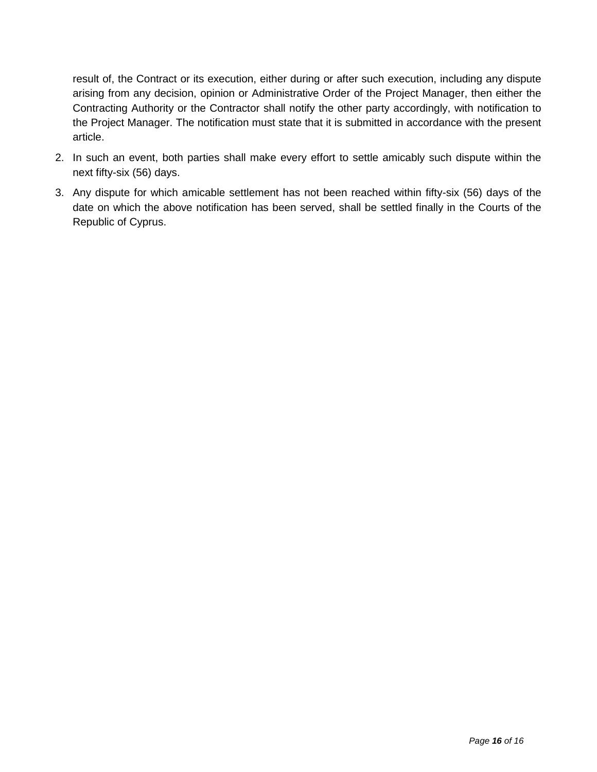result of, the Contract or its execution, either during or after such execution, including any dispute arising from any decision, opinion or Administrative Order of the Project Manager, then either the Contracting Authority or the Contractor shall notify the other party accordingly, with notification to the Project Manager. The notification must state that it is submitted in accordance with the present article.

- 2. In such an event, both parties shall make every effort to settle amicably such dispute within the next fifty-six (56) days.
- 3. Any dispute for which amicable settlement has not been reached within fifty-six (56) days of the date on which the above notification has been served, shall be settled finally in the Courts of the Republic of Cyprus.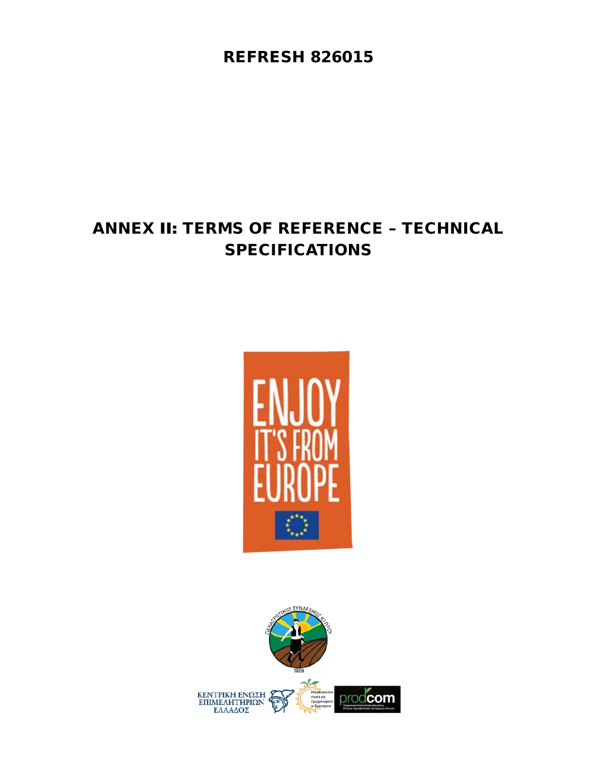REFRESH 826015

# ANNEX ΙΙ: TERMS OF REFERENCE – TECHNICAL SPECIFICATIONS



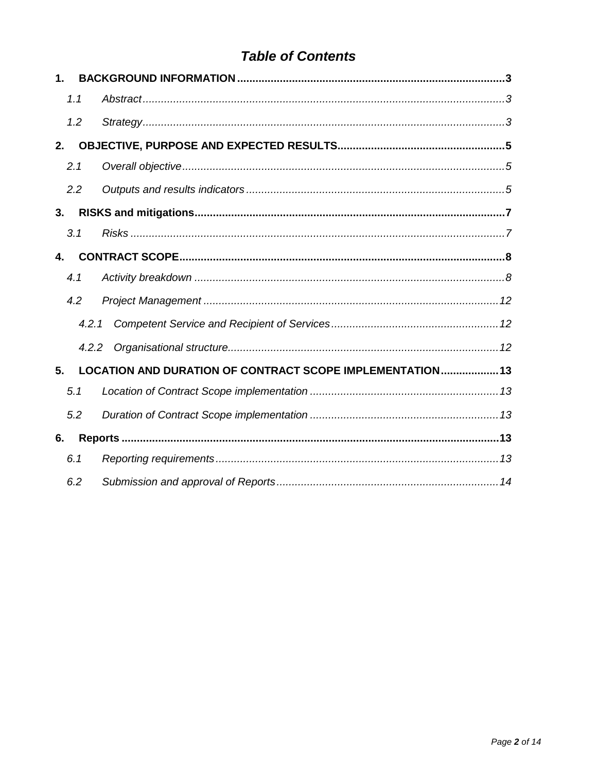# **Table of Contents**

| $\mathbf{1}$ . |       |                                                           |
|----------------|-------|-----------------------------------------------------------|
|                | 1.1   |                                                           |
|                | 1.2   |                                                           |
| 2.             |       |                                                           |
|                | 2.1   |                                                           |
|                | 2.2   |                                                           |
| 3.             |       |                                                           |
|                | 3.1   |                                                           |
| 4.             |       |                                                           |
|                | 4.1   |                                                           |
|                | 4.2   |                                                           |
|                | 4.2.1 |                                                           |
|                | 4.2.2 |                                                           |
| 5.             |       | LOCATION AND DURATION OF CONTRACT SCOPE IMPLEMENTATION 13 |
|                | 5.1   |                                                           |
|                | 5.2   |                                                           |
| 6.             |       |                                                           |
|                | 6.1   |                                                           |
|                | 6.2   |                                                           |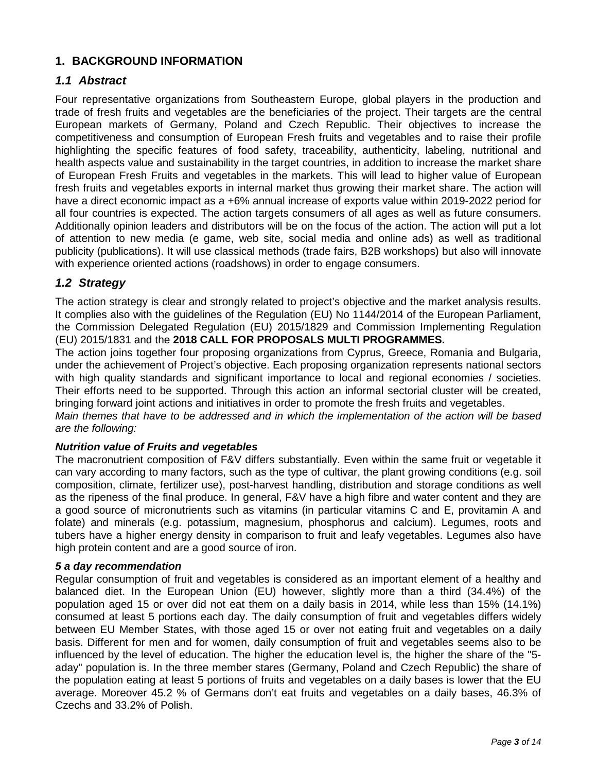# <span id="page-53-0"></span>**1. BACKGROUND INFORMATION**

## <span id="page-53-1"></span>*1.1 Abstract*

Four representative organizations from Southeastern Europe, global players in the production and trade of fresh fruits and vegetables are the beneficiaries of the project. Their targets are the central European markets of Germany, Poland and Czech Republic. Their objectives to increase the competitiveness and consumption of European Fresh fruits and vegetables and to raise their profile highlighting the specific features of food safety, traceability, authenticity, labeling, nutritional and health aspects value and sustainability in the target countries, in addition to increase the market share of European Fresh Fruits and vegetables in the markets. This will lead to higher value of European fresh fruits and vegetables exports in internal market thus growing their market share. The action will have a direct economic impact as a +6% annual increase of exports value within 2019-2022 period for all four countries is expected. The action targets consumers of all ages as well as future consumers. Additionally opinion leaders and distributors will be on the focus of the action. The action will put a lot of attention to new media (e game, web site, social media and online ads) as well as traditional publicity (publications). It will use classical methods (trade fairs, B2B workshops) but also will innovate with experience oriented actions (roadshows) in order to engage consumers.

# <span id="page-53-2"></span>*1.2 Strategy*

The action strategy is clear and strongly related to project's objective and the market analysis results. It complies also with the guidelines of the Regulation (EU) No 1144/2014 of the European Parliament, the Commission Delegated Regulation (EU) 2015/1829 and Commission Implementing Regulation (EU) 2015/1831 and the **2018 CALL FOR PROPOSALS MULTI PROGRAMMES.**

The action joins together four proposing organizations from Cyprus, Greece, Romania and Bulgaria, under the achievement of Project's objective. Each proposing organization represents national sectors with high quality standards and significant importance to local and regional economies / societies. Their efforts need to be supported. Through this action an informal sectorial cluster will be created, bringing forward joint actions and initiatives in order to promote the fresh fruits and vegetables.

*Main themes that have to be addressed and in which the implementation of the action will be based are the following:*

#### *Nutrition value of Fruits and vegetables*

The macronutrient composition of F&V differs substantially. Even within the same fruit or vegetable it can vary according to many factors, such as the type of cultivar, the plant growing conditions (e.g. soil composition, climate, fertilizer use), post-harvest handling, distribution and storage conditions as well as the ripeness of the final produce. In general, F&V have a high fibre and water content and they are a good source of micronutrients such as vitamins (in particular vitamins C and E, provitamin A and folate) and minerals (e.g. potassium, magnesium, phosphorus and calcium). Legumes, roots and tubers have a higher energy density in comparison to fruit and leafy vegetables. Legumes also have high protein content and are a good source of iron.

#### *5 a day recommendation*

Regular consumption of fruit and vegetables is considered as an important element of a healthy and balanced diet. In the European Union (EU) however, slightly more than a third (34.4%) of the population aged 15 or over did not eat them on a daily basis in 2014, while less than 15% (14.1%) consumed at least 5 portions each day. The daily consumption of fruit and vegetables differs widely between EU Member States, with those aged 15 or over not eating fruit and vegetables on a daily basis. Different for men and for women, daily consumption of fruit and vegetables seems also to be influenced by the level of education. The higher the education level is, the higher the share of the "5 aday" population is. In the three member stares (Germany, Poland and Czech Republic) the share of the population eating at least 5 portions of fruits and vegetables on a daily bases is lower that the EU average. Moreover 45.2 % of Germans don't eat fruits and vegetables on a daily bases, 46.3% of Czechs and 33.2% of Polish.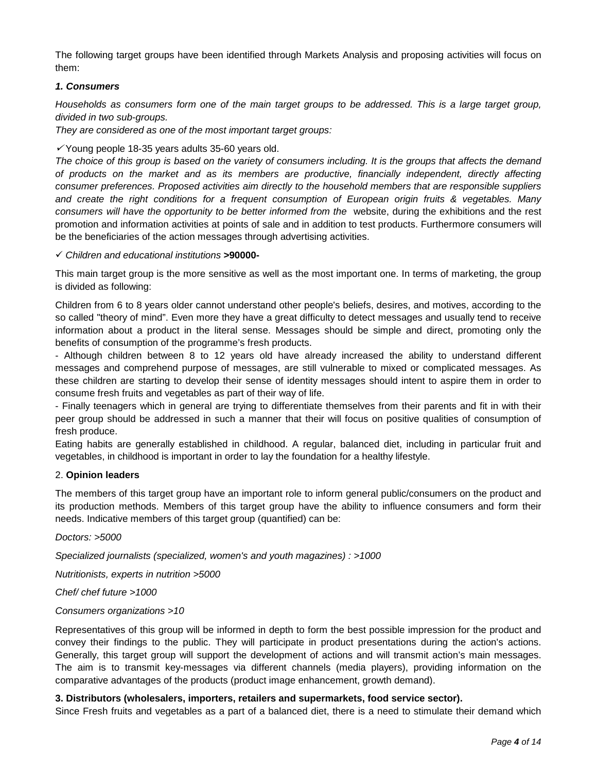The following target groups have been identified through Markets Analysis and proposing activities will focus on them:

#### *1. Consumers*

*Households as consumers form one of the main target groups to be addressed. This is a large target group, divided in two sub-groups.*

*They are considered as one of the most important target groups:* 

 $\checkmark$  Young people 18-35 years adults 35-60 years old.

*The choice of this group is based on the variety of consumers including. It is the groups that affects the demand of products on the market and as its members are productive, financially independent, directly affecting consumer preferences. Proposed activities aim directly to the household members that are responsible suppliers and create the right conditions for a frequent consumption of European origin fruits & vegetables. Many consumers will have the opportunity to be better informed from the* website, during the exhibitions and the rest promotion and information activities at points of sale and in addition to test products. Furthermore consumers will be the beneficiaries of the action messages through advertising activities.

#### *Children and educational institutions* **>90000-**

This main target group is the more sensitive as well as the most important one. In terms of marketing, the group is divided as following:

Children from 6 to 8 years older cannot understand other people's beliefs, desires, and motives, according to the so called "theory of mind". Even more they have a great difficulty to detect messages and usually tend to receive information about a product in the literal sense. Messages should be simple and direct, promoting only the benefits of consumption of the programme's fresh products.

- Although children between 8 to 12 years old have already increased the ability to understand different messages and comprehend purpose of messages, are still vulnerable to mixed or complicated messages. As these children are starting to develop their sense of identity messages should intent to aspire them in order to consume fresh fruits and vegetables as part of their way of life.

- Finally teenagers which in general are trying to differentiate themselves from their parents and fit in with their peer group should be addressed in such a manner that their will focus on positive qualities of consumption of fresh produce.

Eating habits are generally established in childhood. A regular, balanced diet, including in particular fruit and vegetables, in childhood is important in order to lay the foundation for a healthy lifestyle.

#### 2. **Opinion leaders**

The members of this target group have an important role to inform general public/consumers on the product and its production methods. Members of this target group have the ability to influence consumers and form their needs. Indicative members of this target group (quantified) can be:

*Doctors: >5000* 

*Specialized journalists (specialized, women's and youth magazines) : >1000*

*Nutritionists, experts in nutrition >5000* 

#### *Chef/ chef future >1000*

#### *Consumers organizations >10*

Representatives of this group will be informed in depth to form the best possible impression for the product and convey their findings to the public. They will participate in product presentations during the action's actions. Generally, this target group will support the development of actions and will transmit action's main messages. The aim is to transmit key-messages via different channels (media players), providing information on the comparative advantages of the products (product image enhancement, growth demand).

#### **3. Distributors (wholesalers, importers, retailers and supermarkets, food service sector).**

Since Fresh fruits and vegetables as a part of a balanced diet, there is a need to stimulate their demand which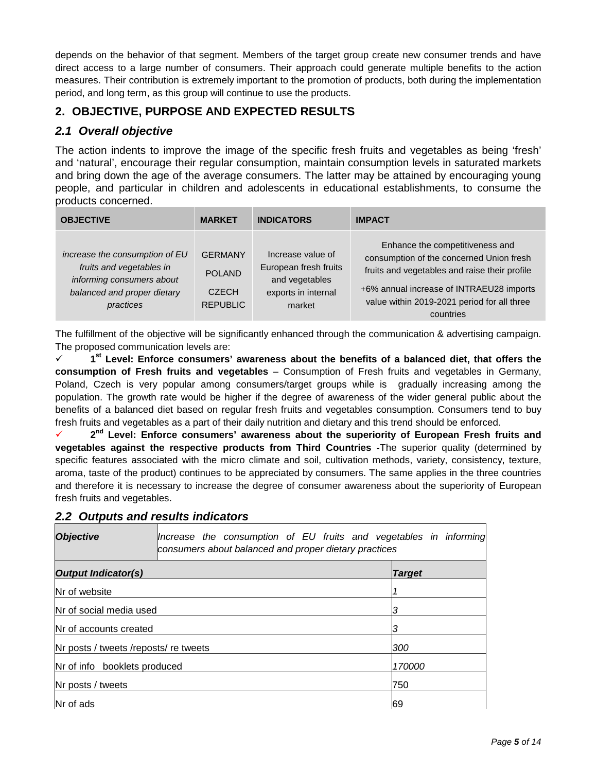depends on the behavior of that segment. Members of the target group create new consumer trends and have direct access to a large number of consumers. Their approach could generate multiple benefits to the action measures. Their contribution is extremely important to the promotion of products, both during the implementation period, and long term, as this group will continue to use the products.

# <span id="page-55-0"></span>**2. OBJECTIVE, PURPOSE AND EXPECTED RESULTS**

# <span id="page-55-1"></span>*2.1 Overall objective*

The action indents to improve the image of the specific fresh fruits and vegetables as being 'fresh' and 'natural', encourage their regular consumption, maintain consumption levels in saturated markets and bring down the age of the average consumers. The latter may be attained by encouraging young people, and particular in children and adolescents in educational establishments, to consume the products concerned.

| <b>OBJECTIVE</b>                                                                                                                    | <b>MARKET</b>                                                      | <b>INDICATORS</b>                                                                             | <b>IMPACT</b>                                                                                                                                                                                                                        |
|-------------------------------------------------------------------------------------------------------------------------------------|--------------------------------------------------------------------|-----------------------------------------------------------------------------------------------|--------------------------------------------------------------------------------------------------------------------------------------------------------------------------------------------------------------------------------------|
| increase the consumption of EU<br>fruits and vegetables in<br>informing consumers about<br>balanced and proper dietary<br>practices | <b>GERMANY</b><br><b>POLAND</b><br><b>CZECH</b><br><b>REPUBLIC</b> | Increase value of<br>European fresh fruits<br>and vegetables<br>exports in internal<br>market | Enhance the competitiveness and<br>consumption of the concerned Union fresh<br>fruits and vegetables and raise their profile<br>+6% annual increase of INTRAEU28 imports<br>value within 2019-2021 period for all three<br>countries |

The fulfillment of the objective will be significantly enhanced through the communication & advertising campaign. The proposed communication levels are:

 **1st Level: Enforce consumers' awareness about the benefits of a balanced diet, that offers the consumption of Fresh fruits and vegetables** – Consumption of Fresh fruits and vegetables in Germany, Poland, Czech is very popular among consumers/target groups while is gradually increasing among the population. The growth rate would be higher if the degree of awareness of the wider general public about the benefits of a balanced diet based on regular fresh fruits and vegetables consumption. Consumers tend to buy fresh fruits and vegetables as a part of their daily nutrition and dietary and this trend should be enforced.

 **2nd Level: Enforce consumers' awareness about the superiority of European Fresh fruits and vegetables against the respective products from Third Countries -**The superior quality (determined by specific features associated with the micro climate and soil, cultivation methods, variety, consistency, texture, aroma, taste of the product) continues to be appreciated by consumers. The same applies in the three countries and therefore it is necessary to increase the degree of consumer awareness about the superiority of European fresh fruits and vegetables.

| <b>Objective</b>                       | Increase the consumption of EU fruits and vegetables in informing<br>consumers about balanced and proper dietary practices |               |
|----------------------------------------|----------------------------------------------------------------------------------------------------------------------------|---------------|
| <b>Output Indicator(s)</b>             |                                                                                                                            | <b>Target</b> |
| <b>Nr</b> of website                   |                                                                                                                            |               |
| Nr of social media used                |                                                                                                                            |               |
| Nr of accounts created                 |                                                                                                                            |               |
| Nr posts / tweets / reposts/ re tweets |                                                                                                                            | 300           |
| Nr of info booklets produced           |                                                                                                                            | 170000        |
| Nr posts / tweets                      | 750                                                                                                                        |               |
| Nr of ads                              |                                                                                                                            | 69            |

# <span id="page-55-2"></span>*2.2 Outputs and results indicators*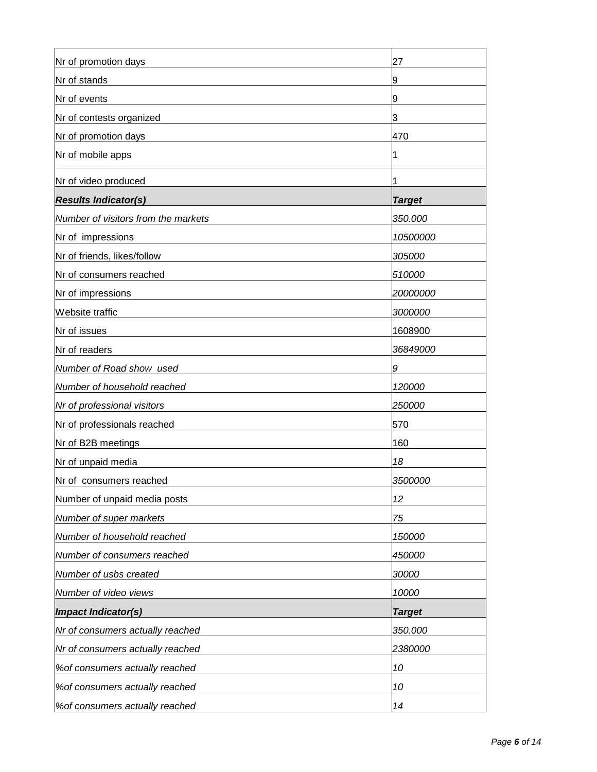| Nr of promotion days                | 27            |
|-------------------------------------|---------------|
| Nr of stands                        |               |
| Nr of events                        | 9             |
| Nr of contests organized            | 3             |
| Nr of promotion days                | 470           |
| Nr of mobile apps                   | 1             |
| Nr of video produced                | 1             |
| <b>Results Indicator(s)</b>         | <b>Target</b> |
| Number of visitors from the markets | 350.000       |
| Nr of impressions                   | 10500000      |
| Nr of friends, likes/follow         | 305000        |
| Nr of consumers reached             | 510000        |
| Nr of impressions                   | 20000000      |
| Website traffic                     | 3000000       |
| Nr of issues                        | 1608900       |
| Nr of readers                       | 36849000      |
| Number of Road show used            | 9             |
| Number of household reached         | 120000        |
| Nr of professional visitors         | 250000        |
| Nr of professionals reached         | 570           |
| Nr of B2B meetings                  | 160           |
| Nr of unpaid media                  | 18            |
| Nr of consumers reached             | 3500000       |
| Number of unpaid media posts        | 12            |
| Number of super markets             | 75            |
| Number of household reached         | 150000        |
| Number of consumers reached         | 450000        |
| Number of usbs created              | 30000         |
| Number of video views               | 10000         |
| <b>Impact Indicator(s)</b>          | <b>Target</b> |
| Nr of consumers actually reached    | 350.000       |
| Nr of consumers actually reached    | 2380000       |
| % of consumers actually reached     | 10            |
| % of consumers actually reached     | 10            |
| % of consumers actually reached     | 14            |
|                                     |               |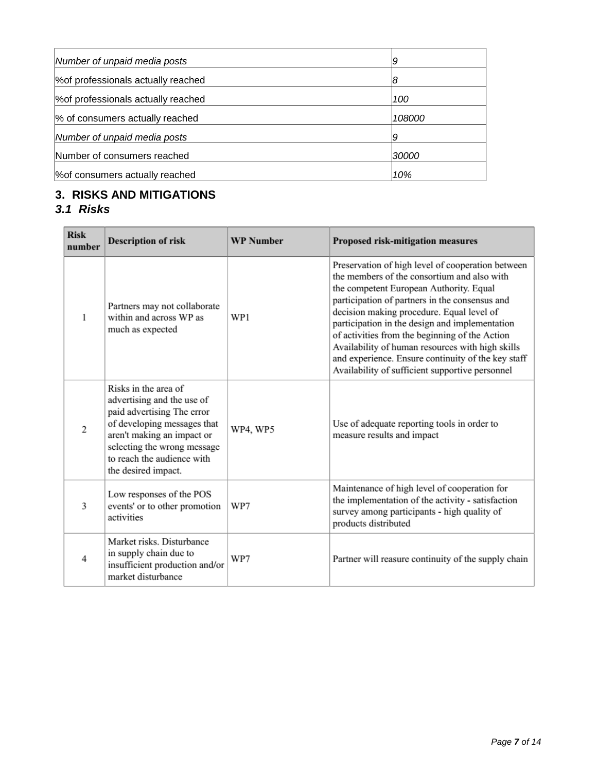| Number of unpaid media posts        | 9      |
|-------------------------------------|--------|
| % of professionals actually reached |        |
| % of professionals actually reached | 100    |
| % of consumers actually reached     | 108000 |
| Number of unpaid media posts        |        |
| Number of consumers reached         | 30000  |
| % of consumers actually reached     | 10%    |

# <span id="page-57-0"></span>**3. RISKS AND MITIGATIONS**

# <span id="page-57-1"></span>*3.1 Risks*

| <b>Risk</b><br>number    | <b>Description of risk</b>                                                                                                                                                                                                        | <b>WP</b> Number | Proposed risk-mitigation measures                                                                                                                                                                                                                                                                                                                                                                                                                                                                           |
|--------------------------|-----------------------------------------------------------------------------------------------------------------------------------------------------------------------------------------------------------------------------------|------------------|-------------------------------------------------------------------------------------------------------------------------------------------------------------------------------------------------------------------------------------------------------------------------------------------------------------------------------------------------------------------------------------------------------------------------------------------------------------------------------------------------------------|
| 1                        | Partners may not collaborate<br>within and across WP as<br>much as expected                                                                                                                                                       | WP1              | Preservation of high level of cooperation between<br>the members of the consortium and also with<br>the competent European Authority. Equal<br>participation of partners in the consensus and<br>decision making procedure. Equal level of<br>participation in the design and implementation<br>of activities from the beginning of the Action<br>Availability of human resources with high skills<br>and experience. Ensure continuity of the key staff<br>Availability of sufficient supportive personnel |
| $\overline{c}$           | Risks in the area of<br>advertising and the use of<br>paid advertising The error<br>of developing messages that<br>aren't making an impact or<br>selecting the wrong message<br>to reach the audience with<br>the desired impact. | WP4, WP5         | Use of adequate reporting tools in order to<br>measure results and impact                                                                                                                                                                                                                                                                                                                                                                                                                                   |
| 3                        | Low responses of the POS<br>events' or to other promotion<br>activities                                                                                                                                                           | WP7              | Maintenance of high level of cooperation for<br>the implementation of the activity - satisfaction<br>survey among participants - high quality of<br>products distributed                                                                                                                                                                                                                                                                                                                                    |
| $\overline{\mathcal{A}}$ | Market risks. Disturbance<br>in supply chain due to<br>insufficient production and/or<br>market disturbance                                                                                                                       | WP7              | Partner will reasure continuity of the supply chain                                                                                                                                                                                                                                                                                                                                                                                                                                                         |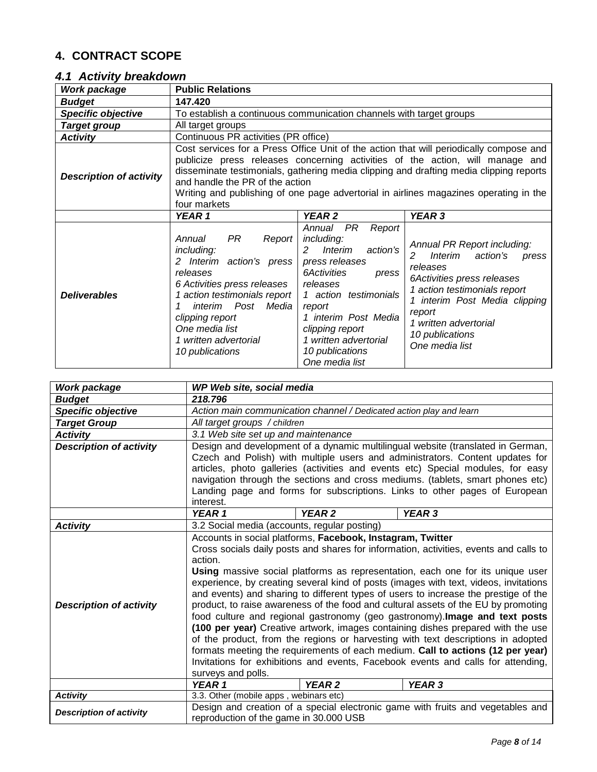# <span id="page-58-0"></span>**4. CONTRACT SCOPE**

# <span id="page-58-1"></span>*4.1 Activity breakdown*

| Work package                   | <b>Public Relations</b>                                                                                                                                                                                                                               |                                                                                                                                                                                                                                                                                |                                                                                                                                                                                                                                                                                                                                                            |  |
|--------------------------------|-------------------------------------------------------------------------------------------------------------------------------------------------------------------------------------------------------------------------------------------------------|--------------------------------------------------------------------------------------------------------------------------------------------------------------------------------------------------------------------------------------------------------------------------------|------------------------------------------------------------------------------------------------------------------------------------------------------------------------------------------------------------------------------------------------------------------------------------------------------------------------------------------------------------|--|
| <b>Budget</b>                  | 147.420                                                                                                                                                                                                                                               |                                                                                                                                                                                                                                                                                |                                                                                                                                                                                                                                                                                                                                                            |  |
| <b>Specific objective</b>      | To establish a continuous communication channels with target groups                                                                                                                                                                                   |                                                                                                                                                                                                                                                                                |                                                                                                                                                                                                                                                                                                                                                            |  |
| <b>Target group</b>            | All target groups                                                                                                                                                                                                                                     |                                                                                                                                                                                                                                                                                |                                                                                                                                                                                                                                                                                                                                                            |  |
| <b>Activity</b>                | Continuous PR activities (PR office)                                                                                                                                                                                                                  |                                                                                                                                                                                                                                                                                |                                                                                                                                                                                                                                                                                                                                                            |  |
| <b>Description of activity</b> | and handle the PR of the action<br>four markets                                                                                                                                                                                                       |                                                                                                                                                                                                                                                                                | Cost services for a Press Office Unit of the action that will periodically compose and<br>publicize press releases concerning activities of the action, will manage and<br>disseminate testimonials, gathering media clipping and drafting media clipping reports<br>Writing and publishing of one page advertorial in airlines magazines operating in the |  |
| YEAR 1<br>YEAR <sub>2</sub>    |                                                                                                                                                                                                                                                       |                                                                                                                                                                                                                                                                                | YEAR 3                                                                                                                                                                                                                                                                                                                                                     |  |
| <b>Deliverables</b>            | PR<br>Annual<br>Report<br>including:<br>2 Interim action's press<br>releases<br>6 Activities press releases<br>1 action testimonials report<br>interim Post<br>Media<br>clipping report<br>One media list<br>1 written advertorial<br>10 publications | PR<br>Annual<br>Report<br>including:<br>action's<br>Interim<br>$\mathcal{P}$<br>press releases<br>6Activities<br>press<br>releases<br>1 action testimonials<br>report<br>1 interim Post Media<br>clipping report<br>1 written advertorial<br>10 publications<br>One media list | Annual PR Report including:<br>Interim<br>action's<br>2<br>press<br>releases<br>6Activities press releases<br>1 action testimonials report<br>1 interim Post Media clipping<br>report<br>1 written advertorial<br>10 publications<br>One media list                                                                                                        |  |

| Work package                   | WP Web site, social media                                                             |                   |                                                                                     |  |
|--------------------------------|---------------------------------------------------------------------------------------|-------------------|-------------------------------------------------------------------------------------|--|
| <b>Budget</b>                  | 218.796                                                                               |                   |                                                                                     |  |
| <b>Specific objective</b>      | Action main communication channel / Dedicated action play and learn                   |                   |                                                                                     |  |
| <b>Target Group</b>            | All target groups / children                                                          |                   |                                                                                     |  |
| <b>Activity</b>                | 3.1 Web site set up and maintenance                                                   |                   |                                                                                     |  |
| <b>Description of activity</b> |                                                                                       |                   | Design and development of a dynamic multilingual website (translated in German,     |  |
|                                |                                                                                       |                   | Czech and Polish) with multiple users and administrators. Content updates for       |  |
|                                |                                                                                       |                   | articles, photo galleries (activities and events etc) Special modules, for easy     |  |
|                                |                                                                                       |                   | navigation through the sections and cross mediums. (tablets, smart phones etc)      |  |
|                                |                                                                                       |                   | Landing page and forms for subscriptions. Links to other pages of European          |  |
|                                | interest.                                                                             |                   |                                                                                     |  |
|                                | YEAR 1                                                                                | YEAR <sub>2</sub> | YEAR 3                                                                              |  |
| <b>Activity</b>                | 3.2 Social media (accounts, regular posting)                                          |                   |                                                                                     |  |
|                                | Accounts in social platforms, Facebook, Instagram, Twitter                            |                   |                                                                                     |  |
|                                | Cross socials daily posts and shares for information, activities, events and calls to |                   |                                                                                     |  |
|                                | action.                                                                               |                   |                                                                                     |  |
|                                | Using massive social platforms as representation, each one for its unique user        |                   |                                                                                     |  |
|                                | experience, by creating several kind of posts (images with text, videos, invitations  |                   |                                                                                     |  |
|                                |                                                                                       |                   | and events) and sharing to different types of users to increase the prestige of the |  |
| <b>Description of activity</b> |                                                                                       |                   | product, to raise awareness of the food and cultural assets of the EU by promoting  |  |
|                                | food culture and regional gastronomy (geo gastronomy). Image and text posts           |                   |                                                                                     |  |
|                                | (100 per year) Creative artwork, images containing dishes prepared with the use       |                   |                                                                                     |  |
|                                | of the product, from the regions or harvesting with text descriptions in adopted      |                   |                                                                                     |  |
|                                | formats meeting the requirements of each medium. Call to actions (12 per year)        |                   |                                                                                     |  |
|                                | Invitations for exhibitions and events, Facebook events and calls for attending,      |                   |                                                                                     |  |
|                                | surveys and polls.                                                                    |                   |                                                                                     |  |
|                                | YEAR <sub>2</sub><br>YEAR <sub>3</sub><br>YEAR 1                                      |                   |                                                                                     |  |
|                                |                                                                                       |                   |                                                                                     |  |
| <b>Activity</b>                | 3.3. Other (mobile apps, webinars etc)                                                |                   |                                                                                     |  |
| <b>Description of activity</b> |                                                                                       |                   | Design and creation of a special electronic game with fruits and vegetables and     |  |
|                                | reproduction of the game in 30.000 USB                                                |                   |                                                                                     |  |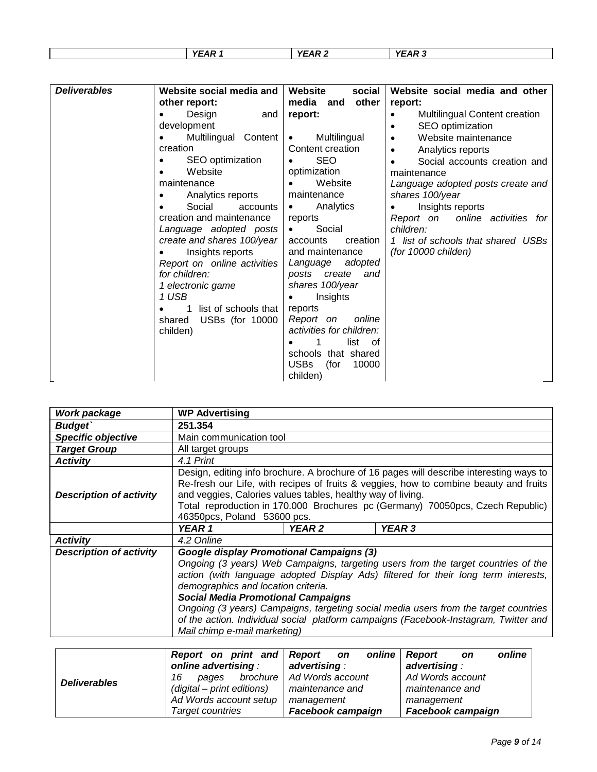| VEAD -<br>$\sim$<br>$-$<br>- -<br>. .<br>vr<br>v<br>ΔR<br>. .<br>. .<br>. . |  |  |
|-----------------------------------------------------------------------------|--|--|
|                                                                             |  |  |

| <b>Deliverables</b> | Website social media and    | Website<br>social            | Website social media and other             |
|---------------------|-----------------------------|------------------------------|--------------------------------------------|
|                     | other report:               | media and<br>other           | report:                                    |
|                     | Design<br>and               | report:                      | Multilingual Content creation<br>$\bullet$ |
|                     | development                 |                              | SEO optimization                           |
|                     | Multilingual Content        | Multilingual<br>$\bullet$    | Website maintenance<br>$\bullet$           |
|                     | creation                    | Content creation             | Analytics reports<br>$\bullet$             |
|                     | SEO optimization            | <b>SEO</b>                   | Social accounts creation and               |
|                     | Website                     | optimization                 | maintenance                                |
|                     | maintenance                 | Website                      | Language adopted posts create and          |
|                     | Analytics reports           | maintenance                  | shares 100/year                            |
|                     | Social<br>accounts          | Analytics<br>$\bullet$       | Insights reports                           |
|                     | creation and maintenance    | reports                      | Report on online activities for            |
|                     | Language adopted posts      | Social<br>$\bullet$          | children:                                  |
|                     | create and shares 100/year  | creation<br>accounts         | 1 list of schools that shared USBs         |
|                     | Insights reports            | and maintenance              | (for 10000 childen)                        |
|                     | Report on online activities | Language adopted             |                                            |
|                     | for children:               | posts create and             |                                            |
|                     | 1 electronic game           | shares 100/year              |                                            |
|                     | 1 USB                       | Insights<br>$\bullet$        |                                            |
|                     | list of schools that        | reports                      |                                            |
|                     | USBs (for 10000<br>shared   | Report on<br>online          |                                            |
|                     | childen)                    | activities for children:     |                                            |
|                     |                             | list of                      |                                            |
|                     |                             | schools that shared          |                                            |
|                     |                             | <b>USBs</b><br>(for<br>10000 |                                            |
|                     |                             | childen)                     |                                            |

| Work package                   | <b>WP Advertising</b>                                                                                                                                                                                                                                                                                                                                                                                                                                                                                                  |  |  |  |  |
|--------------------------------|------------------------------------------------------------------------------------------------------------------------------------------------------------------------------------------------------------------------------------------------------------------------------------------------------------------------------------------------------------------------------------------------------------------------------------------------------------------------------------------------------------------------|--|--|--|--|
| <b>Budget</b>                  | 251.354                                                                                                                                                                                                                                                                                                                                                                                                                                                                                                                |  |  |  |  |
| <b>Specific objective</b>      | Main communication tool                                                                                                                                                                                                                                                                                                                                                                                                                                                                                                |  |  |  |  |
| <b>Target Group</b>            | All target groups                                                                                                                                                                                                                                                                                                                                                                                                                                                                                                      |  |  |  |  |
| <b>Activity</b>                | 4.1 Print                                                                                                                                                                                                                                                                                                                                                                                                                                                                                                              |  |  |  |  |
| <b>Description of activity</b> | Design, editing info brochure. A brochure of 16 pages will describe interesting ways to<br>Re-fresh our Life, with recipes of fruits & veggies, how to combine beauty and fruits<br>and veggies, Calories values tables, healthy way of living.<br>Total reproduction in 170.000 Brochures pc (Germany) 70050pcs, Czech Republic)<br>46350pcs, Poland 53600 pcs.                                                                                                                                                       |  |  |  |  |
|                                | YEAR <sub>2</sub><br>YEAR 3<br>YEAR 1                                                                                                                                                                                                                                                                                                                                                                                                                                                                                  |  |  |  |  |
| <b>Activity</b>                | 4.2 Online                                                                                                                                                                                                                                                                                                                                                                                                                                                                                                             |  |  |  |  |
| <b>Description of activity</b> | Google display Promotional Campaigns (3)<br>Ongoing (3 years) Web Campaigns, targeting users from the target countries of the<br>action (with language adopted Display Ads) filtered for their long term interests,<br>demographics and location criteria.<br><b>Social Media Promotional Campaigns</b><br>Ongoing (3 years) Campaigns, targeting social media users from the target countries<br>of the action. Individual social platform campaigns (Facebook-Instagram, Twitter and<br>Mail chimp e-mail marketing) |  |  |  |  |

|                     | Report on print and Report on | online                      | online<br>Report<br><b>on</b> |  |
|---------------------|-------------------------------|-----------------------------|-------------------------------|--|
| <b>Deliverables</b> | online advertising:           | advertising:                | advertising:                  |  |
|                     | 16<br>pages                   | brochure   Ad Words account | Ad Words account              |  |
|                     | (digital – print editions)    | maintenance and             | maintenance and               |  |
|                     | Ad Words account setup        | management                  | management                    |  |
|                     | Target countries              | <b>Facebook campaign</b>    | <b>Facebook campaign</b>      |  |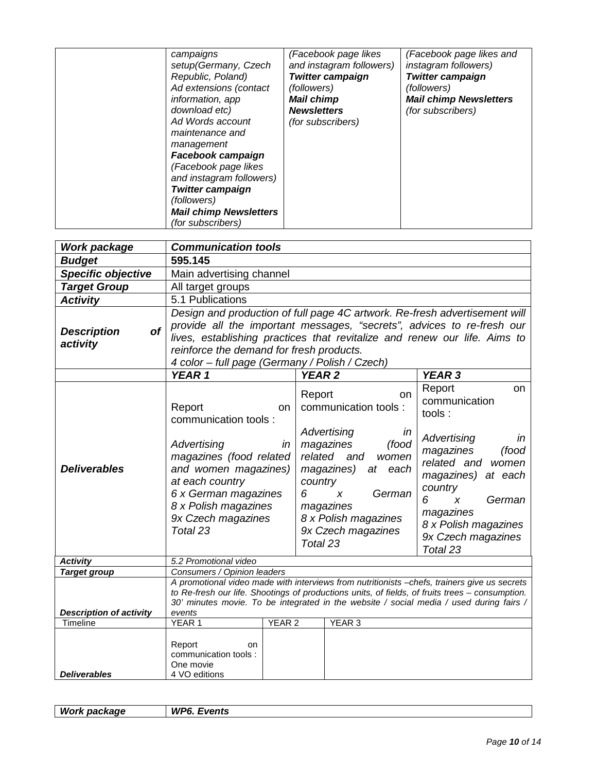| campaigns<br>setup(Germany, Czech<br>Republic, Poland)<br>Ad extensions (contact<br>information, app<br>download etc)<br>Ad Words account<br>maintenance and<br>management<br>Facebook campaign<br>(Facebook page likes<br>and instagram followers)<br><b>Twitter campaign</b><br>(followers)<br><b>Mail chimp Newsletters</b><br>(for subscribers) | (Facebook page likes<br>and instagram followers)<br><b>Twitter campaign</b><br><i>(followers)</i><br><b>Mail chimp</b><br><b>Newsletters</b><br><i>(for subscribers)</i> | (Facebook page likes and<br><i>instagram followers)</i><br><b>Twitter campaign</b><br><i>(followers)</i><br><b>Mail chimp Newsletters</b><br>(for subscribers) |
|-----------------------------------------------------------------------------------------------------------------------------------------------------------------------------------------------------------------------------------------------------------------------------------------------------------------------------------------------------|--------------------------------------------------------------------------------------------------------------------------------------------------------------------------|----------------------------------------------------------------------------------------------------------------------------------------------------------------|
|-----------------------------------------------------------------------------------------------------------------------------------------------------------------------------------------------------------------------------------------------------------------------------------------------------------------------------------------------------|--------------------------------------------------------------------------------------------------------------------------------------------------------------------------|----------------------------------------------------------------------------------------------------------------------------------------------------------------|

| <b>Work package</b>                                   | <b>Communication tools</b>                                                                                                                                                                                                                                                                                                          |                                                                                                                          |                                                                                                                        |                                                                                                                                                                                                                                                       |  |  |
|-------------------------------------------------------|-------------------------------------------------------------------------------------------------------------------------------------------------------------------------------------------------------------------------------------------------------------------------------------------------------------------------------------|--------------------------------------------------------------------------------------------------------------------------|------------------------------------------------------------------------------------------------------------------------|-------------------------------------------------------------------------------------------------------------------------------------------------------------------------------------------------------------------------------------------------------|--|--|
| <b>Budget</b>                                         | 595.145                                                                                                                                                                                                                                                                                                                             |                                                                                                                          |                                                                                                                        |                                                                                                                                                                                                                                                       |  |  |
| <b>Specific objective</b>                             | Main advertising channel                                                                                                                                                                                                                                                                                                            |                                                                                                                          |                                                                                                                        |                                                                                                                                                                                                                                                       |  |  |
| <b>Target Group</b>                                   | All target groups                                                                                                                                                                                                                                                                                                                   |                                                                                                                          |                                                                                                                        |                                                                                                                                                                                                                                                       |  |  |
| <b>Activity</b>                                       | 5.1 Publications                                                                                                                                                                                                                                                                                                                    |                                                                                                                          |                                                                                                                        |                                                                                                                                                                                                                                                       |  |  |
| of<br><b>Description</b><br>activity                  | Design and production of full page 4C artwork. Re-fresh advertisement will<br>provide all the important messages, "secrets", advices to re-fresh our<br>lives, establishing practices that revitalize and renew our life. Aims to<br>reinforce the demand for fresh products.<br>4 color - full page (Germany / Polish / Czech)     |                                                                                                                          |                                                                                                                        |                                                                                                                                                                                                                                                       |  |  |
|                                                       | YEAR 1                                                                                                                                                                                                                                                                                                                              | <b>YEAR2</b>                                                                                                             |                                                                                                                        | <b>YEAR 3</b>                                                                                                                                                                                                                                         |  |  |
| <b>Deliverables</b>                                   | Report<br>on<br>communication tools:<br>Advertising<br>in<br>magazines (food related<br>and women magazines)<br>at each country<br>6 x German magazines<br>8 x Polish magazines<br>9x Czech magazines<br>Total 23                                                                                                                   | Report<br>Advertising<br>magazines<br>related and<br>magazines)<br>country<br>6<br>$\pmb{\chi}$<br>magazines<br>Total 23 | on<br>communication tools :<br>in<br>(food<br>women<br>at each<br>German<br>8 x Polish magazines<br>9x Czech magazines | Report<br>on<br>communication<br>tools:<br>Advertising<br>in<br>magazines<br>(food<br>related and<br>women<br>magazines) at each<br>country<br>6<br>German<br>$\boldsymbol{x}$<br>magazines<br>8 x Polish magazines<br>9x Czech magazines<br>Total 23 |  |  |
| <b>Activity</b>                                       | 5.2 Promotional video                                                                                                                                                                                                                                                                                                               |                                                                                                                          |                                                                                                                        |                                                                                                                                                                                                                                                       |  |  |
| <b>Target group</b><br><b>Description of activity</b> | Consumers / Opinion leaders<br>A promotional video made with interviews from nutritionists -chefs, trainers give us secrets<br>to Re-fresh our life. Shootings of productions units, of fields, of fruits trees - consumption.<br>30' minutes movie. To be integrated in the website / social media / used during fairs /<br>events |                                                                                                                          |                                                                                                                        |                                                                                                                                                                                                                                                       |  |  |
| Timeline                                              | YEAR <sub>2</sub><br>YEAR <sub>1</sub>                                                                                                                                                                                                                                                                                              | YEAR <sub>3</sub>                                                                                                        |                                                                                                                        |                                                                                                                                                                                                                                                       |  |  |
| <b>Deliverables</b>                                   | Report<br>on<br>communication tools :<br>One movie<br>4 VO editions                                                                                                                                                                                                                                                                 |                                                                                                                          |                                                                                                                        |                                                                                                                                                                                                                                                       |  |  |

| Work package | WP6<br>-.<br>-vents<br>. . |
|--------------|----------------------------|
|              |                            |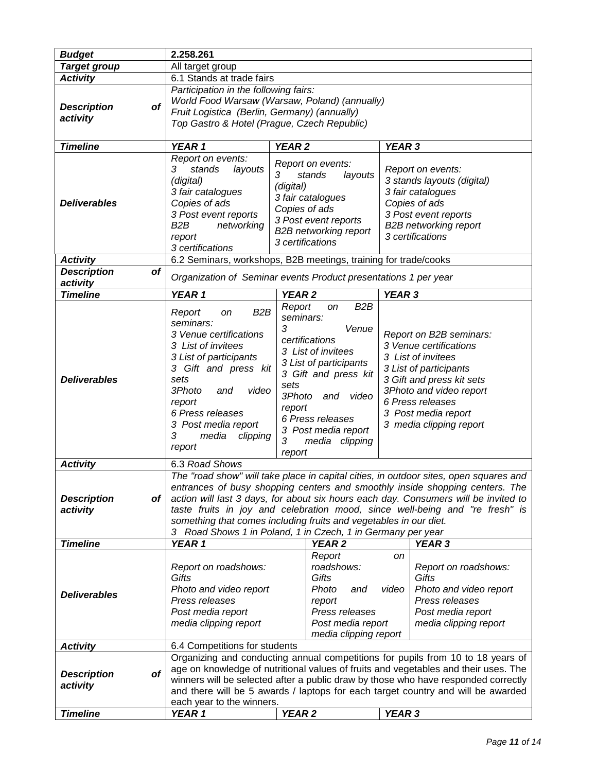| <b>Budget</b>                   | 2.258.261                                                                        |                                                                   |                    |                                                                                       |  |  |  |
|---------------------------------|----------------------------------------------------------------------------------|-------------------------------------------------------------------|--------------------|---------------------------------------------------------------------------------------|--|--|--|
| <b>Target group</b>             | All target group                                                                 |                                                                   |                    |                                                                                       |  |  |  |
| <b>Activity</b>                 |                                                                                  | 6.1 Stands at trade fairs                                         |                    |                                                                                       |  |  |  |
|                                 | Participation in the following fairs:                                            |                                                                   |                    |                                                                                       |  |  |  |
|                                 |                                                                                  | World Food Warsaw (Warsaw, Poland) (annually)                     |                    |                                                                                       |  |  |  |
| <b>Description</b><br>of        |                                                                                  | Fruit Logistica (Berlin, Germany) (annually)                      |                    |                                                                                       |  |  |  |
| activity                        | Top Gastro & Hotel (Prague, Czech Republic)                                      |                                                                   |                    |                                                                                       |  |  |  |
|                                 |                                                                                  |                                                                   |                    |                                                                                       |  |  |  |
| <b>Timeline</b>                 | YEAR 1                                                                           | <b>YEAR 2</b>                                                     | YEAR <sub>3</sub>  |                                                                                       |  |  |  |
|                                 | Report on events:                                                                |                                                                   |                    |                                                                                       |  |  |  |
|                                 | 3<br>stands<br>layouts                                                           | Report on events:                                                 |                    | Report on events:                                                                     |  |  |  |
|                                 | (digital)                                                                        | layouts<br>3<br>stands                                            |                    | 3 stands layouts (digital)                                                            |  |  |  |
|                                 | 3 fair catalogues                                                                | (digital)                                                         |                    | 3 fair catalogues                                                                     |  |  |  |
| <b>Deliverables</b>             | Copies of ads                                                                    | 3 fair catalogues                                                 |                    | Copies of ads                                                                         |  |  |  |
|                                 | 3 Post event reports                                                             | Copies of ads                                                     |                    | 3 Post event reports                                                                  |  |  |  |
|                                 | B <sub>2</sub> B<br>networking                                                   | 3 Post event reports                                              |                    | <b>B2B</b> networking report                                                          |  |  |  |
|                                 | report                                                                           | <b>B2B networking report</b>                                      |                    | 3 certifications                                                                      |  |  |  |
|                                 | 3 certifications                                                                 | 3 certifications                                                  |                    |                                                                                       |  |  |  |
| <b>Activity</b>                 |                                                                                  | 6.2 Seminars, workshops, B2B meetings, training for trade/cooks   |                    |                                                                                       |  |  |  |
| <b>Description</b><br><b>of</b> |                                                                                  |                                                                   |                    |                                                                                       |  |  |  |
| activity                        |                                                                                  | Organization of Seminar events Product presentations 1 per year   |                    |                                                                                       |  |  |  |
| <b>Timeline</b>                 | YEAR 1                                                                           | YEAR <sub>2</sub>                                                 | YEAR 3             |                                                                                       |  |  |  |
|                                 | B <sub>2</sub> B<br>Report<br>on                                                 | B <sub>2</sub> B<br>Report<br>on                                  |                    |                                                                                       |  |  |  |
|                                 | seminars:                                                                        | seminars:                                                         |                    |                                                                                       |  |  |  |
|                                 | 3 Venue certifications                                                           | 3<br>Venue                                                        |                    | Report on B2B seminars:                                                               |  |  |  |
|                                 | 3 List of invitees                                                               | certifications                                                    |                    | 3 Venue certifications                                                                |  |  |  |
|                                 | 3 List of participants                                                           | 3 List of invitees                                                | 3 List of invitees |                                                                                       |  |  |  |
|                                 | 3 Gift and press kit                                                             | 3 List of participants                                            |                    | 3 List of participants                                                                |  |  |  |
| <b>Deliverables</b>             | sets                                                                             | 3 Gift and press kit                                              |                    | 3 Gift and press kit sets                                                             |  |  |  |
|                                 | 3Photo<br>video<br>and                                                           | sets                                                              |                    | 3Photo and video report                                                               |  |  |  |
|                                 | report                                                                           | 3Photo<br>and<br>video                                            |                    | 6 Press releases                                                                      |  |  |  |
|                                 | 6 Press releases                                                                 | report                                                            |                    | 3 Post media report                                                                   |  |  |  |
|                                 | 3 Post media report                                                              | 6 Press releases                                                  |                    |                                                                                       |  |  |  |
|                                 | 3<br>media<br>clipping                                                           | 3 Post media report                                               |                    | 3 media clipping report                                                               |  |  |  |
|                                 | report                                                                           | 3<br>media clipping                                               |                    |                                                                                       |  |  |  |
|                                 |                                                                                  | report                                                            |                    |                                                                                       |  |  |  |
| <b>Activity</b>                 |                                                                                  | 6.3 Road Shows                                                    |                    |                                                                                       |  |  |  |
|                                 |                                                                                  |                                                                   |                    | The "road show" will take place in capital cities, in outdoor sites, open squares and |  |  |  |
|                                 |                                                                                  |                                                                   |                    | entrances of busy shopping centers and smoothly inside shopping centers. The          |  |  |  |
| <b>Description</b><br>of        |                                                                                  |                                                                   |                    | action will last 3 days, for about six hours each day. Consumers will be invited to   |  |  |  |
| activity                        |                                                                                  |                                                                   |                    | taste fruits in joy and celebration mood, since well-being and "re fresh" is          |  |  |  |
|                                 |                                                                                  | something that comes including fruits and vegetables in our diet. |                    |                                                                                       |  |  |  |
|                                 |                                                                                  | 3 Road Shows 1 in Poland, 1 in Czech, 1 in Germany per year       |                    |                                                                                       |  |  |  |
| <b>Timeline</b>                 | YEAR 1                                                                           | <b>YEAR 2</b>                                                     |                    | <b>YEAR 3</b>                                                                         |  |  |  |
|                                 |                                                                                  | Report<br>roadshows:                                              | on                 |                                                                                       |  |  |  |
|                                 | Report on roadshows:                                                             | Gifts                                                             |                    | Report on roadshows:                                                                  |  |  |  |
|                                 | Gifts                                                                            |                                                                   |                    | Gifts                                                                                 |  |  |  |
| <b>Deliverables</b>             | Photo and video report                                                           | Photo<br>and                                                      | video              | Photo and video report                                                                |  |  |  |
|                                 | Press releases                                                                   | report                                                            |                    | Press releases                                                                        |  |  |  |
|                                 | Post media report                                                                | Press releases                                                    |                    | Post media report                                                                     |  |  |  |
|                                 |                                                                                  | Post media report<br>media clipping report                        |                    | media clipping report                                                                 |  |  |  |
| <b>Activity</b>                 | 6.4 Competitions for students                                                    | media clipping report                                             |                    |                                                                                       |  |  |  |
|                                 |                                                                                  |                                                                   |                    | Organizing and conducting annual competitions for pupils from 10 to 18 years of       |  |  |  |
|                                 |                                                                                  |                                                                   |                    | age on knowledge of nutritional values of fruits and vegetables and their uses. The   |  |  |  |
| <b>Description</b><br><b>of</b> |                                                                                  |                                                                   |                    | winners will be selected after a public draw by those who have responded correctly    |  |  |  |
| activity                        | and there will be 5 awards / laptops for each target country and will be awarded |                                                                   |                    |                                                                                       |  |  |  |
|                                 | each year to the winners.                                                        |                                                                   |                    |                                                                                       |  |  |  |
| <b>Timeline</b>                 | YEAR 1                                                                           | <b>YEAR 2</b>                                                     | YEAR 3             |                                                                                       |  |  |  |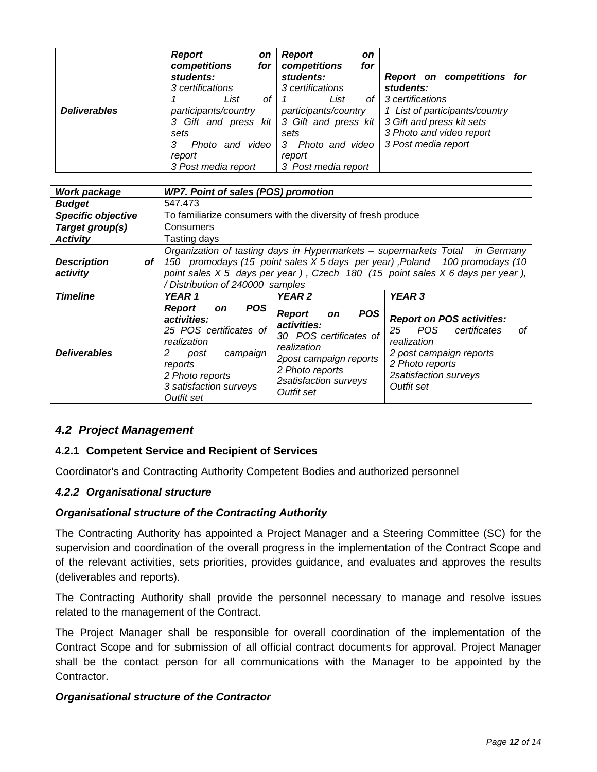|                     | <b>Report</b><br>competitions | <b>on</b><br>for | <b>Report</b><br><b>on</b><br>competitions<br>for |                                |
|---------------------|-------------------------------|------------------|---------------------------------------------------|--------------------------------|
|                     | students:                     |                  | students:                                         | Report on competitions for     |
|                     | 3 certifications              |                  | 3 certifications                                  | students:                      |
|                     | List                          | Ωf               | List<br>of I                                      | 3 certifications               |
| <b>Deliverables</b> | participants/country          |                  | participants/country                              | 1 List of participants/country |
|                     |                               |                  | 3 Gift and press kit 3 Gift and press kit         | 3 Gift and press kit sets      |
|                     | sets                          |                  | sets                                              | 3 Photo and video report       |
|                     | Photo and video               |                  | Photo and video<br>3                              | 3 Post media report            |
|                     | report                        |                  |                                                   |                                |
|                     | 3 Post media report           |                  | 3 Post media report                               |                                |

| Work package                           | <b>WP7. Point of sales (POS) promotion</b>                                                                                                                                                                                                                                                |                                                                                                                                                                                      |                                                                                                                                                                         |  |  |
|----------------------------------------|-------------------------------------------------------------------------------------------------------------------------------------------------------------------------------------------------------------------------------------------------------------------------------------------|--------------------------------------------------------------------------------------------------------------------------------------------------------------------------------------|-------------------------------------------------------------------------------------------------------------------------------------------------------------------------|--|--|
| <b>Budget</b>                          | 547.473                                                                                                                                                                                                                                                                                   |                                                                                                                                                                                      |                                                                                                                                                                         |  |  |
| Specific objective                     |                                                                                                                                                                                                                                                                                           | To familiarize consumers with the diversity of fresh produce                                                                                                                         |                                                                                                                                                                         |  |  |
| Target group(s)                        | Consumers                                                                                                                                                                                                                                                                                 |                                                                                                                                                                                      |                                                                                                                                                                         |  |  |
| <b>Activity</b>                        | Tasting days                                                                                                                                                                                                                                                                              |                                                                                                                                                                                      |                                                                                                                                                                         |  |  |
| <b>Description</b><br>of I<br>activity | Organization of tasting days in Hypermarkets - supermarkets Total<br><i>in Germany</i><br>150 promodays (15 point sales X 5 days per year), Poland 100 promodays (10<br>point sales X 5 days per year), Czech 180 (15 point sales X 6 days per year),<br>/ Distribution of 240000 samples |                                                                                                                                                                                      |                                                                                                                                                                         |  |  |
| <b>Timeline</b>                        | YEAR 1                                                                                                                                                                                                                                                                                    | YEAR <sub>2</sub>                                                                                                                                                                    | YEAR <sub>3</sub>                                                                                                                                                       |  |  |
| <b>Deliverables</b>                    | <b>POS</b><br><b>Report</b><br><b>on</b><br>activities:<br>25 POS certificates of<br>realization<br>campaign<br>2<br>post<br>reports<br>2 Photo reports<br>3 satisfaction surveys<br>Outfit set                                                                                           | <b>POS</b><br><b>Report</b><br><b>on</b><br>activities:<br>30 POS certificates of<br>realization<br>2post campaign reports<br>2 Photo reports<br>2satisfaction surveys<br>Outfit set | <b>Report on POS activities:</b><br>POS<br>25<br>certificates<br>οf<br>realization<br>2 post campaign reports<br>2 Photo reports<br>2satisfaction surveys<br>Outfit set |  |  |

# <span id="page-62-0"></span>*4.2 Project Management*

# <span id="page-62-1"></span>**4.2.1 Competent Service and Recipient of Services**

Coordinator's and Contracting Authority Competent Bodies and authorized personnel

#### <span id="page-62-2"></span>*4.2.2 Organisational structure*

#### *Organisational structure of the Contracting Authority*

The Contracting Authority has appointed a Project Manager and a Steering Committee (SC) for the supervision and coordination of the overall progress in the implementation of the Contract Scope and of the relevant activities, sets priorities, provides guidance, and evaluates and approves the results (deliverables and reports).

The Contracting Authority shall provide the personnel necessary to manage and resolve issues related to the management of the Contract.

The Project Manager shall be responsible for overall coordination of the implementation of the Contract Scope and for submission of all official contract documents for approval. Project Manager shall be the contact person for all communications with the Manager to be appointed by the Contractor.

#### *Organisational structure of the Contractor*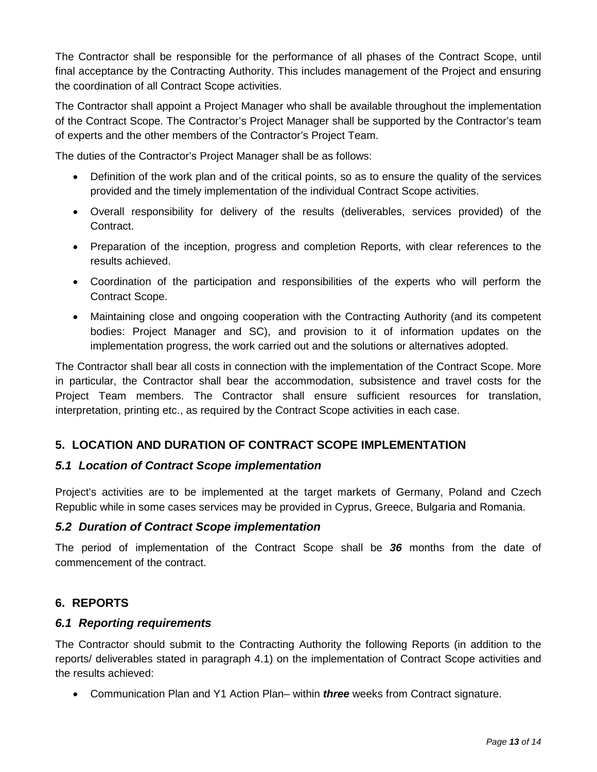The Contractor shall be responsible for the performance of all phases of the Contract Scope, until final acceptance by the Contracting Authority. This includes management of the Project and ensuring the coordination of all Contract Scope activities.

The Contractor shall appoint a Project Manager who shall be available throughout the implementation of the Contract Scope. The Contractor's Project Manager shall be supported by the Contractor's team of experts and the other members of the Contractor's Project Team.

The duties of the Contractor's Project Manager shall be as follows:

- Definition of the work plan and of the critical points, so as to ensure the quality of the services provided and the timely implementation of the individual Contract Scope activities.
- Overall responsibility for delivery of the results (deliverables, services provided) of the Contract.
- Preparation of the inception, progress and completion Reports, with clear references to the results achieved.
- Coordination of the participation and responsibilities of the experts who will perform the Contract Scope.
- Maintaining close and ongoing cooperation with the Contracting Authority (and its competent bodies: Project Manager and SC), and provision to it of information updates on the implementation progress, the work carried out and the solutions or alternatives adopted.

The Contractor shall bear all costs in connection with the implementation of the Contract Scope. More in particular, the Contractor shall bear the accommodation, subsistence and travel costs for the Project Team members. The Contractor shall ensure sufficient resources for translation, interpretation, printing etc., as required by the Contract Scope activities in each case.

# <span id="page-63-0"></span>**5. LOCATION AND DURATION OF CONTRACT SCOPE IMPLEMENTATION**

# <span id="page-63-1"></span>*5.1 Location of Contract Scope implementation*

Project's activities are to be implemented at the target markets of Germany, Poland and Czech Republic while in some cases services may be provided in Cyprus, Greece, Bulgaria and Romania.

# <span id="page-63-2"></span>*5.2 Duration of Contract Scope implementation*

The period of implementation of the Contract Scope shall be *36* months from the date of commencement of the contract.

# <span id="page-63-3"></span>**6. REPORTS**

# <span id="page-63-4"></span>*6.1 Reporting requirements*

The Contractor should submit to the Contracting Authority the following Reports (in addition to the reports/ deliverables stated in paragraph 4.1) on the implementation of Contract Scope activities and the results achieved:

• Communication Plan and Y1 Action Plan– within *three* weeks from Contract signature.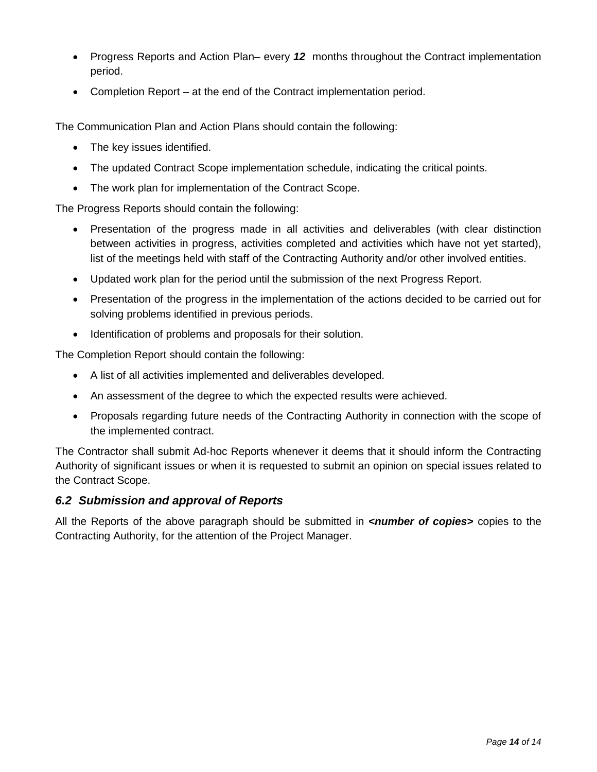- Progress Reports and Action Plan– every *12* months throughout the Contract implementation period.
- Completion Report at the end of the Contract implementation period.

The Communication Plan and Action Plans should contain the following:

- The key issues identified.
- The updated Contract Scope implementation schedule, indicating the critical points.
- The work plan for implementation of the Contract Scope.

The Progress Reports should contain the following:

- Presentation of the progress made in all activities and deliverables (with clear distinction between activities in progress, activities completed and activities which have not yet started), list of the meetings held with staff of the Contracting Authority and/or other involved entities.
- Updated work plan for the period until the submission of the next Progress Report.
- Presentation of the progress in the implementation of the actions decided to be carried out for solving problems identified in previous periods.
- Identification of problems and proposals for their solution.

The Completion Report should contain the following:

- A list of all activities implemented and deliverables developed.
- An assessment of the degree to which the expected results were achieved.
- Proposals regarding future needs of the Contracting Authority in connection with the scope of the implemented contract.

The Contractor shall submit Ad-hoc Reports whenever it deems that it should inform the Contracting Authority of significant issues or when it is requested to submit an opinion on special issues related to the Contract Scope.

#### <span id="page-64-0"></span>*6.2 Submission and approval of Reports*

All the Reports of the above paragraph should be submitted in *<number of copies* copies to the Contracting Authority, for the attention of the Project Manager.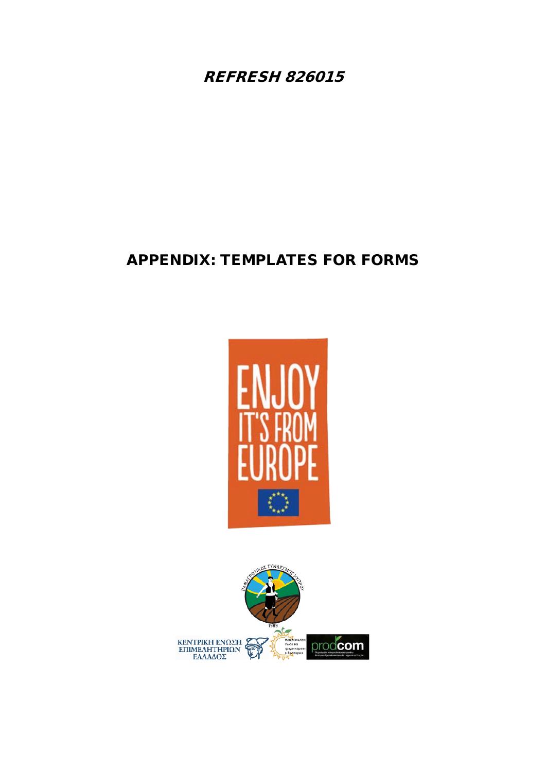REFRESH 826015

# APPENDIX: TEMPLATES FOR FORMS



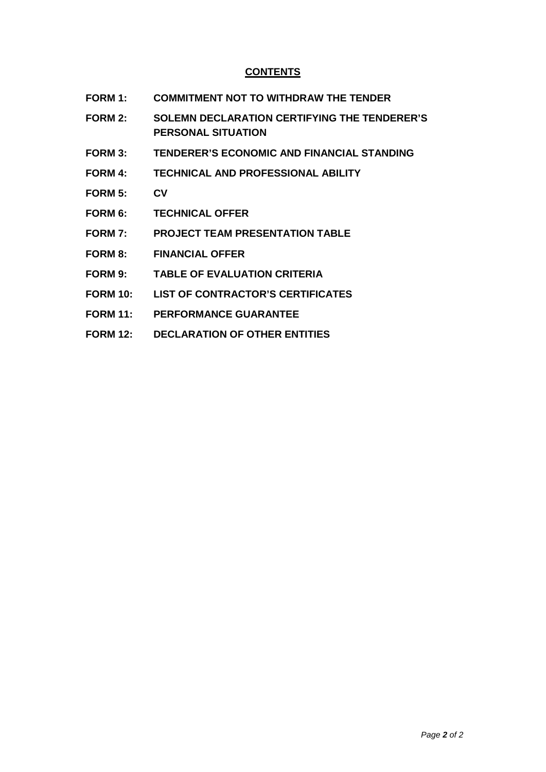# **CONTENTS**

- **FORM 1: COMMITMENT NOT TO WITHDRAW THE TENDER**
- **FORM 2: SOLEMN DECLARATION CERTIFYING THE TENDERER'S PERSONAL SITUATION**
- **FORM 3: TENDERER'S ECONOMIC AND FINANCIAL STANDING**
- **FORM 4: TECHNICAL AND PROFESSIONAL ABILITY**
- **FORM 5: CV**
- **FORM 6: TECHNICAL OFFER**
- **FORM 7: PROJECT TEAM PRESENTATION TABLE**
- **FORM 8: FINANCIAL OFFER**
- **FORM 9: TABLE OF EVALUATION CRITERIA**
- **FORM 10: LIST OF CONTRACTOR'S CERTIFICATES**
- **FORM 11: PERFORMANCE GUARANTEE**
- **FORM 12: DECLARATION OF OTHER ENTITIES**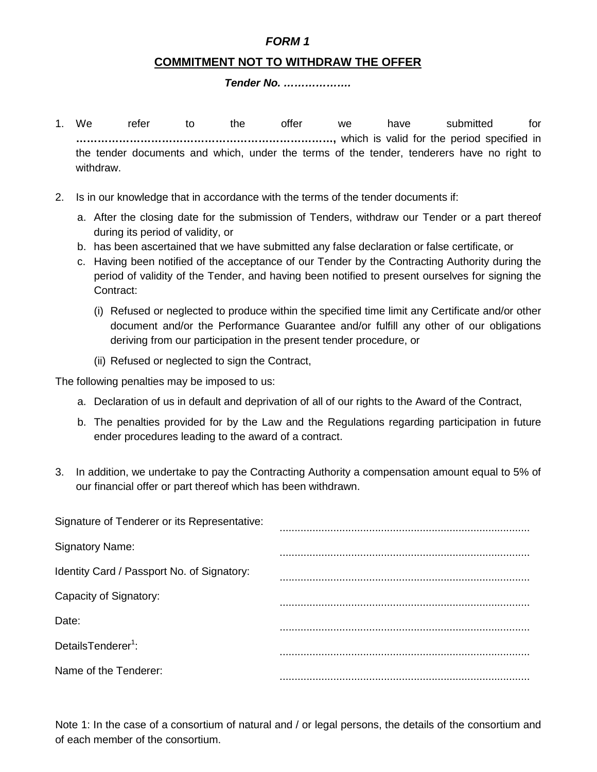# *FORM 1*

# **COMMITMENT NOT TO WITHDRAW THE OFFER**

#### *Tender No. ……………….*

- 1. We refer to the offer we have submitted for **………………………………………………………………,** which is valid for the period specified in the tender documents and which, under the terms of the tender, tenderers have no right to withdraw.
- 2. Is in our knowledge that in accordance with the terms of the tender documents if:
	- a. After the closing date for the submission of Tenders, withdraw our Tender or a part thereof during its period of validity, or
	- b. has been ascertained that we have submitted any false declaration or false certificate, or
	- c. Having been notified of the acceptance of our Tender by the Contracting Authority during the period of validity of the Tender, and having been notified to present ourselves for signing the Contract:
		- (i) Refused or neglected to produce within the specified time limit any Certificate and/or other document and/or the Performance Guarantee and/or fulfill any other of our obligations deriving from our participation in the present tender procedure, or
		- (ii) Refused or neglected to sign the Contract,

The following penalties may be imposed to us:

- a. Declaration of us in default and deprivation of all of our rights to the Award of the Contract,
- b. The penalties provided for by the Law and the Regulations regarding participation in future ender procedures leading to the award of a contract.
- 3. In addition, we undertake to pay the Contracting Authority a compensation amount equal to 5% of our financial offer or part thereof which has been withdrawn.

| Signature of Tenderer or its Representative: |  |
|----------------------------------------------|--|
| <b>Signatory Name:</b>                       |  |
| Identity Card / Passport No. of Signatory:   |  |
| Capacity of Signatory:                       |  |
| Date:                                        |  |
| DetailsTenderer <sup>1</sup> :               |  |
| Name of the Tenderer:                        |  |
|                                              |  |

Note 1: In the case of a consortium of natural and / or legal persons, the details of the consortium and of each member of the consortium.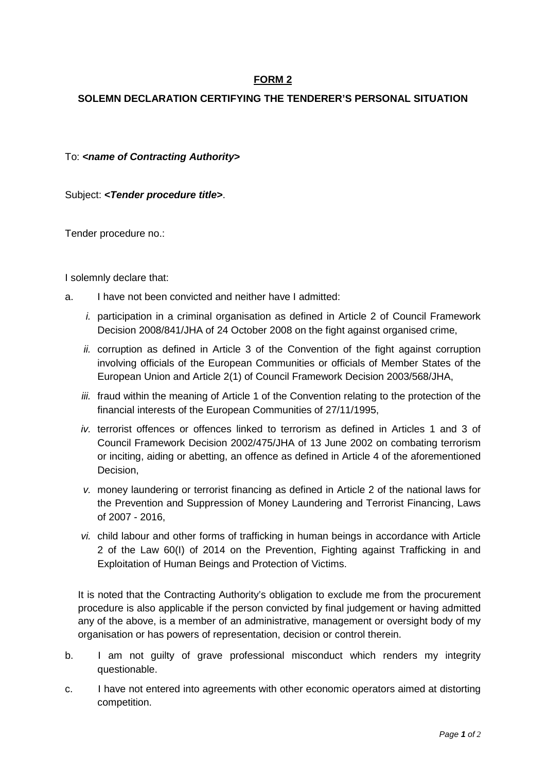# **FORM 2**

## **SOLEMN DECLARATION CERTIFYING THE TENDERER'S PERSONAL SITUATION**

To: *<name of Contracting Authority>* 

Subject: *<Tender procedure title>*.

Tender procedure no.:

I solemnly declare that:

- a. I have not been convicted and neither have I admitted:
	- *i.* participation in a criminal organisation as defined in Article 2 of Council Framework Decision 2008/841/JHA of 24 October 2008 on the fight against organised crime,
	- *ii.* corruption as defined in Article 3 of the Convention of the fight against corruption involving officials of the European Communities or officials of Member States of the European Union and Article 2(1) of Council Framework Decision 2003/568/JHA,
	- *iii.* fraud within the meaning of Article 1 of the Convention relating to the protection of the financial interests of the European Communities of 27/11/1995,
	- *iv.* terrorist offences or offences linked to terrorism as defined in Articles 1 and 3 of Council Framework Decision 2002/475/JHA of 13 June 2002 on combating terrorism or inciting, aiding or abetting, an offence as defined in Article 4 of the aforementioned Decision,
	- *v.* money laundering or terrorist financing as defined in Article 2 of the national laws for the Prevention and Suppression of Money Laundering and Terrorist Financing, Laws of 2007 - 2016,
	- *vi.* child labour and other forms of trafficking in human beings in accordance with Article 2 of the Law 60(I) of 2014 on the Prevention, Fighting against Trafficking in and Exploitation of Human Beings and Protection of Victims.

It is noted that the Contracting Authority's obligation to exclude me from the procurement procedure is also applicable if the person convicted by final judgement or having admitted any of the above, is a member of an administrative, management or oversight body of my organisation or has powers of representation, decision or control therein.

- b. I am not guilty of grave professional misconduct which renders my integrity questionable.
- c. I have not entered into agreements with other economic operators aimed at distorting competition.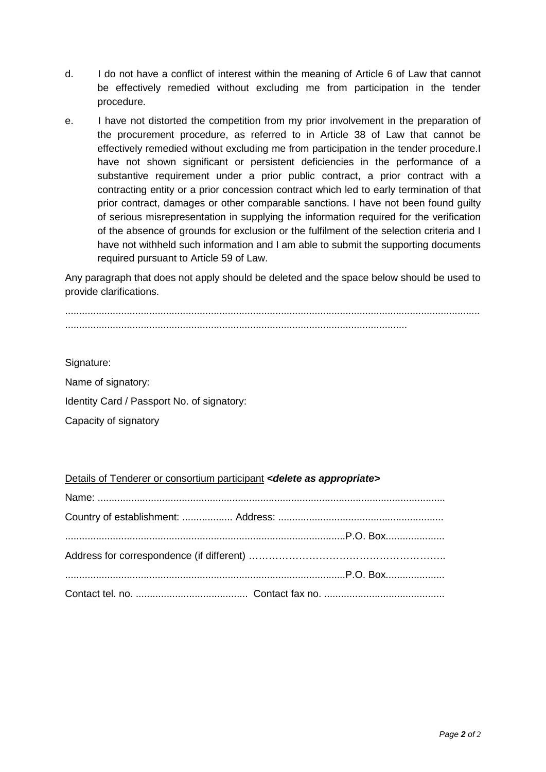- d. I do not have a conflict of interest within the meaning of Article 6 of Law that cannot be effectively remedied without excluding me from participation in the tender procedure.
- e. I have not distorted the competition from my prior involvement in the preparation of the procurement procedure, as referred to in Article 38 of Law that cannot be effectively remedied without excluding me from participation in the tender procedure.I have not shown significant or persistent deficiencies in the performance of a substantive requirement under a prior public contract, a prior contract with a contracting entity or a prior concession contract which led to early termination of that prior contract, damages or other comparable sanctions. I have not been found guilty of serious misrepresentation in supplying the information required for the verification of the absence of grounds for exclusion or the fulfilment of the selection criteria and I have not withheld such information and I am able to submit the supporting documents required pursuant to Article 59 of Law.

Any paragraph that does not apply should be deleted and the space below should be used to provide clarifications.

.................................................................................................................................................... ..........................................................................................................................

Signature:

Name of signatory:

Identity Card / Passport No. of signatory:

Capacity of signatory

#### Details of Tenderer or consortium participant *<delete as appropriate>*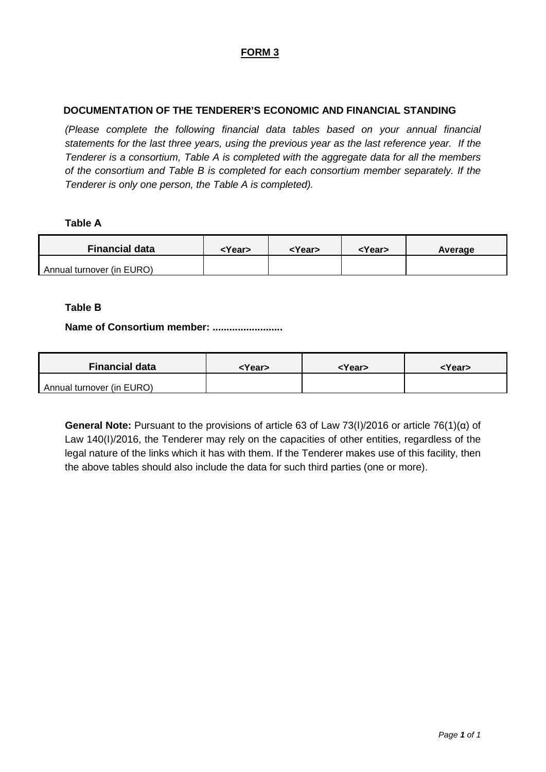# **FORM 3**

## **DOCUMENTATION OF THE TENDERER'S ECONOMIC AND FINANCIAL STANDING**

*(Please complete the following financial data tables based on your annual financial statements for the last three years, using the previous year as the last reference year. If the Tenderer is a consortium, Table A is completed with the aggregate data for all the members of the consortium and Table B is completed for each consortium member separately. If the Tenderer is only one person, the Table A is completed).* 

#### **Table Α**

| <b>Financial data</b>     | <year></year> | <year></year> | <year></year> | Average |
|---------------------------|---------------|---------------|---------------|---------|
| Annual turnover (in EURO) |               |               |               |         |

#### **Table Β**

#### **Name of Consortium member: .........................**

| <b>Financial data</b>     | <year></year> | <year></year> | <year></year> |
|---------------------------|---------------|---------------|---------------|
| Annual turnover (in EURO) |               |               |               |

**General Note:** Pursuant to the provisions of article 63 of Law 73(Ι)/2016 or article 76(1)(α) of Law 140(I)/2016, the Tenderer may rely on the capacities of other entities, regardless of the legal nature of the links which it has with them. If the Tenderer makes use of this facility, then the above tables should also include the data for such third parties (one or more).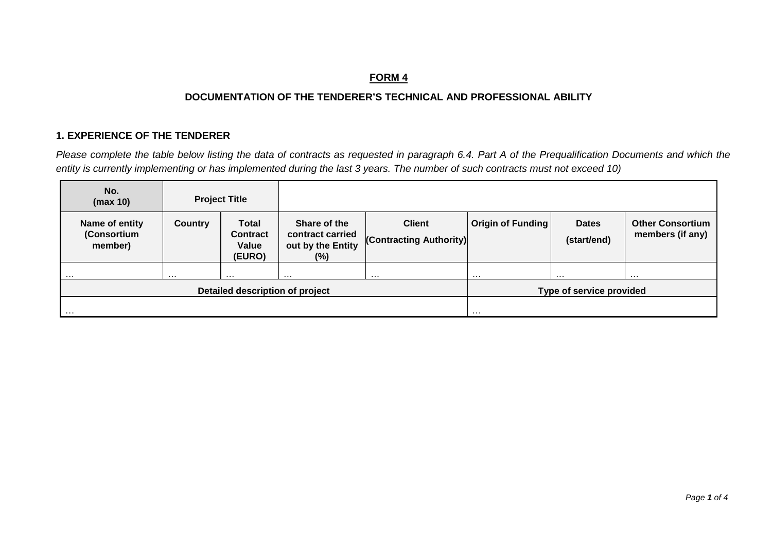# **FORM 4**

# **DOCUMENTATION OF THE TENDERER'S TECHNICAL AND PROFESSIONAL ABILITY**

## **1. EXPERIENCE OF THE TENDERER**

*Please complete the table below listing the data of contracts as requested in paragraph 6.4. Part A of the Prequalification Documents and which the entity is currently implementing or has implemented during the last 3 years. The number of such contracts must not exceed 10)*

| No.<br>(max 10)                          |                | <b>Project Title</b>                               |                                                                 |                                          |                   |                             |                                             |
|------------------------------------------|----------------|----------------------------------------------------|-----------------------------------------------------------------|------------------------------------------|-------------------|-----------------------------|---------------------------------------------|
| Name of entity<br>(Consortium<br>member) | <b>Country</b> | <b>Total</b><br><b>Contract</b><br>Value<br>(EURO) | Share of the<br>contract carried<br>out by the Entity<br>$(\%)$ | <b>Client</b><br>(Contracting Authority) | Origin of Funding | <b>Dates</b><br>(start/end) | <b>Other Consortium</b><br>members (if any) |
| .                                        | $\cdots$       | .                                                  | $\cdots$                                                        | $\cdots$                                 | $\cdots$          | .                           | $\cdots$                                    |
| Detailed description of project          |                |                                                    |                                                                 | Type of service provided                 |                   |                             |                                             |
| $\cdots$                                 |                |                                                    | $\cdots$                                                        |                                          |                   |                             |                                             |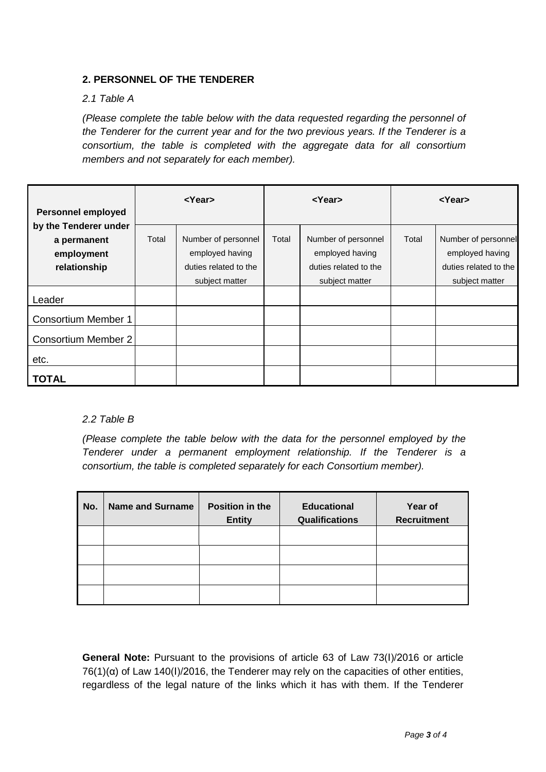## **2. PERSONNEL OF THE TENDERER**

#### *2.1 Table A*

*(Please complete the table below with the data requested regarding the personnel of the Tenderer for the current year and for the two previous years. If the Tenderer is a consortium, the table is completed with the aggregate data for all consortium members and not separately for each member).*

| <b>Personnel employed</b>                                          |       | <year></year>                                                                     |       | <year></year>                                                                     | $<$ Year $>$ |                                                                                   |  |
|--------------------------------------------------------------------|-------|-----------------------------------------------------------------------------------|-------|-----------------------------------------------------------------------------------|--------------|-----------------------------------------------------------------------------------|--|
| by the Tenderer under<br>a permanent<br>employment<br>relationship | Total | Number of personnel<br>employed having<br>duties related to the<br>subject matter | Total | Number of personnel<br>employed having<br>duties related to the<br>subject matter | Total        | Number of personnel<br>employed having<br>duties related to the<br>subject matter |  |
| Leader                                                             |       |                                                                                   |       |                                                                                   |              |                                                                                   |  |
| Consortium Member 1                                                |       |                                                                                   |       |                                                                                   |              |                                                                                   |  |
| <b>Consortium Member 2</b>                                         |       |                                                                                   |       |                                                                                   |              |                                                                                   |  |
| etc.                                                               |       |                                                                                   |       |                                                                                   |              |                                                                                   |  |
| TOTAL                                                              |       |                                                                                   |       |                                                                                   |              |                                                                                   |  |

### *2.2 Table B*

*(Please complete the table below with the data for the personnel employed by the Tenderer under a permanent employment relationship. If the Tenderer is a consortium, the table is completed separately for each Consortium member).*

| No. | <b>Name and Surname</b> | Position in the<br><b>Entity</b> | <b>Educational</b><br><b>Qualifications</b> | Year of<br><b>Recruitment</b> |  |
|-----|-------------------------|----------------------------------|---------------------------------------------|-------------------------------|--|
|     |                         |                                  |                                             |                               |  |
|     |                         |                                  |                                             |                               |  |
|     |                         |                                  |                                             |                               |  |
|     |                         |                                  |                                             |                               |  |

**General Note:** Pursuant to the provisions of article 63 of Law 73(Ι)/2016 or article  $76(1)(\alpha)$  of Law 140(I)/2016, the Tenderer may rely on the capacities of other entities, regardless of the legal nature of the links which it has with them. If the Tenderer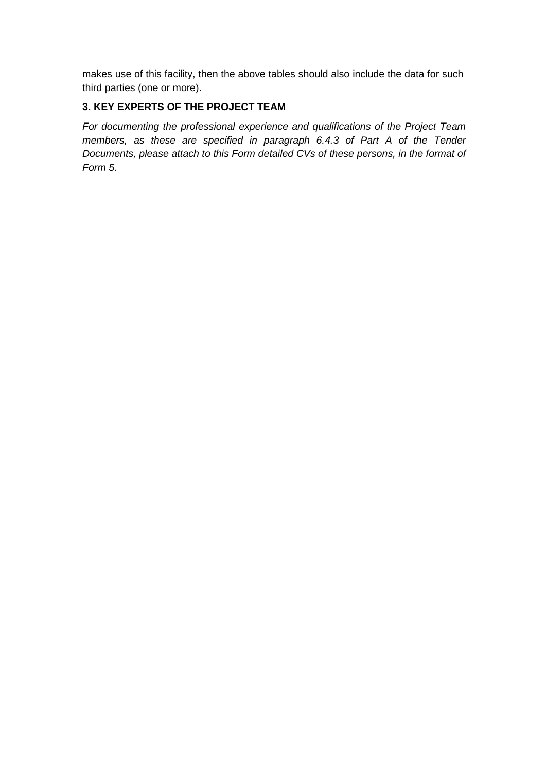makes use of this facility, then the above tables should also include the data for such third parties (one or more).

## **3. KEY EXPERTS OF THE PROJECT TEAM**

*For documenting the professional experience and qualifications of the Project Team members, as these are specified in paragraph 6.4.3 of Part A of the Tender Documents, please attach to this Form detailed CVs of these persons, in the format of Form 5.*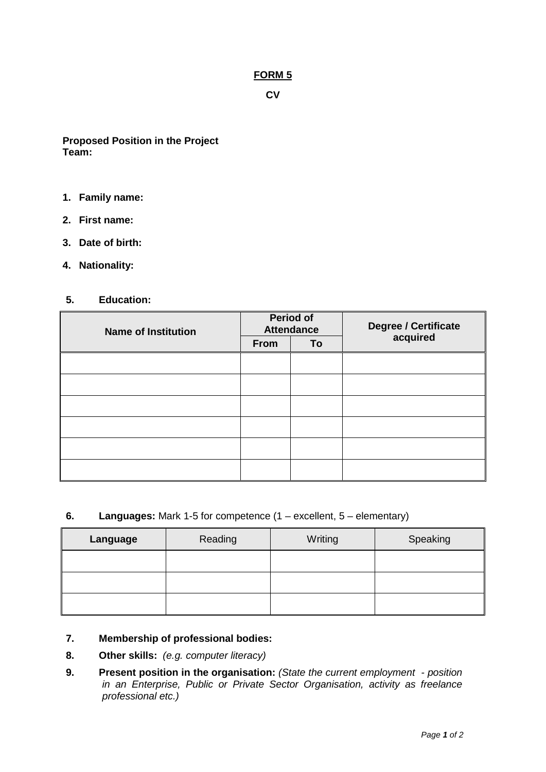**CV** 

**Proposed Position in the Project Team:**

- **1. Family name:**
- **2. First name:**
- **3. Date of birth:**
- **4. Nationality:**

#### **5. Education:**

| <b>Name of Institution</b> |      | Period of<br><b>Attendance</b> | <b>Degree / Certificate<br/>acquired</b> |  |
|----------------------------|------|--------------------------------|------------------------------------------|--|
|                            | From | To                             |                                          |  |
|                            |      |                                |                                          |  |
|                            |      |                                |                                          |  |
|                            |      |                                |                                          |  |
|                            |      |                                |                                          |  |
|                            |      |                                |                                          |  |
|                            |      |                                |                                          |  |

### **6. Languages:** Mark 1-5 for competence (1 – excellent, 5 – elementary)

| Language | Reading | Writing | Speaking |
|----------|---------|---------|----------|
|          |         |         |          |
|          |         |         |          |
|          |         |         |          |

## **7. Membership of professional bodies:**

- **8. Other skills:** *(e.g. computer literacy)*
- **9. Present position in the organisation:** *(State the current employment - position in an Enterprise, Public or Private Sector Organisation, activity as freelance professional etc.)*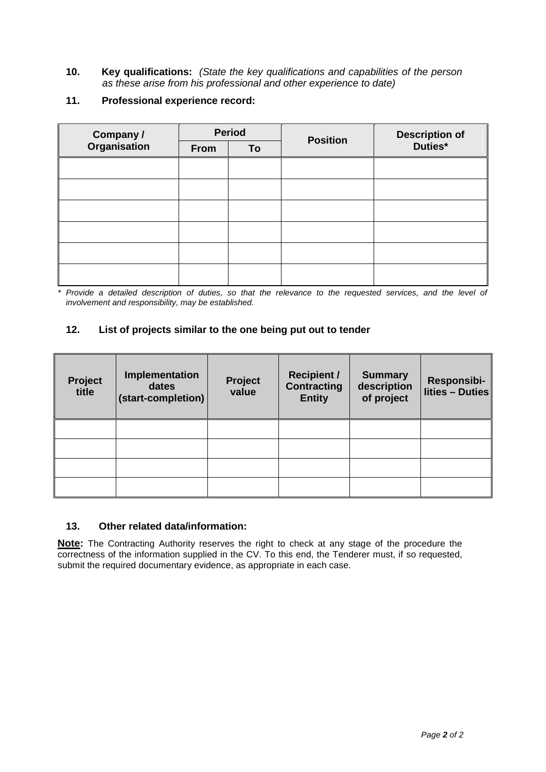- **10. Key qualifications:** *(State the key qualifications and capabilities of the person as these arise from his professional and other experience to date)*
- **11. Professional experience record:**

| <b>Company /<br/>Organisation</b> |      | <b>Period</b> | <b>Position</b> | Description of<br>Duties* |  |
|-----------------------------------|------|---------------|-----------------|---------------------------|--|
|                                   | From | To            |                 |                           |  |
|                                   |      |               |                 |                           |  |
|                                   |      |               |                 |                           |  |
|                                   |      |               |                 |                           |  |
|                                   |      |               |                 |                           |  |
|                                   |      |               |                 |                           |  |
|                                   |      |               |                 |                           |  |

*\* Provide a detailed description of duties, so that the relevance to the requested services, and the level of involvement and responsibility, may be established.*

## **12. List of projects similar to the one being put out to tender**

| Project<br>title | Implementation<br>dates<br>(start-completion) | Project<br>value | <b>Recipient /</b><br><b>Contracting</b><br><b>Entity</b> | <b>Summary</b><br>description<br>of project | Responsibi-<br>lities - Duties |
|------------------|-----------------------------------------------|------------------|-----------------------------------------------------------|---------------------------------------------|--------------------------------|
|                  |                                               |                  |                                                           |                                             |                                |
|                  |                                               |                  |                                                           |                                             |                                |
|                  |                                               |                  |                                                           |                                             |                                |
|                  |                                               |                  |                                                           |                                             |                                |

#### **13. Other related data/information:**

**Note:** The Contracting Authority reserves the right to check at any stage of the procedure the correctness of the information supplied in the CV. To this end, the Tenderer must, if so requested, submit the required documentary evidence, as appropriate in each case.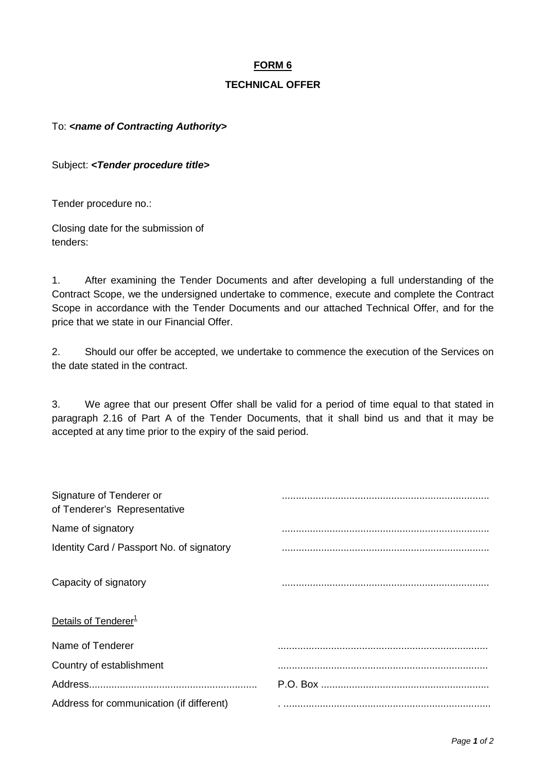## **TECHNICAL OFFER**

To: **<name of Contracting Authority>** 

Subject: *<Tender procedure title>*

Tender procedure no.:

Closing date for the submission of tenders:

1. After examining the Tender Documents and after developing a full understanding of the Contract Scope, we the undersigned undertake to commence, execute and complete the Contract Scope in accordance with the Tender Documents and our attached Technical Offer, and for the price that we state in our Financial Offer.

2. Should our offer be accepted, we undertake to commence the execution of the Services on the date stated in the contract.

3. We agree that our present Offer shall be valid for a period of time equal to that stated in paragraph 2.16 of Part A of the Tender Documents, that it shall bind us and that it may be accepted at any time prior to the expiry of the said period.

| Signature of Tenderer or<br>of Tenderer's Representative |  |
|----------------------------------------------------------|--|
| Name of signatory                                        |  |
| Identity Card / Passport No. of signatory                |  |
| Capacity of signatory                                    |  |
| Details of Tenderer <sup>1</sup>                         |  |
| Name of Tenderer                                         |  |
| Country of establishment                                 |  |
|                                                          |  |
| Address for communication (if different)                 |  |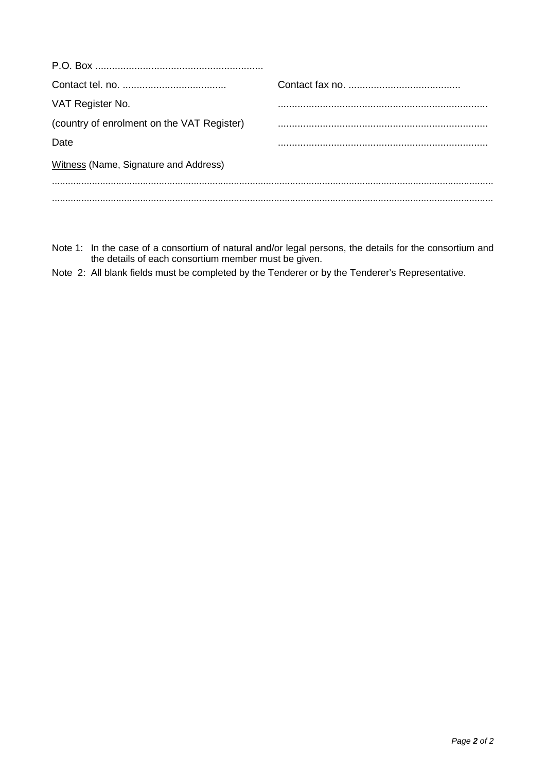| VAT Register No.                           |  |
|--------------------------------------------|--|
| (country of enrolment on the VAT Register) |  |
| Date                                       |  |
| Witness (Name, Signature and Address)      |  |
|                                            |  |
|                                            |  |

- Note 1: In the case of a consortium of natural and/or legal persons, the details for the consortium and the details of each consortium member must be given.
- Note 2: All blank fields must be completed by the Tenderer or by the Tenderer's Representative.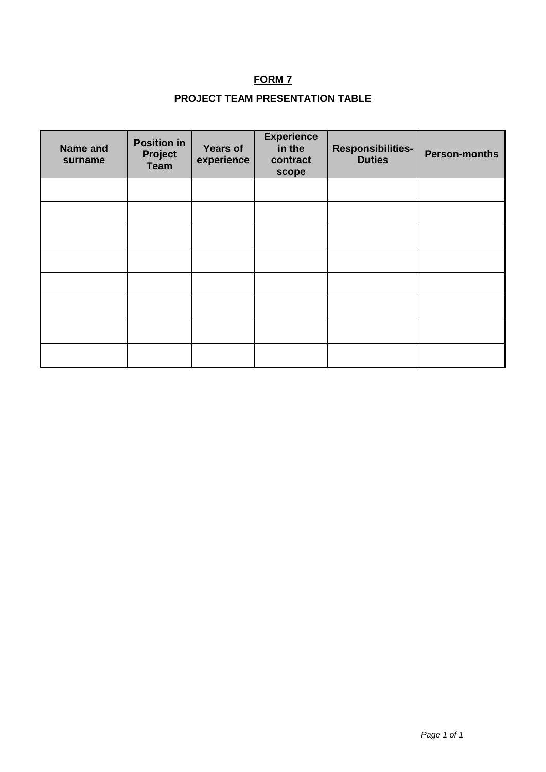# **PROJECT TEAM PRESENTATION TABLE**

| <b>Name and</b><br>surname | <b>Position in</b><br>Project<br><b>Team</b> | <b>Years of</b><br>experience | <b>Experience</b><br>in the<br>contract<br>scope | <b>Responsibilities-</b><br><b>Duties</b> | <b>Person-months</b> |
|----------------------------|----------------------------------------------|-------------------------------|--------------------------------------------------|-------------------------------------------|----------------------|
|                            |                                              |                               |                                                  |                                           |                      |
|                            |                                              |                               |                                                  |                                           |                      |
|                            |                                              |                               |                                                  |                                           |                      |
|                            |                                              |                               |                                                  |                                           |                      |
|                            |                                              |                               |                                                  |                                           |                      |
|                            |                                              |                               |                                                  |                                           |                      |
|                            |                                              |                               |                                                  |                                           |                      |
|                            |                                              |                               |                                                  |                                           |                      |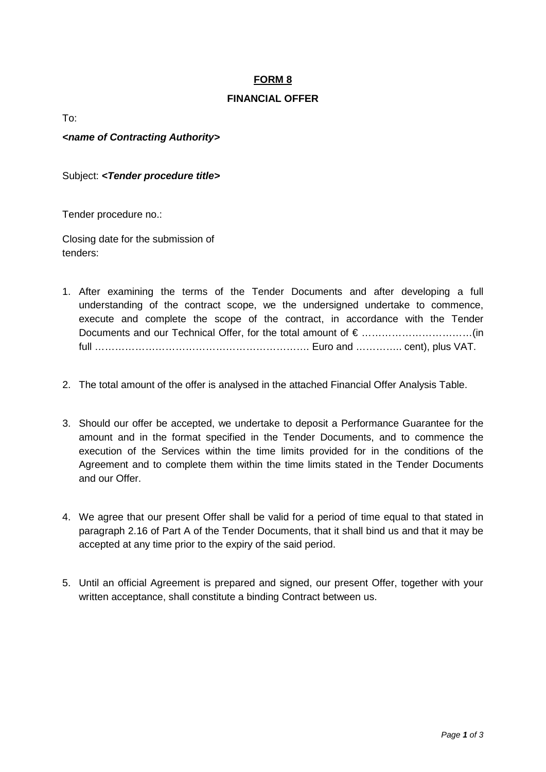## **FINANCIAL OFFER**

To:

*<name of Contracting Authority>* 

Subject: *<Tender procedure title>*

Tender procedure no.:

Closing date for the submission of tenders:

- 1. After examining the terms of the Tender Documents and after developing a full understanding of the contract scope, we the undersigned undertake to commence, execute and complete the scope of the contract, in accordance with the Tender Documents and our Technical Offer, for the total amount of € ……………………………(in full ………………………………………………………. Euro and ………….. cent), plus VAT.
- 2. The total amount of the offer is analysed in the attached Financial Offer Analysis Table.
- 3. Should our offer be accepted, we undertake to deposit a Performance Guarantee for the amount and in the format specified in the Tender Documents, and to commence the execution of the Services within the time limits provided for in the conditions of the Agreement and to complete them within the time limits stated in the Tender Documents and our Offer.
- 4. We agree that our present Offer shall be valid for a period of time equal to that stated in paragraph 2.16 of Part A of the Tender Documents, that it shall bind us and that it may be accepted at any time prior to the expiry of the said period.
- 5. Until an official Agreement is prepared and signed, our present Offer, together with your written acceptance, shall constitute a binding Contract between us.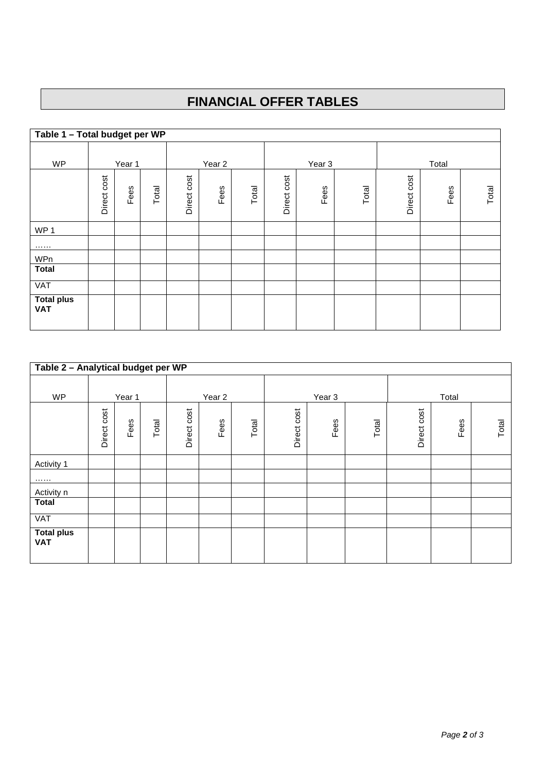# **FINANCIAL OFFER TABLES**

| Table 1 - Total budget per WP   |             |        |       |             |                   |       |             |                   |       |             |       |       |
|---------------------------------|-------------|--------|-------|-------------|-------------------|-------|-------------|-------------------|-------|-------------|-------|-------|
|                                 |             |        |       |             |                   |       |             |                   |       |             |       |       |
| <b>WP</b>                       |             | Year 1 |       |             | Year <sub>2</sub> |       |             | Year <sub>3</sub> |       |             | Total |       |
|                                 | Direct cost | Fees   | Total | Direct cost | Fees              | Total | Direct cost | Fees              | Total | Direct cost | Fees  | Total |
| WP <sub>1</sub>                 |             |        |       |             |                   |       |             |                   |       |             |       |       |
|                                 |             |        |       |             |                   |       |             |                   |       |             |       |       |
| WPn                             |             |        |       |             |                   |       |             |                   |       |             |       |       |
| <b>Total</b>                    |             |        |       |             |                   |       |             |                   |       |             |       |       |
| VAT                             |             |        |       |             |                   |       |             |                   |       |             |       |       |
| <b>Total plus</b><br><b>VAT</b> |             |        |       |             |                   |       |             |                   |       |             |       |       |

| Table 2 - Analytical budget per WP |             |        |       |                |                   |       |             |                   |       |             |       |       |  |
|------------------------------------|-------------|--------|-------|----------------|-------------------|-------|-------------|-------------------|-------|-------------|-------|-------|--|
| <b>WP</b>                          |             | Year 1 |       |                | Year <sub>2</sub> |       |             | Year <sub>3</sub> |       |             | Total |       |  |
|                                    | Direct cost | Fees   | Total | cost<br>Direct | Fees              | Total | Direct cost | Fees              | Total | Direct cost | Fees  | Total |  |
| Activity 1                         |             |        |       |                |                   |       |             |                   |       |             |       |       |  |
|                                    |             |        |       |                |                   |       |             |                   |       |             |       |       |  |
| Activity n                         |             |        |       |                |                   |       |             |                   |       |             |       |       |  |
| <b>Total</b>                       |             |        |       |                |                   |       |             |                   |       |             |       |       |  |
| VAT                                |             |        |       |                |                   |       |             |                   |       |             |       |       |  |
| <b>Total plus</b><br><b>VAT</b>    |             |        |       |                |                   |       |             |                   |       |             |       |       |  |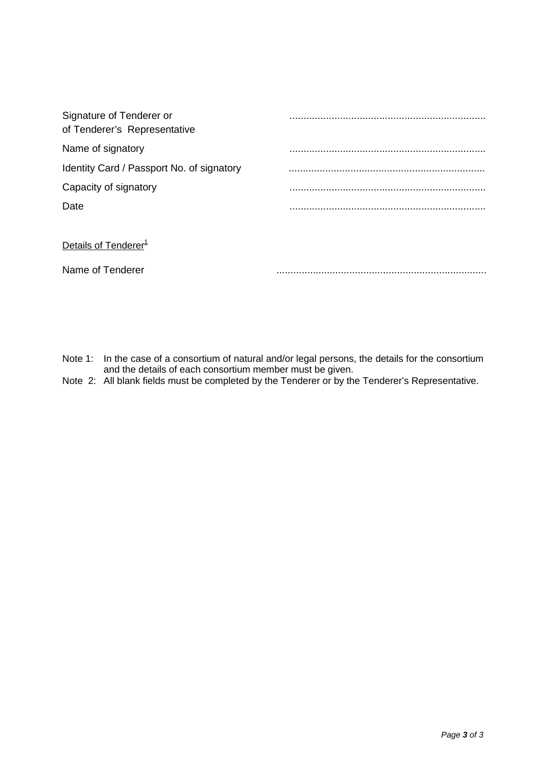| Signature of Tenderer or<br>of Tenderer's Representative |  |
|----------------------------------------------------------|--|
| Name of signatory                                        |  |
| Identity Card / Passport No. of signatory                |  |
| Capacity of signatory                                    |  |
| Date                                                     |  |
|                                                          |  |
| Details of Tenderer <sup>1</sup>                         |  |
| Name of Tenderer                                         |  |

Note 1: In the case of a consortium of natural and/or legal persons, the details for the consortium and the details of each consortium member must be given.

Note 2: All blank fields must be completed by the Tenderer or by the Tenderer's Representative.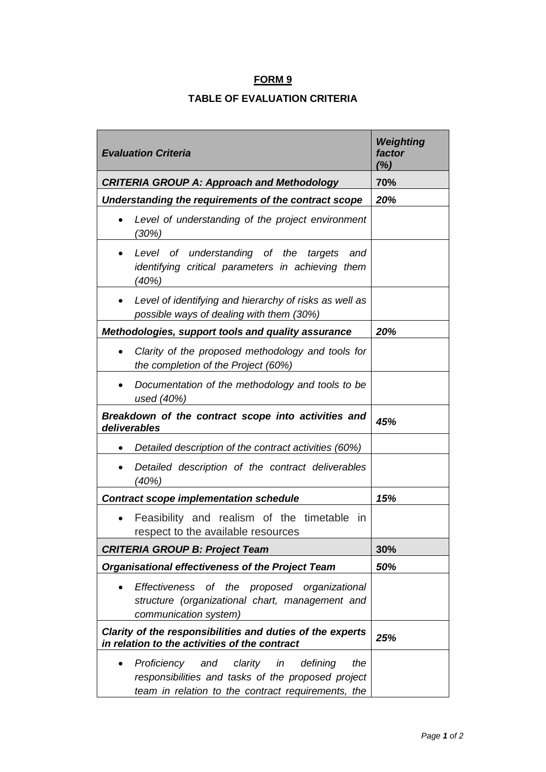## **TABLE OF EVALUATION CRITERIA**

| <b>Evaluation Criteria</b>                                                                                                                                         | Weighting<br>factor<br>(%) |
|--------------------------------------------------------------------------------------------------------------------------------------------------------------------|----------------------------|
| <b>CRITERIA GROUP A: Approach and Methodology</b>                                                                                                                  | 70%                        |
| Understanding the requirements of the contract scope                                                                                                               | 20%                        |
| Level of understanding of the project environment<br>(30%)                                                                                                         |                            |
| of understanding of the<br>Level<br>targets<br>and<br>identifying critical parameters in achieving them<br>(40%)                                                   |                            |
| Level of identifying and hierarchy of risks as well as<br>possible ways of dealing with them (30%)                                                                 |                            |
| Methodologies, support tools and quality assurance                                                                                                                 | 20%                        |
| Clarity of the proposed methodology and tools for<br>the completion of the Project (60%)                                                                           |                            |
| Documentation of the methodology and tools to be<br>used (40%)                                                                                                     |                            |
| Breakdown of the contract scope into activities and<br>deliverables                                                                                                | 45%                        |
| Detailed description of the contract activities (60%)                                                                                                              |                            |
| Detailed description of the contract deliverables<br>(40%)                                                                                                         |                            |
| <b>Contract scope implementation schedule</b>                                                                                                                      | 15%                        |
| Feasibility and realism of the timetable<br>$\mathsf{I}$<br>respect to the available resources                                                                     |                            |
| <b>CRITERIA GROUP B: Project Team</b>                                                                                                                              | 30%                        |
| <b>Organisational effectiveness of the Project Team</b>                                                                                                            | 50%                        |
| Effectiveness of the proposed organizational<br>structure (organizational chart, management and<br>communication system)                                           |                            |
| Clarity of the responsibilities and duties of the experts<br>in relation to the activities of the contract                                                         | 25%                        |
| clarity<br>Proficiency<br>defining<br>and<br>in<br>the<br>responsibilities and tasks of the proposed project<br>team in relation to the contract requirements, the |                            |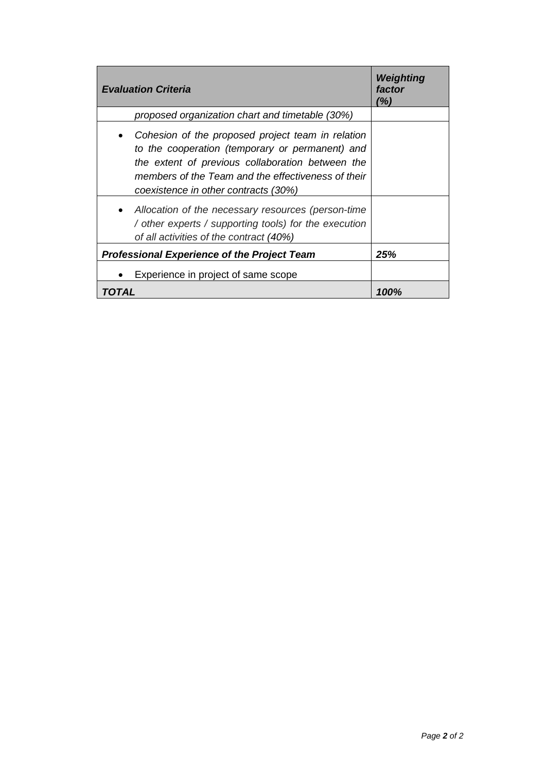| <b>Evaluation Criteria</b>                                                                                                                                                                                                                                          | Weighting<br>factor<br>(%) |
|---------------------------------------------------------------------------------------------------------------------------------------------------------------------------------------------------------------------------------------------------------------------|----------------------------|
| proposed organization chart and timetable (30%)                                                                                                                                                                                                                     |                            |
| Cohesion of the proposed project team in relation<br>$\bullet$<br>to the cooperation (temporary or permanent) and<br>the extent of previous collaboration between the<br>members of the Team and the effectiveness of their<br>coexistence in other contracts (30%) |                            |
| • Allocation of the necessary resources (person-time<br>/ other experts / supporting tools) for the execution<br>of all activities of the contract (40%)                                                                                                            |                            |
| <b>Professional Experience of the Project Team</b>                                                                                                                                                                                                                  | 25%                        |
| Experience in project of same scope                                                                                                                                                                                                                                 |                            |
| TOTAL                                                                                                                                                                                                                                                               | 100%                       |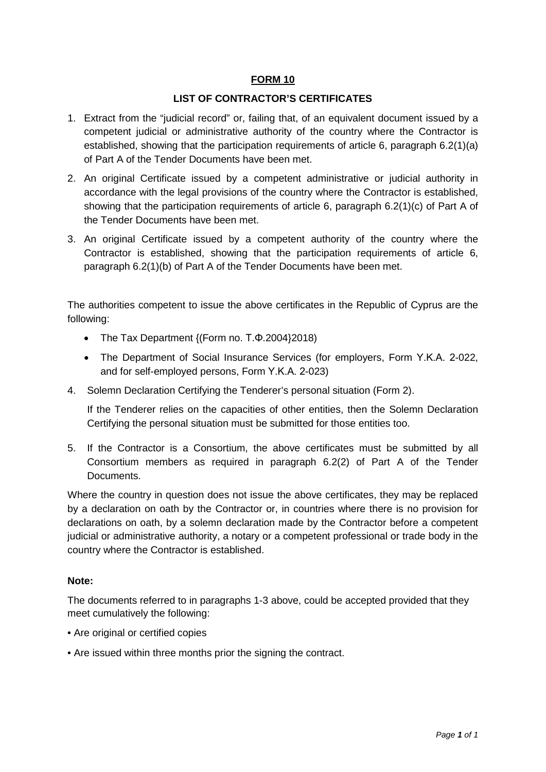#### **LIST OF CONTRACTOR'S CERTIFICATES**

- 1. Extract from the "judicial record" or, failing that, of an equivalent document issued by a competent judicial or administrative authority of the country where the Contractor is established, showing that the participation requirements of article 6, paragraph 6.2(1)(a) of Part A of the Tender Documents have been met.
- 2. An original Certificate issued by a competent administrative or judicial authority in accordance with the legal provisions of the country where the Contractor is established, showing that the participation requirements of article 6, paragraph 6.2(1)(c) of Part A of the Tender Documents have been met.
- 3. An original Certificate issued by a competent authority of the country where the Contractor is established, showing that the participation requirements of article 6, paragraph 6.2(1)(b) of Part A of the Tender Documents have been met.

The authorities competent to issue the above certificates in the Republic of Cyprus are the following:

- The Tax Department {(Form no. Τ.Φ.2004}2018)
- The Department of Social Insurance Services (for employers, Form Υ.Κ.Α. 2-022, and for self-employed persons, Form Υ.Κ.Α. 2-023)
- 4. Solemn Declaration Certifying the Tenderer's personal situation (Form 2).

If the Tenderer relies on the capacities of other entities, then the Solemn Declaration Certifying the personal situation must be submitted for those entities too.

5. If the Contractor is a Consortium, the above certificates must be submitted by all Consortium members as required in paragraph 6.2(2) of Part A of the Tender Documents.

Where the country in question does not issue the above certificates, they may be replaced by a declaration on oath by the Contractor or, in countries where there is no provision for declarations on oath, by a solemn declaration made by the Contractor before a competent judicial or administrative authority, a notary or a competent professional or trade body in the country where the Contractor is established.

#### **Note:**

The documents referred to in paragraphs 1-3 above, could be accepted provided that they meet cumulatively the following:

- Are original or certified copies
- Are issued within three months prior the signing the contract.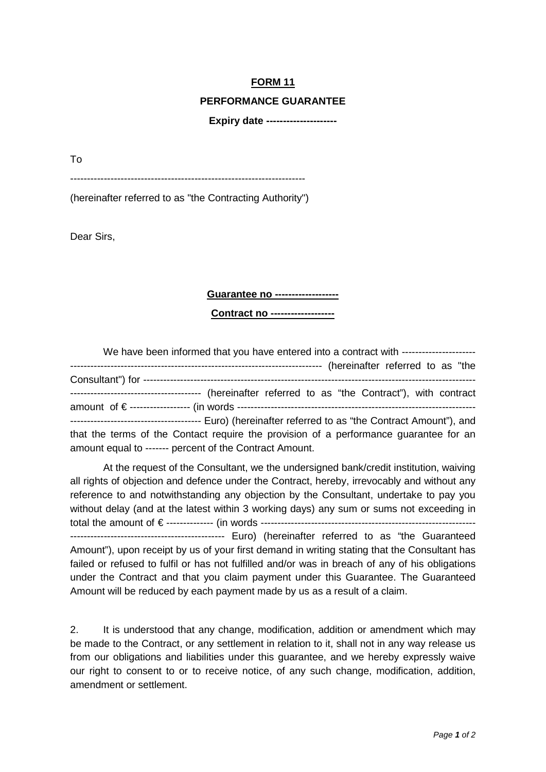#### **PERFORMANCE GUARANTEE**

**Expiry date ---------------------**

To

---------------------------------------------------------------------- (hereinafter referred to as "the Contracting Authority")

Dear Sirs,

#### **Guarantee no -------------------**

**Contract no -------------------**

| We have been informed that you have entered into a contract with -------------------- |
|---------------------------------------------------------------------------------------|
|                                                                                       |
|                                                                                       |
|                                                                                       |
|                                                                                       |
|                                                                                       |
| that the terms of the Contact require the provision of a performance quarantee for an |
| amount equal to ------- percent of the Contract Amount.                               |

At the request of the Consultant, we the undersigned bank/credit institution, waiving all rights of objection and defence under the Contract, hereby, irrevocably and without any reference to and notwithstanding any objection by the Consultant, undertake to pay you without delay (and at the latest within 3 working days) any sum or sums not exceeding in total the amount of € -------------- (in words ---------------------------------------------------------------- ---------------------------------------------- Euro) (hereinafter referred to as "the Guaranteed Amount"), upon receipt by us of your first demand in writing stating that the Consultant has failed or refused to fulfil or has not fulfilled and/or was in breach of any of his obligations under the Contract and that you claim payment under this Guarantee. The Guaranteed Amount will be reduced by each payment made by us as a result of a claim.

2. It is understood that any change, modification, addition or amendment which may be made to the Contract, or any settlement in relation to it, shall not in any way release us from our obligations and liabilities under this guarantee, and we hereby expressly waive our right to consent to or to receive notice, of any such change, modification, addition, amendment or settlement.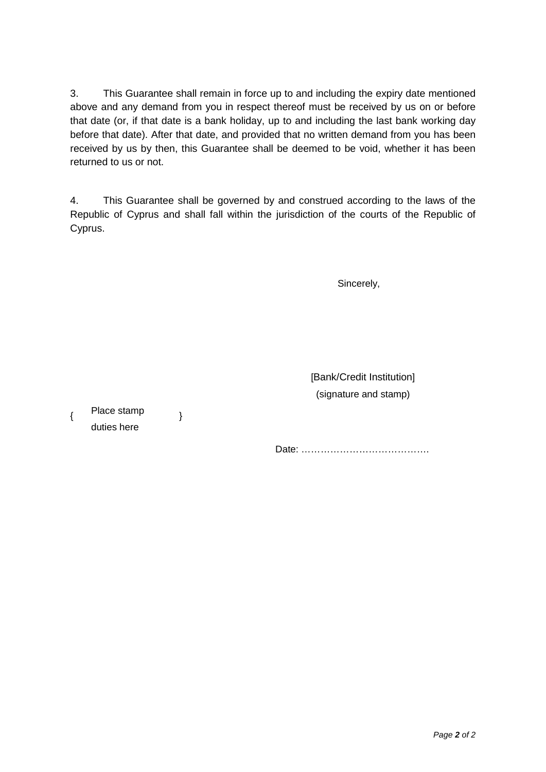3. This Guarantee shall remain in force up to and including the expiry date mentioned above and any demand from you in respect thereof must be received by us on or before that date (or, if that date is a bank holiday, up to and including the last bank working day before that date). After that date, and provided that no written demand from you has been received by us by then, this Guarantee shall be deemed to be void, whether it has been returned to us or not.

4. This Guarantee shall be governed by and construed according to the laws of the Republic of Cyprus and shall fall within the jurisdiction of the courts of the Republic of Cyprus.

Sincerely,

 [Bank/Credit Institution] (signature and stamp)

{ Place stamp duties here

}

Date: ………………………………….